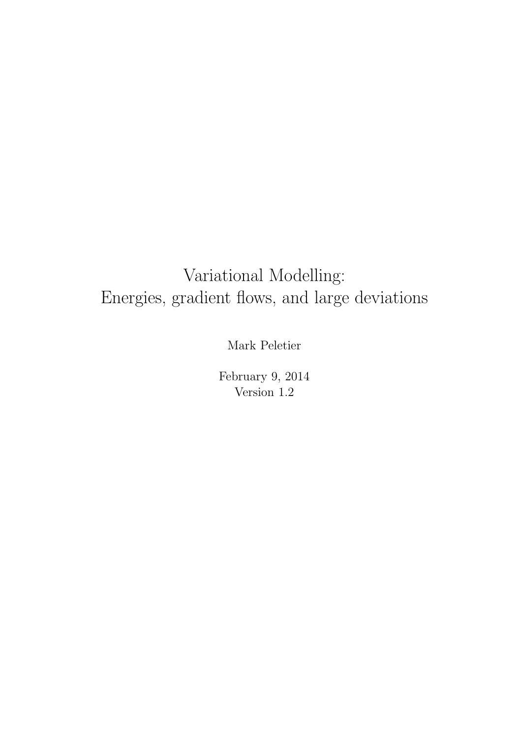# Variational Modelling: Energies, gradient flows, and large deviations

Mark Peletier

February 9, 2014 Version 1.2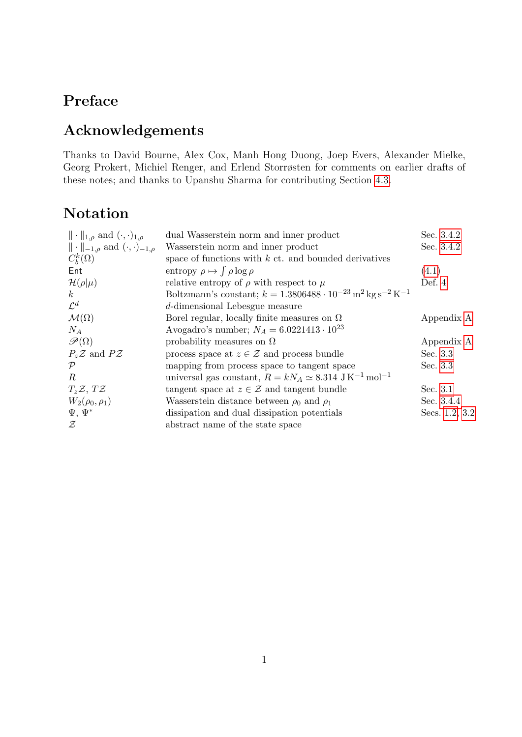### Preface

## Acknowledgements

Thanks to David Bourne, Alex Cox, Manh Hong Duong, Joep Evers, Alexander Mielke, Georg Prokert, Michiel Renger, and Erlend Storrøsten for comments on earlier drafts of these notes; and thanks to Upanshu Sharma for contributing Section [4.3.](#page-30-0)

## Notation

| $\ \cdot\ _{1,\rho}$ and $(\cdot,\cdot)_{1,\rho}$   | dual Wasserstein norm and inner product                                                                               | Sec. 3.4.2     |
|-----------------------------------------------------|-----------------------------------------------------------------------------------------------------------------------|----------------|
| $\ \cdot\ _{-1,\rho}$ and $(\cdot,\cdot)_{-1,\rho}$ | Wasserstein norm and inner product                                                                                    | Sec. 3.4.2     |
| $C_{h}^{k}(\Omega)$                                 | space of functions with $k$ ct. and bounded derivatives                                                               |                |
| Ent                                                 | entropy $\rho \mapsto \int \rho \log \rho$                                                                            | (4.1)          |
| $\mathcal{H}(\rho \mu)$                             | relative entropy of $\rho$ with respect to $\mu$                                                                      | Def. 4         |
| k <sub>i</sub>                                      | Boltzmann's constant; $k = 1.3806488 \cdot 10^{-23} \,\mathrm{m}^2 \,\mathrm{kg} \,\mathrm{s}^{-2} \,\mathrm{K}^{-1}$ |                |
| $\mathcal{L}^d$                                     | $d$ -dimensional Lebesgue measure                                                                                     |                |
| $\mathcal{M}(\Omega)$                               | Borel regular, locally finite measures on $\Omega$                                                                    | Appendix A     |
| $N_A$                                               | Avogadro's number; $N_A = 6.0221413 \cdot 10^{23}$                                                                    |                |
| $\mathscr{P}(\Omega)$                               | probability measures on $\Omega$                                                                                      | Appendix A     |
| $P_z \mathcal{Z}$ and $P\mathcal{Z}$                | process space at $z \in \mathcal{Z}$ and process bundle                                                               | Sec. 3.3       |
| $\mathcal{P}$                                       | mapping from process space to tangent space                                                                           | Sec. 3.3       |
| $\boldsymbol{R}$                                    | universal gas constant, $R = kN_A \simeq 8.314 \text{ J K}^{-1} \text{mol}^{-1}$                                      |                |
| $T_z \mathcal{Z}, T\mathcal{Z}$                     | tangent space at $z \in \mathcal{Z}$ and tangent bundle                                                               | Sec. 3.1       |
| $W_2(\rho_0, \rho_1)$                               | Wasserstein distance between $\rho_0$ and $\rho_1$                                                                    | Sec. 3.4.4     |
| $\Psi, \Psi^*$                                      | dissipation and dual dissipation potentials                                                                           | Secs. 1.2, 3.2 |
| $\mathcal Z$                                        | abstract name of the state space                                                                                      |                |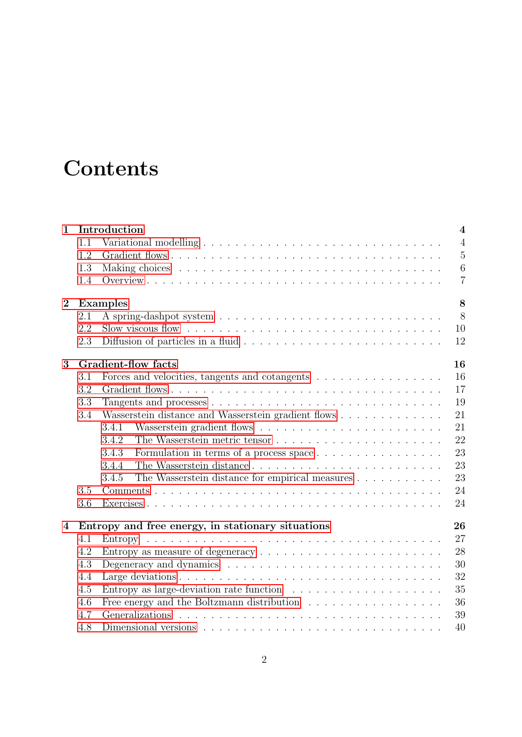# **Contents**

| Introduction<br>$\mathbf{1}$ |     |                                                                                            |  |  |
|------------------------------|-----|--------------------------------------------------------------------------------------------|--|--|
|                              | 1.1 | $\overline{4}$                                                                             |  |  |
|                              | 1.2 | $\overline{5}$                                                                             |  |  |
|                              | 1.3 | 6                                                                                          |  |  |
|                              | 1.4 | $\overline{7}$                                                                             |  |  |
| $\boldsymbol{2}$             |     | 8<br><b>Examples</b>                                                                       |  |  |
|                              | 2.1 | 8                                                                                          |  |  |
|                              | 2.2 | 10                                                                                         |  |  |
|                              | 2.3 | 12                                                                                         |  |  |
| 3                            |     | <b>Gradient-flow facts</b><br>16                                                           |  |  |
|                              | 3.1 | 16<br>Forces and velocities, tangents and cotangents                                       |  |  |
|                              | 3.2 | 17                                                                                         |  |  |
|                              | 3.3 | 19                                                                                         |  |  |
|                              | 3.4 | Wasserstein distance and Wasserstein gradient flows<br>21                                  |  |  |
|                              |     | 21<br>3.4.1                                                                                |  |  |
|                              |     | 22<br>3.4.2                                                                                |  |  |
|                              |     | 23<br>3.4.3<br>Formulation in terms of a process space                                     |  |  |
|                              |     | 23<br>3.4.4                                                                                |  |  |
|                              |     | 23<br>3.4.5                                                                                |  |  |
|                              | 3.5 | 24                                                                                         |  |  |
|                              | 3.6 | 24                                                                                         |  |  |
| $\boldsymbol{4}$             |     | Entropy and free energy, in stationary situations<br>26                                    |  |  |
|                              | 4.1 | 27                                                                                         |  |  |
|                              | 4.2 | 28                                                                                         |  |  |
|                              | 4.3 | 30                                                                                         |  |  |
|                              | 4.4 | 32                                                                                         |  |  |
|                              | 4.5 | 35<br>Entropy as large-deviation rate function $\ldots \ldots \ldots \ldots \ldots \ldots$ |  |  |
|                              | 4.6 | 36                                                                                         |  |  |
|                              | 4.7 | 39                                                                                         |  |  |
|                              | 4.8 | 40                                                                                         |  |  |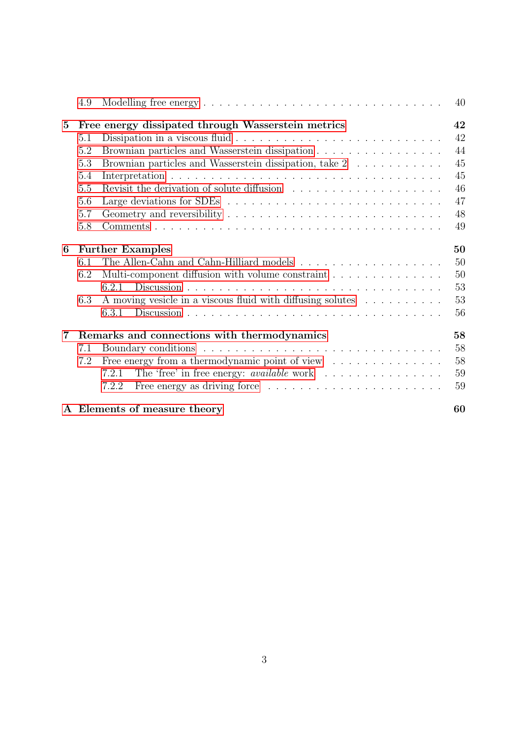|                 | 4.9                     | Modelling free energy $\dots \dots \dots \dots \dots \dots \dots \dots \dots \dots \dots \dots$ | 40 |
|-----------------|-------------------------|-------------------------------------------------------------------------------------------------|----|
| $5\overline{)}$ |                         | Free energy dissipated through Wasserstein metrics                                              | 42 |
|                 | 5.1                     |                                                                                                 | 42 |
|                 | 5.2                     | Brownian particles and Wasserstein dissipation                                                  | 44 |
|                 | 5.3                     | Brownian particles and Wasserstein dissipation, take $2 \ldots \ldots \ldots$                   | 45 |
|                 | 5.4                     |                                                                                                 | 45 |
|                 | 5.5                     | Revisit the derivation of solute diffusion $\ldots \ldots \ldots \ldots \ldots \ldots$          | 46 |
|                 | 5.6                     | Large deviations for SDEs $\dots \dots \dots \dots \dots \dots \dots \dots \dots \dots \dots$   | 47 |
|                 | 5.7                     |                                                                                                 | 48 |
|                 | 5.8                     |                                                                                                 | 49 |
| 6               | <b>Further Examples</b> |                                                                                                 |    |
|                 | 6.1                     |                                                                                                 | 50 |
|                 | 6.2                     | Multi-component diffusion with volume constraint $\ldots \ldots \ldots \ldots$                  | 50 |
|                 |                         | 6.2.1                                                                                           | 53 |
|                 | 6.3                     | A moving vesicle in a viscous fluid with diffusing solutes                                      | 53 |
|                 |                         | 6.3.1                                                                                           | 56 |
| 7               |                         | Remarks and connections with thermodynamics                                                     | 58 |
|                 | 7.1                     |                                                                                                 | 58 |
|                 | 7.2                     | Free energy from a thermodynamic point of view $\dots \dots \dots \dots$                        | 58 |
|                 |                         | The 'free' in free energy: <i>available</i> work<br>7.2.1                                       | 59 |
|                 |                         | 7.2.2                                                                                           | 59 |
|                 |                         | A Elements of measure theory                                                                    | 60 |

#### 3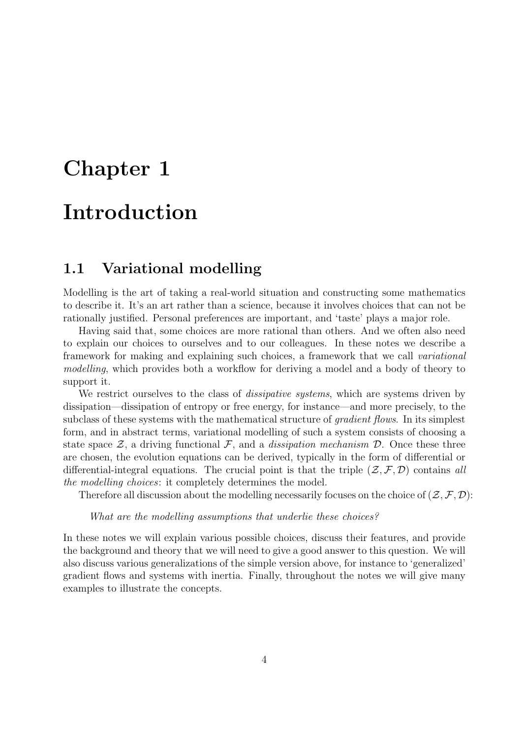# <span id="page-4-0"></span>Chapter 1 Introduction

### <span id="page-4-1"></span>1.1 Variational modelling

Modelling is the art of taking a real-world situation and constructing some mathematics to describe it. It's an art rather than a science, because it involves choices that can not be rationally justified. Personal preferences are important, and 'taste' plays a major role.

Having said that, some choices are more rational than others. And we often also need to explain our choices to ourselves and to our colleagues. In these notes we describe a framework for making and explaining such choices, a framework that we call variational modelling, which provides both a workflow for deriving a model and a body of theory to support it.

We restrict ourselves to the class of *dissipative systems*, which are systems driven by dissipation—dissipation of entropy or free energy, for instance—and more precisely, to the subclass of these systems with the mathematical structure of *gradient flows*. In its simplest form, and in abstract terms, variational modelling of such a system consists of choosing a state space  $\mathcal{Z}$ , a driving functional  $\mathcal{F}$ , and a *dissipation mechanism*  $\mathcal{D}$ . Once these three are chosen, the evolution equations can be derived, typically in the form of differential or differential-integral equations. The crucial point is that the triple  $(\mathcal{Z}, \mathcal{F}, \mathcal{D})$  contains all the modelling choices: it completely determines the model.

Therefore all discussion about the modelling necessarily focuses on the choice of  $(\mathcal{Z}, \mathcal{F}, \mathcal{D})$ :

What are the modelling assumptions that underlie these choices?

In these notes we will explain various possible choices, discuss their features, and provide the background and theory that we will need to give a good answer to this question. We will also discuss various generalizations of the simple version above, for instance to 'generalized' gradient flows and systems with inertia. Finally, throughout the notes we will give many examples to illustrate the concepts.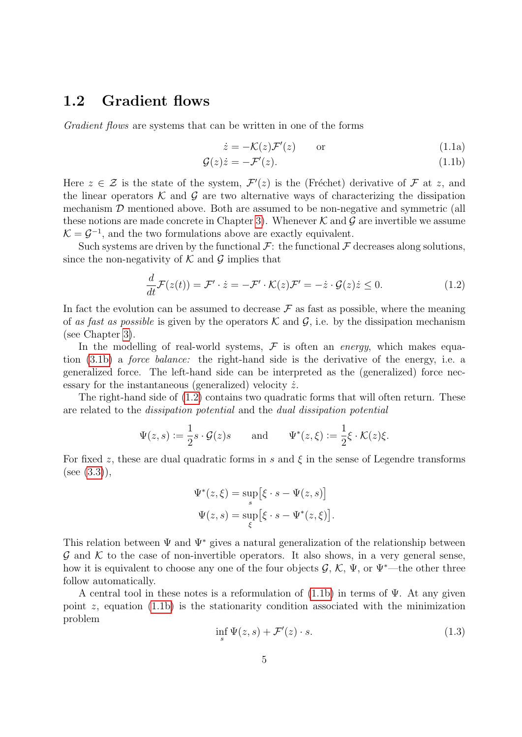#### <span id="page-5-0"></span>1.2 Gradient flows

Gradient flows are systems that can be written in one of the forms

<span id="page-5-3"></span><span id="page-5-1"></span>
$$
\dot{z} = -\mathcal{K}(z)\mathcal{F}'(z) \qquad \text{or} \tag{1.1a}
$$

$$
\mathcal{G}(z)\dot{z} = -\mathcal{F}'(z). \tag{1.1b}
$$

Here  $z \in \mathcal{Z}$  is the state of the system,  $\mathcal{F}'(z)$  is the (Fréchet) derivative of  $\mathcal{F}$  at z, and the linear operators  $K$  and  $G$  are two alternative ways of characterizing the dissipation mechanism D mentioned above. Both are assumed to be non-negative and symmetric (all these notions are made concrete in Chapter [3\)](#page-16-1). Whenever  $\mathcal K$  and  $\mathcal G$  are invertible we assume  $\mathcal{K} = \mathcal{G}^{-1}$ , and the two formulations above are exactly equivalent.

Such systems are driven by the functional  $\mathcal F$ : the functional  $\mathcal F$  decreases along solutions, since the non-negativity of  $K$  and  $\mathcal G$  implies that

$$
\frac{d}{dt}\mathcal{F}(z(t)) = \mathcal{F}' \cdot \dot{z} = -\mathcal{F}' \cdot \mathcal{K}(z)\mathcal{F}' = -\dot{z} \cdot \mathcal{G}(z)\dot{z} \le 0.
$$
\n(1.2)

In fact the evolution can be assumed to decrease  $\mathcal F$  as fast as possible, where the meaning of as fast as possible is given by the operators K and G, i.e. by the dissipation mechanism (see Chapter [3\)](#page-16-1).

In the modelling of real-world systems,  $\mathcal F$  is often an *energy*, which makes equation [\(3.1b\)](#page-17-1) a force balance: the right-hand side is the derivative of the energy, i.e. a generalized force. The left-hand side can be interpreted as the (generalized) force necessary for the instantaneous (generalized) velocity  $\dot{z}$ .

The right-hand side of [\(1.2\)](#page-5-1) contains two quadratic forms that will often return. These are related to the dissipation potential and the dual dissipation potential

$$
\Psi(z,s) := \frac{1}{2}s \cdot \mathcal{G}(z)s
$$
 and  $\Psi^*(z,\xi) := \frac{1}{2}\xi \cdot \mathcal{K}(z)\xi.$ 

For fixed z, these are dual quadratic forms in s and  $\xi$  in the sense of Legendre transforms  $(see (3.3)),$  $(see (3.3)),$  $(see (3.3)),$ 

$$
\Psi^*(z,\xi) = \sup_s [\xi \cdot s - \Psi(z,s)]
$$

$$
\Psi(z,s) = \sup_{\xi} [\xi \cdot s - \Psi^*(z,\xi)].
$$

This relation between  $\Psi$  and  $\Psi^*$  gives a natural generalization of the relationship between  $\mathcal G$  and  $\mathcal K$  to the case of non-invertible operators. It also shows, in a very general sense, how it is equivalent to choose any one of the four objects  $\mathcal{G}, \mathcal{K}, \Psi$ , or  $\Psi^*$ —the other three follow automatically.

<span id="page-5-2"></span>A central tool in these notes is a reformulation of  $(1.1b)$  in terms of  $\Psi$ . At any given point  $z$ , equation [\(1.1b\)](#page-5-1) is the stationarity condition associated with the minimization problem

$$
\inf_{s} \Psi(z, s) + \mathcal{F}'(z) \cdot s. \tag{1.3}
$$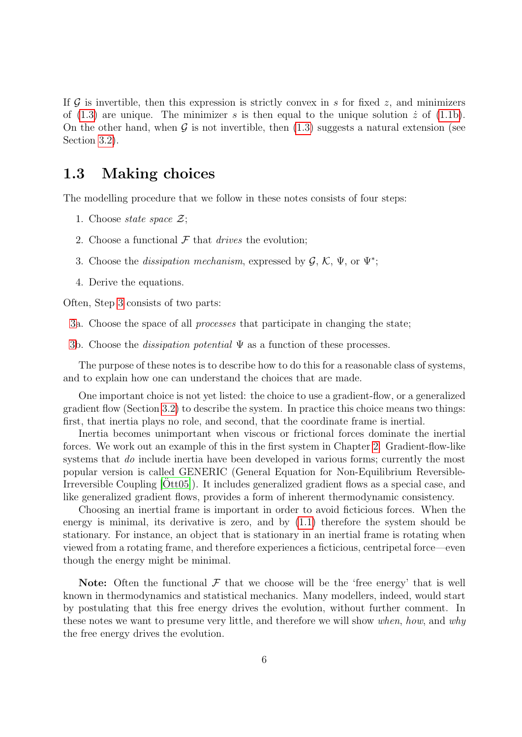If G is invertible, then this expression is strictly convex in s for fixed z, and minimizers of  $(1.3)$  are unique. The minimizer s is then equal to the unique solution  $\dot{z}$  of  $(1.1b)$ . On the other hand, when  $G$  is not invertible, then  $(1.3)$  suggests a natural extension (see Section [3.2\)](#page-17-0).

### <span id="page-6-0"></span>1.3 Making choices

The modelling procedure that we follow in these notes consists of four steps:

- 1. Choose *state space*  $\mathcal{Z}$ ;
- 2. Choose a functional  $\mathcal F$  that *drives* the evolution;
- <span id="page-6-1"></span>3. Choose the *dissipation mechanism*, expressed by  $\mathcal{G}, \mathcal{K}, \Psi$ , or  $\Psi^*$ ;
- 4. Derive the equations.

Often, Step [3](#page-6-1) consists of two parts:

- [3a](#page-6-1). Choose the space of all processes that participate in changing the state;
- [3b](#page-6-1). Choose the *dissipation potential*  $\Psi$  as a function of these processes.

The purpose of these notes is to describe how to do this for a reasonable class of systems, and to explain how one can understand the choices that are made.

One important choice is not yet listed: the choice to use a gradient-flow, or a generalized gradient flow (Section [3.2\)](#page-17-0) to describe the system. In practice this choice means two things: first, that inertia plays no role, and second, that the coordinate frame is inertial.

Inertia becomes unimportant when viscous or frictional forces dominate the inertial forces. We work out an example of this in the first system in Chapter [2.](#page-8-0) Gradient-flow-like systems that *do* include inertia have been developed in various forms; currently the most popular version is called GENERIC (General Equation for Non-Equilibrium Reversible-Irreversible Coupling  $[Ott05]$ . It includes generalized gradient flows as a special case, and like generalized gradient flows, provides a form of inherent thermodynamic consistency.

Choosing an inertial frame is important in order to avoid ficticious forces. When the energy is minimal, its derivative is zero, and by  $(1.1)$  therefore the system should be stationary. For instance, an object that is stationary in an inertial frame is rotating when viewed from a rotating frame, and therefore experiences a ficticious, centripetal force—even though the energy might be minimal.

Note: Often the functional  $\mathcal F$  that we choose will be the 'free energy' that is well known in thermodynamics and statistical mechanics. Many modellers, indeed, would start by postulating that this free energy drives the evolution, without further comment. In these notes we want to presume very little, and therefore we will show when, how, and why the free energy drives the evolution.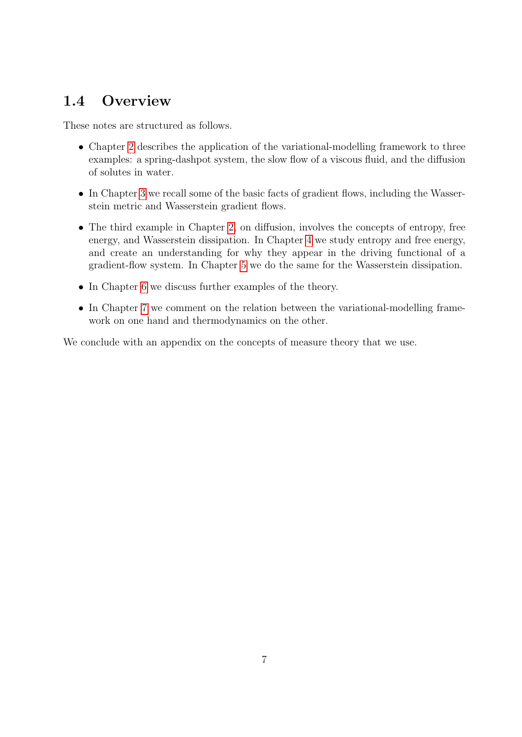### <span id="page-7-0"></span>1.4 Overview

These notes are structured as follows.

- Chapter [2](#page-8-0) describes the application of the variational-modelling framework to three examples: a spring-dashpot system, the slow flow of a viscous fluid, and the diffusion of solutes in water.
- In Chapter [3](#page-16-1) we recall some of the basic facts of gradient flows, including the Wasserstein metric and Wasserstein gradient flows.
- The third example in Chapter [2,](#page-8-0) on diffusion, involves the concepts of entropy, free energy, and Wasserstein dissipation. In Chapter [4](#page-26-0) we study entropy and free energy, and create an understanding for why they appear in the driving functional of a gradient-flow system. In Chapter [5](#page-42-0) we do the same for the Wasserstein dissipation.
- In Chapter [6](#page-50-0) we discuss further examples of the theory.
- In Chapter [7](#page-58-0) we comment on the relation between the variational-modelling framework on one hand and thermodynamics on the other.

We conclude with an appendix on the concepts of measure theory that we use.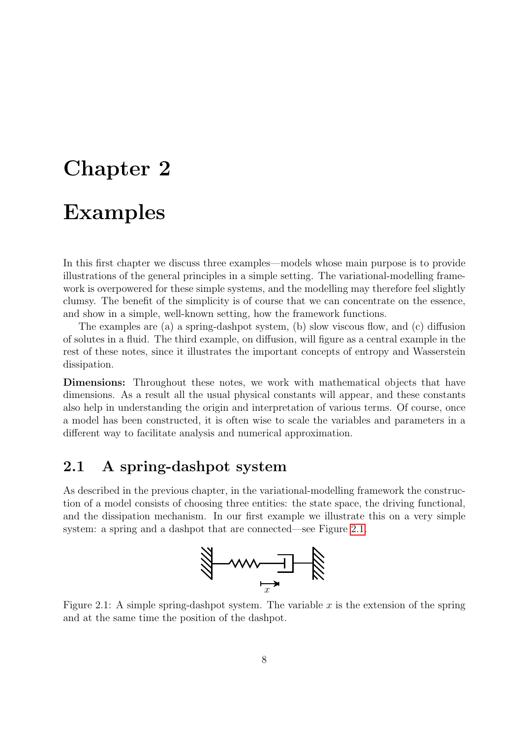# <span id="page-8-0"></span>Chapter 2 Examples

In this first chapter we discuss three examples—models whose main purpose is to provide illustrations of the general principles in a simple setting. The variational-modelling framework is overpowered for these simple systems, and the modelling may therefore feel slightly clumsy. The benefit of the simplicity is of course that we can concentrate on the essence, and show in a simple, well-known setting, how the framework functions.

The examples are (a) a spring-dashpot system, (b) slow viscous flow, and (c) diffusion of solutes in a fluid. The third example, on diffusion, will figure as a central example in the rest of these notes, since it illustrates the important concepts of entropy and Wasserstein dissipation.

Dimensions: Throughout these notes, we work with mathematical objects that have dimensions. As a result all the usual physical constants will appear, and these constants also help in understanding the origin and interpretation of various terms. Of course, once a model has been constructed, it is often wise to scale the variables and parameters in a different way to facilitate analysis and numerical approximation.

### <span id="page-8-1"></span>2.1 A spring-dashpot system

As described in the previous chapter, in the variational-modelling framework the construction of a model consists of choosing three entities: the state space, the driving functional, and the dissipation mechanism. In our first example we illustrate this on a very simple system: a spring and a dashpot that are connected—see Figure [2.1.](#page-8-2)

<span id="page-8-2"></span>

Figure 2.1: A simple spring-dashpot system. The variable x is the extension of the spring and at the same time the position of the dashpot.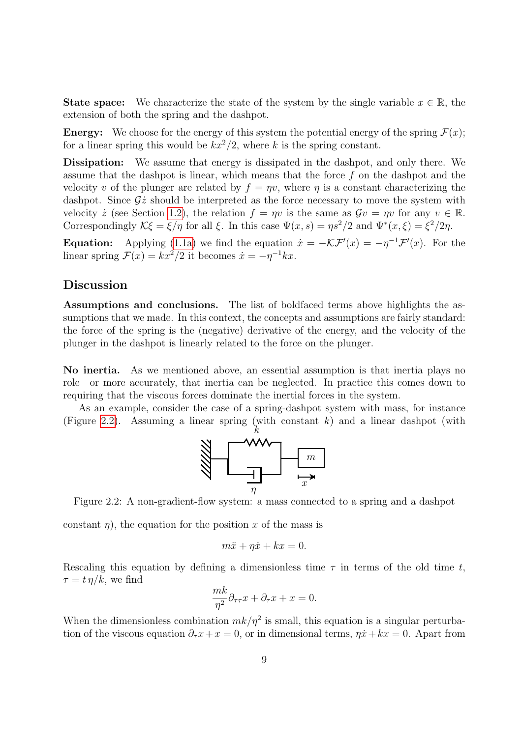**State space:** We characterize the state of the system by the single variable  $x \in \mathbb{R}$ , the extension of both the spring and the dashpot.

**Energy:** We choose for the energy of this system the potential energy of the spring  $\mathcal{F}(x)$ ; for a linear spring this would be  $kx^2/2$ , where k is the spring constant.

Dissipation: We assume that energy is dissipated in the dashpot, and only there. We assume that the dashpot is linear, which means that the force f on the dashpot and the velocity v of the plunger are related by  $f = \eta v$ , where  $\eta$  is a constant characterizing the dashpot. Since  $\mathcal{G}\dot{z}$  should be interpreted as the force necessary to move the system with velocity  $\dot{z}$  (see Section [1.2\)](#page-5-0), the relation  $f = \eta v$  is the same as  $\mathcal{G}v = \eta v$  for any  $v \in \mathbb{R}$ . Correspondingly  $\mathcal{K}\xi = \xi/\eta$  for all  $\xi$ . In this case  $\Psi(x, s) = \eta s^2/2$  and  $\Psi^*(x, \xi) = \xi^2/2\eta$ .

**Equation:** Applying [\(1.1a\)](#page-5-3) we find the equation  $\dot{x} = -\mathcal{K} \mathcal{F}'(x) = -\eta^{-1} \mathcal{F}'(x)$ . For the linear spring  $\mathcal{F}(x) = kx^2/2$  it becomes  $\dot{x} = -\eta^{-1}kx$ .

#### Discussion

Assumptions and conclusions. The list of boldfaced terms above highlights the assumptions that we made. In this context, the concepts and assumptions are fairly standard: the force of the spring is the (negative) derivative of the energy, and the velocity of the plunger in the dashpot is linearly related to the force on the plunger.

No inertia. As we mentioned above, an essential assumption is that inertia plays no role—or more accurately, that inertia can be neglected. In practice this comes down to requiring that the viscous forces dominate the inertial forces in the system.

As an example, consider the case of a spring-dashpot system with mass, for instance (Figure [2.2\)](#page-9-0). Assuming a linear spring (with constant  $k$ ) and a linear dashpot (with



Figure 2.2: A non-gradient-flow system: a mass connected to a spring and a dashpot

constant  $\eta$ ), the equation for the position x of the mass is

<span id="page-9-0"></span>
$$
m\ddot{x} + \eta \dot{x} + kx = 0.
$$

Rescaling this equation by defining a dimensionless time  $\tau$  in terms of the old time t,  $\tau = t \eta/k$ , we find

$$
\frac{mk}{\eta^2}\partial_{\tau\tau}x + \partial_{\tau}x + x = 0.
$$

When the dimensionless combination  $mk/\eta^2$  is small, this equation is a singular perturbation of the viscous equation  $\partial_{\tau}x+x=0$ , or in dimensional terms,  $\eta\dot{x}+kx=0$ . Apart from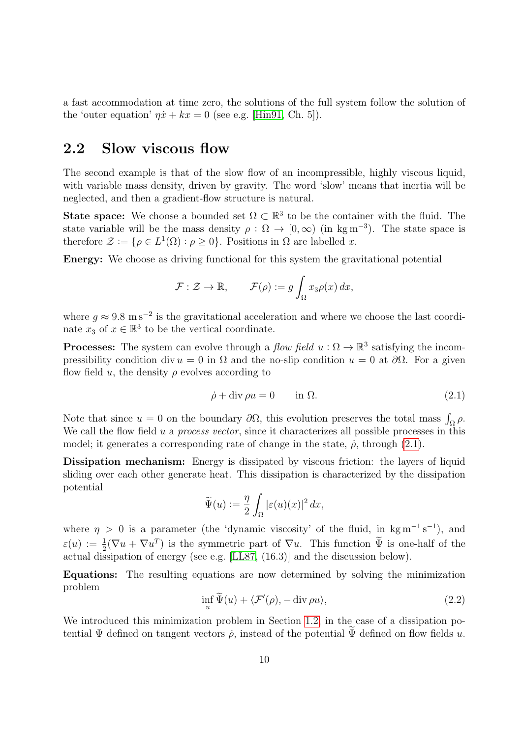a fast accommodation at time zero, the solutions of the full system follow the solution of the 'outer equation'  $n\dot{x} + kx = 0$  (see e.g. [\[Hin91,](#page-62-0) Ch. 5]).

#### <span id="page-10-0"></span>2.2 Slow viscous flow

The second example is that of the slow flow of an incompressible, highly viscous liquid, with variable mass density, driven by gravity. The word 'slow' means that inertia will be neglected, and then a gradient-flow structure is natural.

**State space:** We choose a bounded set  $\Omega \subset \mathbb{R}^3$  to be the container with the fluid. The state variable will be the mass density  $\rho : \Omega \to [0, \infty)$  (in kg m<sup>-3</sup>). The state space is therefore  $\mathcal{Z} := \{ \rho \in L^1(\Omega) : \rho \geq 0 \}.$  Positions in  $\Omega$  are labelled x.

Energy: We choose as driving functional for this system the gravitational potential

$$
\mathcal{F}: \mathcal{Z} \to \mathbb{R}, \qquad \mathcal{F}(\rho) := g \int_{\Omega} x_3 \rho(x) \, dx,
$$

where  $g \approx 9.8 \text{ m s}^{-2}$  is the gravitational acceleration and where we choose the last coordinate  $x_3$  of  $x \in \mathbb{R}^3$  to be the vertical coordinate.

**Processes:** The system can evolve through a *flow field*  $u : \Omega \to \mathbb{R}^3$  satisfying the incompressibility condition div  $u = 0$  in  $\Omega$  and the no-slip condition  $u = 0$  at  $\partial\Omega$ . For a given flow field u, the density  $\rho$  evolves according to

<span id="page-10-1"></span>
$$
\dot{\rho} + \text{div}\,\rho u = 0 \qquad \text{in } \Omega. \tag{2.1}
$$

Note that since  $u = 0$  on the boundary  $\partial\Omega$ , this evolution preserves the total mass  $\int_{\Omega} \rho$ . We call the flow field  $u$  a *process vector*, since it characterizes all possible processes in this model; it generates a corresponding rate of change in the state,  $\rho$ , through [\(2.1\)](#page-10-1).

Dissipation mechanism: Energy is dissipated by viscous friction: the layers of liquid sliding over each other generate heat. This dissipation is characterized by the dissipation potential

$$
\widetilde{\Psi}(u) := \frac{\eta}{2} \int_{\Omega} |\varepsilon(u)(x)|^2 dx,
$$

where  $\eta > 0$  is a parameter (the 'dynamic viscosity' of the fluid, in kg m<sup>-1</sup>s<sup>-1</sup>), and  $\varepsilon(u) := \frac{1}{2}$  $\frac{1}{2}(\nabla u + \nabla u^T)$  is the symmetric part of  $\nabla u$ . This function  $\Psi$  is one-half of the actual dissipation of energy (see e.g. [\[LL87,](#page-62-1) (16.3)] and the discussion below).

<span id="page-10-2"></span>Equations: The resulting equations are now determined by solving the minimization problem

$$
\inf_{u} \widetilde{\Psi}(u) + \langle \mathcal{F}'(\rho), -\operatorname{div}\rho u \rangle, \tag{2.2}
$$

We introduced this minimization problem in Section [1.2,](#page-5-0) in the case of a dissipation potential  $\Psi$  defined on tangent vectors  $\rho$ , instead of the potential  $\Psi$  defined on flow fields u.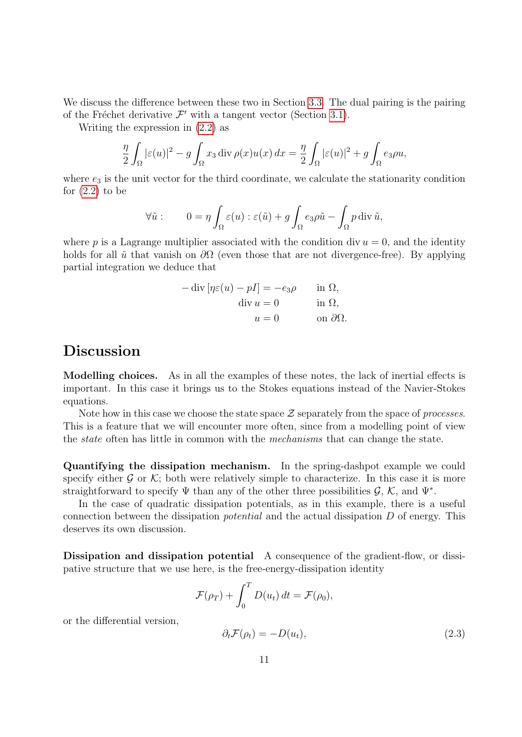We discuss the difference between these two in Section [3.3.](#page-19-0) The dual pairing is the pairing of the Fréchet derivative  $\mathcal{F}'$  with a tangent vector (Section [3.1\)](#page-16-0).

Writing the expression in [\(2.2\)](#page-10-2) as

$$
\frac{\eta}{2} \int_{\Omega} |\varepsilon(u)|^2 - g \int_{\Omega} x_3 \operatorname{div} \rho(x) u(x) dx = \frac{\eta}{2} \int_{\Omega} |\varepsilon(u)|^2 + g \int_{\Omega} e_3 \rho u,
$$

where  $e_3$  is the unit vector for the third coordinate, we calculate the stationarity condition for  $(2.2)$  to be

$$
\forall \tilde{u} : \qquad 0 = \eta \int_{\Omega} \varepsilon(u) : \varepsilon(\tilde{u}) + g \int_{\Omega} e_3 \rho \tilde{u} - \int_{\Omega} p \operatorname{div} \tilde{u},
$$

where p is a Lagrange multiplier associated with the condition div  $u = 0$ , and the identity holds for all  $\tilde{u}$  that vanish on  $\partial\Omega$  (even those that are not divergence-free). By applying partial integration we deduce that

$$
-\operatorname{div}[\eta \varepsilon(u) - pI] = -e_3 \rho \quad \text{in } \Omega,
$$
  
\n
$$
\operatorname{div} u = 0 \quad \text{in } \Omega,
$$
  
\n
$$
u = 0 \quad \text{on } \partial \Omega.
$$

### Discussion

Modelling choices. As in all the examples of these notes, the lack of inertial effects is important. In this case it brings us to the Stokes equations instead of the Navier-Stokes equations.

Note how in this case we choose the state space  $\mathcal Z$  separately from the space of *processes*. This is a feature that we will encounter more often, since from a modelling point of view the state often has little in common with the mechanisms that can change the state.

Quantifying the dissipation mechanism. In the spring-dashpot example we could specify either G or K; both were relatively simple to characterize. In this case it is more straightforward to specify  $\Psi$  than any of the other three possibilities  $\mathcal{G}, \mathcal{K}$ , and  $\Psi^*$ .

In the case of quadratic dissipation potentials, as in this example, there is a useful connection between the dissipation potential and the actual dissipation D of energy. This deserves its own discussion.

<span id="page-11-1"></span>Dissipation and dissipation potential A consequence of the gradient-flow, or dissipative structure that we use here, is the free-energy-dissipation identity

<span id="page-11-0"></span>
$$
\mathcal{F}(\rho_T) + \int_0^T D(u_t) dt = \mathcal{F}(\rho_0),
$$

or the differential version,

$$
\partial_t \mathcal{F}(\rho_t) = -D(u_t),\tag{2.3}
$$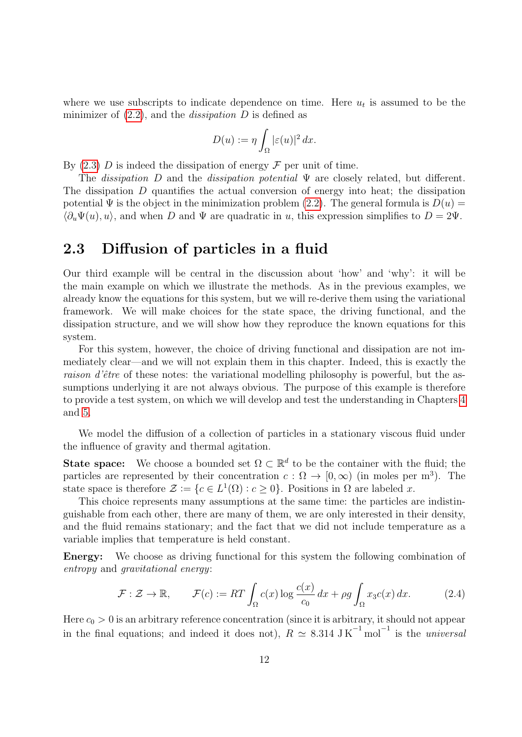where we use subscripts to indicate dependence on time. Here  $u_t$  is assumed to be the minimizer of  $(2.2)$ , and the *dissipation* D is defined as

$$
D(u) := \eta \int_{\Omega} |\varepsilon(u)|^2 dx.
$$

By  $(2.3)$  D is indeed the dissipation of energy  $\mathcal F$  per unit of time.

The *dissipation* D and the *dissipation potential*  $\Psi$  are closely related, but different. The dissipation D quantifies the actual conversion of energy into heat; the dissipation potential  $\Psi$  is the object in the minimization problem [\(2.2\)](#page-10-2). The general formula is  $D(u)$  $\langle \partial_u \Psi(u), u \rangle$ , and when D and  $\Psi$  are quadratic in u, this expression simplifies to  $D = 2\Psi$ .

#### <span id="page-12-0"></span>2.3 Diffusion of particles in a fluid

Our third example will be central in the discussion about 'how' and 'why': it will be the main example on which we illustrate the methods. As in the previous examples, we already know the equations for this system, but we will re-derive them using the variational framework. We will make choices for the state space, the driving functional, and the dissipation structure, and we will show how they reproduce the known equations for this system.

For this system, however, the choice of driving functional and dissipation are not immediately clear—and we will not explain them in this chapter. Indeed, this is exactly the raison d'être of these notes: the variational modelling philosophy is powerful, but the assumptions underlying it are not always obvious. The purpose of this example is therefore to provide a test system, on which we will develop and test the understanding in Chapters [4](#page-26-0) and [5.](#page-42-0)

We model the diffusion of a collection of particles in a stationary viscous fluid under the influence of gravity and thermal agitation.

**State space:** We choose a bounded set  $\Omega \subset \mathbb{R}^d$  to be the container with the fluid; the particles are represented by their concentration  $c: \Omega \to [0, \infty)$  (in moles per m<sup>3</sup>). The state space is therefore  $\mathcal{Z} := \{c \in L^1(\Omega) : c \geq 0\}$ . Positions in  $\Omega$  are labeled x.

This choice represents many assumptions at the same time: the particles are indistinguishable from each other, there are many of them, we are only interested in their density, and the fluid remains stationary; and the fact that we did not include temperature as a variable implies that temperature is held constant.

Energy: We choose as driving functional for this system the following combination of entropy and gravitational energy:

<span id="page-12-1"></span>
$$
\mathcal{F}: \mathcal{Z} \to \mathbb{R}, \qquad \mathcal{F}(c) := RT \int_{\Omega} c(x) \log \frac{c(x)}{c_0} dx + \rho g \int_{\Omega} x_3 c(x) dx. \tag{2.4}
$$

Here  $c_0 > 0$  is an arbitrary reference concentration (since it is arbitrary, it should not appear in the final equations; and indeed it does not),  $R \simeq 8.314 \text{ J K}^{-1} \text{mol}^{-1}$  is the *universal*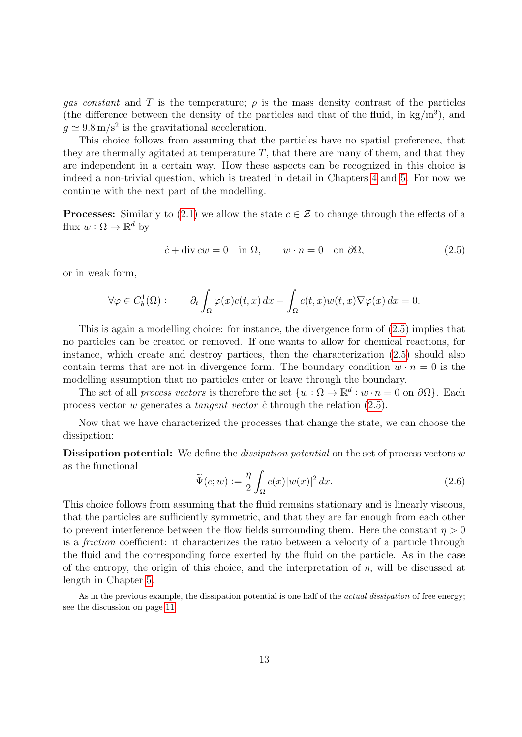gas constant and T is the temperature;  $\rho$  is the mass density contrast of the particles (the difference between the density of the particles and that of the fluid, in  $\text{kg/m}^3$ ), and  $g \simeq 9.8 \,\mathrm{m/s^2}$  is the gravitational acceleration.

This choice follows from assuming that the particles have no spatial preference, that they are thermally agitated at temperature  $T$ , that there are many of them, and that they are independent in a certain way. How these aspects can be recognized in this choice is indeed a non-trivial question, which is treated in detail in Chapters [4](#page-26-0) and [5.](#page-42-0) For now we continue with the next part of the modelling.

**Processes:** Similarly to [\(2.1\)](#page-10-1) we allow the state  $c \in \mathcal{Z}$  to change through the effects of a flux  $w: \Omega \to \mathbb{R}^d$  by

<span id="page-13-0"></span>
$$
\dot{c} + \text{div}\,cw = 0 \quad \text{in } \Omega, \qquad w \cdot n = 0 \quad \text{on } \partial\Omega,\tag{2.5}
$$

or in weak form,

$$
\forall \varphi \in C_b^1(\Omega) : \qquad \partial_t \int_{\Omega} \varphi(x) c(t, x) \, dx - \int_{\Omega} c(t, x) w(t, x) \nabla \varphi(x) \, dx = 0.
$$

This is again a modelling choice: for instance, the divergence form of [\(2.5\)](#page-13-0) implies that no particles can be created or removed. If one wants to allow for chemical reactions, for instance, which create and destroy partices, then the characterization [\(2.5\)](#page-13-0) should also contain terms that are not in divergence form. The boundary condition  $w \cdot n = 0$  is the modelling assumption that no particles enter or leave through the boundary.

The set of all *process vectors* is therefore the set  $\{w : \Omega \to \mathbb{R}^d : w \cdot n = 0 \text{ on } \partial\Omega\}$ . Each process vector w generates a *tangent vector*  $\dot{c}$  through the relation [\(2.5\)](#page-13-0).

Now that we have characterized the processes that change the state, we can choose the dissipation:

**Dissipation potential:** We define the *dissipation potential* on the set of process vectors  $w$ as the functional

<span id="page-13-1"></span>
$$
\widetilde{\Psi}(c;w) := \frac{\eta}{2} \int_{\Omega} c(x) |w(x)|^2 dx.
$$
\n(2.6)

This choice follows from assuming that the fluid remains stationary and is linearly viscous, that the particles are sufficiently symmetric, and that they are far enough from each other to prevent interference between the flow fields surrounding them. Here the constant  $\eta > 0$ is a friction coefficient: it characterizes the ratio between a velocity of a particle through the fluid and the corresponding force exerted by the fluid on the particle. As in the case of the entropy, the origin of this choice, and the interpretation of  $\eta$ , will be discussed at length in Chapter [5.](#page-42-0)

As in the previous example, the dissipation potential is one half of the *actual dissipation* of free energy; see the discussion on page [11.](#page-11-1)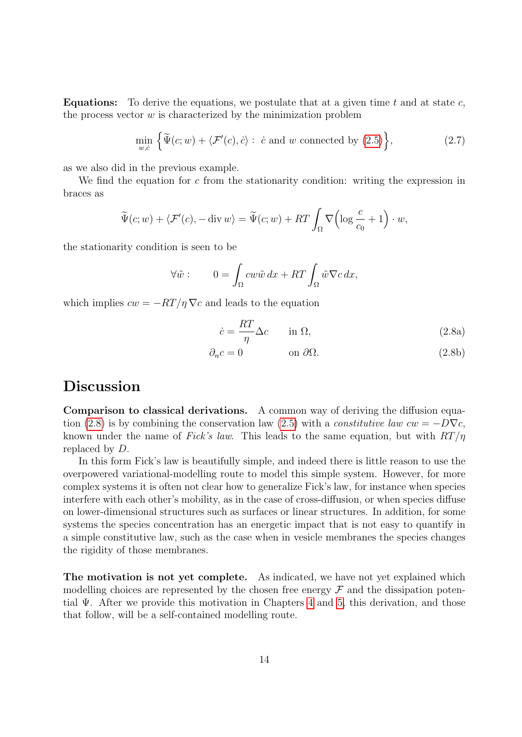**Equations:** To derive the equations, we postulate that at a given time  $t$  and at state  $c$ , the process vector  $w$  is characterized by the minimization problem

<span id="page-14-1"></span>
$$
\min_{w,\dot{c}} \left\{ \widetilde{\Psi}(c;w) + \langle \mathcal{F}'(c), \dot{c} \rangle : \ \dot{c} \text{ and } w \text{ connected by (2.5)} \right\},\tag{2.7}
$$

as we also did in the previous example.

We find the equation for  $c$  from the stationarity condition: writing the expression in braces as

$$
\widetilde{\Psi}(c; w) + \langle \mathcal{F}'(c), -\operatorname{div} w \rangle = \widetilde{\Psi}(c; w) + RT \int_{\Omega} \nabla \left( \log \frac{c}{c_0} + 1 \right) \cdot w,
$$

the stationarity condition is seen to be

$$
\forall \tilde{w} : \qquad 0 = \int_{\Omega} cw \tilde{w} \, dx + RT \int_{\Omega} \tilde{w} \nabla c \, dx,
$$

which implies  $cw = -RT/\eta \nabla c$  and leads to the equation

<span id="page-14-0"></span>
$$
\dot{c} = \frac{RT}{\eta} \Delta c \qquad \text{in } \Omega,
$$
\n(2.8a)

$$
\partial_n c = 0 \qquad \text{on } \partial \Omega. \tag{2.8b}
$$

### Discussion

Comparison to classical derivations. A common way of deriving the diffusion equa-tion [\(2.8\)](#page-14-0) is by combining the conservation law [\(2.5\)](#page-13-0) with a *constitutive law cw* =  $-D\nabla c$ , known under the name of Fick's law. This leads to the same equation, but with  $RT/\eta$ replaced by D.

In this form Fick's law is beautifully simple, and indeed there is little reason to use the overpowered variational-modelling route to model this simple system. However, for more complex systems it is often not clear how to generalize Fick's law, for instance when species interfere with each other's mobility, as in the case of cross-diffusion, or when species diffuse on lower-dimensional structures such as surfaces or linear structures. In addition, for some systems the species concentration has an energetic impact that is not easy to quantify in a simple constitutive law, such as the case when in vesicle membranes the species changes the rigidity of those membranes.

The motivation is not yet complete. As indicated, we have not yet explained which modelling choices are represented by the chosen free energy  $\mathcal F$  and the dissipation potential  $\Psi$ . After we provide this motivation in Chapters [4](#page-26-0) and [5,](#page-42-0) this derivation, and those that follow, will be a self-contained modelling route.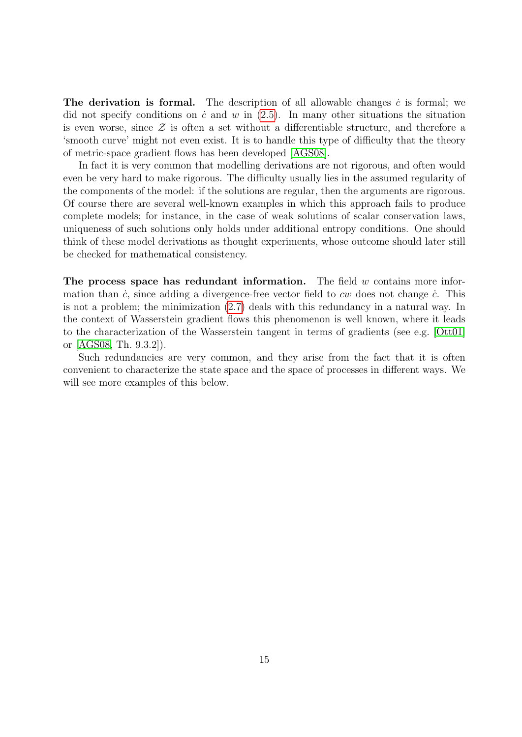**The derivation is formal.** The description of all allowable changes  $\dot{c}$  is formal; we did not specify conditions on  $\dot{c}$  and w in [\(2.5\)](#page-13-0). In many other situations the situation is even worse, since  $\mathcal Z$  is often a set without a differentiable structure, and therefore a 'smooth curve' might not even exist. It is to handle this type of difficulty that the theory of metric-space gradient flows has been developed [\[AGS08\]](#page-61-0).

In fact it is very common that modelling derivations are not rigorous, and often would even be very hard to make rigorous. The difficulty usually lies in the assumed regularity of the components of the model: if the solutions are regular, then the arguments are rigorous. Of course there are several well-known examples in which this approach fails to produce complete models; for instance, in the case of weak solutions of scalar conservation laws, uniqueness of such solutions only holds under additional entropy conditions. One should think of these model derivations as thought experiments, whose outcome should later still be checked for mathematical consistency.

The process space has redundant information. The field  $w$  contains more information than  $\dot{c}$ , since adding a divergence-free vector field to cw does not change  $\dot{c}$ . This is not a problem; the minimization [\(2.7\)](#page-14-1) deals with this redundancy in a natural way. In the context of Wasserstein gradient flows this phenomenon is well known, where it leads to the characterization of the Wasserstein tangent in terms of gradients (see e.g. [\[Ott01\]](#page-62-2) or [\[AGS08,](#page-61-0) Th. 9.3.2]).

Such redundancies are very common, and they arise from the fact that it is often convenient to characterize the state space and the space of processes in different ways. We will see more examples of this below.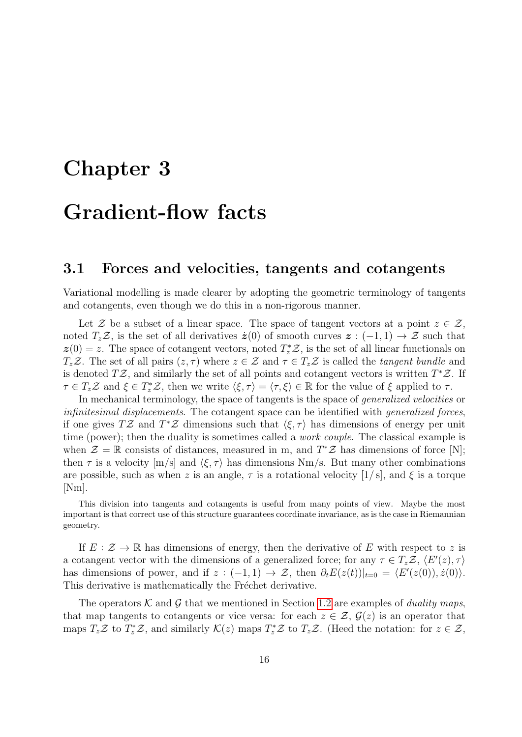# <span id="page-16-1"></span>Chapter 3 Gradient-flow facts

#### <span id="page-16-0"></span>3.1 Forces and velocities, tangents and cotangents

Variational modelling is made clearer by adopting the geometric terminology of tangents and cotangents, even though we do this in a non-rigorous manner.

Let Z be a subset of a linear space. The space of tangent vectors at a point  $z \in \mathcal{Z}$ , noted  $T_z\mathcal{Z}$ , is the set of all derivatives  $\dot{\mathbf{z}}(0)$  of smooth curves  $\mathbf{z}: (-1,1) \to \mathcal{Z}$  such that  $z(0) = z$ . The space of cotangent vectors, noted  $T_z^* \mathcal{Z}$ , is the set of all linear functionals on  $T_z\mathcal{Z}$ . The set of all pairs  $(z, \tau)$  where  $z \in \mathcal{Z}$  and  $\tau \in T_z\mathcal{Z}$  is called the tangent bundle and is denoted  $T\mathcal{Z}$ , and similarly the set of all points and cotangent vectors is written  $T^*\mathcal{Z}$ . If  $\tau \in T_z \mathcal{Z}$  and  $\xi \in T_z^* \mathcal{Z}$ , then we write  $\langle \xi, \tau \rangle = \langle \tau, \xi \rangle \in \mathbb{R}$  for the value of  $\xi$  applied to  $\tau$ .

In mechanical terminology, the space of tangents is the space of generalized velocities or infinitesimal displacements. The cotangent space can be identified with generalized forces, if one gives  $T\mathcal{Z}$  and  $T^*\mathcal{Z}$  dimensions such that  $\langle \xi, \tau \rangle$  has dimensions of energy per unit time (power); then the duality is sometimes called a *work couple*. The classical example is when  $\mathcal{Z} = \mathbb{R}$  consists of distances, measured in m, and  $T^*\mathcal{Z}$  has dimensions of force [N]; then  $\tau$  is a velocity  $[m/s]$  and  $\langle \xi, \tau \rangle$  has dimensions Nm/s. But many other combinations are possible, such as when z is an angle,  $\tau$  is a rotational velocity  $[1/s]$ , and  $\xi$  is a torque [Nm].

This division into tangents and cotangents is useful from many points of view. Maybe the most important is that correct use of this structure guarantees coordinate invariance, as is the case in Riemannian geometry.

If  $E : \mathcal{Z} \to \mathbb{R}$  has dimensions of energy, then the derivative of E with respect to z is a cotangent vector with the dimensions of a generalized force; for any  $\tau \in T_z \mathcal{Z}, \langle E'(z), \tau \rangle$ has dimensions of power, and if  $z: (-1,1) \to \mathcal{Z}$ , then  $\partial_t E(z(t))|_{t=0} = \langle E'(z(0)), \dot{z}(0) \rangle$ . This derivative is mathematically the Fréchet derivative.

The operators K and G that we mentioned in Section [1.2](#page-5-0) are examples of *duality maps*, that map tangents to cotangents or vice versa: for each  $z \in \mathcal{Z}, \mathcal{G}(z)$  is an operator that maps  $T_z\mathcal{Z}$  to  $T_z^*\mathcal{Z}$ , and similarly  $\mathcal{K}(z)$  maps  $T_z^*\mathcal{Z}$  to  $T_z\mathcal{Z}$ . (Heed the notation: for  $z \in \mathcal{Z}$ ,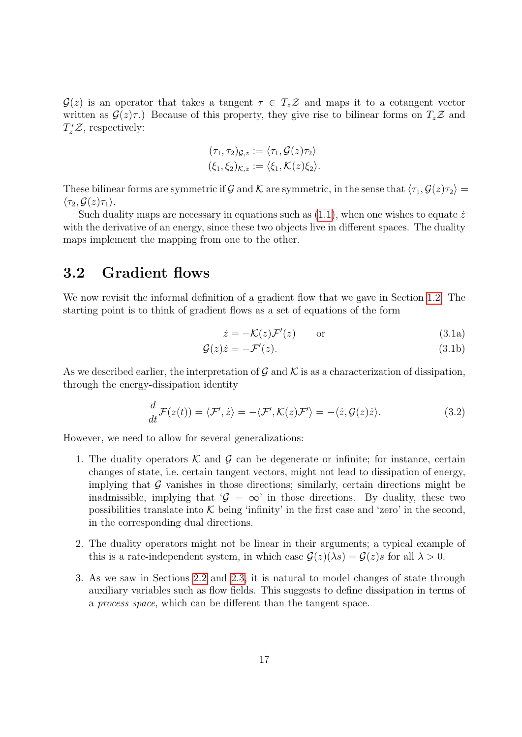$\mathcal{G}(z)$  is an operator that takes a tangent  $\tau \in T_z \mathcal{Z}$  and maps it to a cotangent vector written as  $\mathcal{G}(z)\tau$ .) Because of this property, they give rise to bilinear forms on  $T_z\mathcal{Z}$  and  $T_z^*\mathcal{Z}$ , respectively:

$$
(\tau_1, \tau_2)_{\mathcal{G},z} := \langle \tau_1, \mathcal{G}(z)\tau_2 \rangle
$$
  

$$
(\xi_1, \xi_2)_{\mathcal{K},z} := \langle \xi_1, \mathcal{K}(z)\xi_2 \rangle.
$$

These bilinear forms are symmetric if G and K are symmetric, in the sense that  $\langle \tau_1, \mathcal{G}(z)\tau_2 \rangle =$  $\langle \tau_2, \mathcal{G}(z) \tau_1 \rangle$ .

Such duality maps are necessary in equations such as  $(1.1)$ , when one wishes to equate  $\dot{z}$ with the derivative of an energy, since these two objects live in different spaces. The duality maps implement the mapping from one to the other.

#### <span id="page-17-0"></span>3.2 Gradient flows

We now revisit the informal definition of a gradient flow that we gave in Section [1.2.](#page-5-0) The starting point is to think of gradient flows as a set of equations of the form

<span id="page-17-5"></span><span id="page-17-1"></span>
$$
\dot{z} = -\mathcal{K}(z)\mathcal{F}'(z) \qquad \text{or} \tag{3.1a}
$$

$$
\mathcal{G}(z)\dot{z} = -\mathcal{F}'(z). \tag{3.1b}
$$

As we described earlier, the interpretation of  $\mathcal G$  and  $\mathcal K$  is as a characterization of dissipation, through the energy-dissipation identity

$$
\frac{d}{dt}\mathcal{F}(z(t)) = \langle \mathcal{F}', \dot{z} \rangle = -\langle \mathcal{F}', \mathcal{K}(z)\mathcal{F}' \rangle = -\langle \dot{z}, \mathcal{G}(z)\dot{z} \rangle.
$$
\n(3.2)

<span id="page-17-3"></span>However, we need to allow for several generalizations:

- 1. The duality operators  $K$  and  $G$  can be degenerate or infinite; for instance, certain changes of state, i.e. certain tangent vectors, might not lead to dissipation of energy, implying that  $G$  vanishes in those directions; similarly, certain directions might be inadmissible, implying that ' $\mathcal{G} = \infty$ ' in those directions. By duality, these two possibilities translate into  $K$  being 'infinity' in the first case and 'zero' in the second, in the corresponding dual directions.
- <span id="page-17-4"></span>2. The duality operators might not be linear in their arguments; a typical example of this is a rate-independent system, in which case  $\mathcal{G}(z)(\lambda s) = \mathcal{G}(z)s$  for all  $\lambda > 0$ .
- <span id="page-17-2"></span>3. As we saw in Sections [2.2](#page-10-0) and [2.3,](#page-12-0) it is natural to model changes of state through auxiliary variables such as flow fields. This suggests to define dissipation in terms of a process space, which can be different than the tangent space.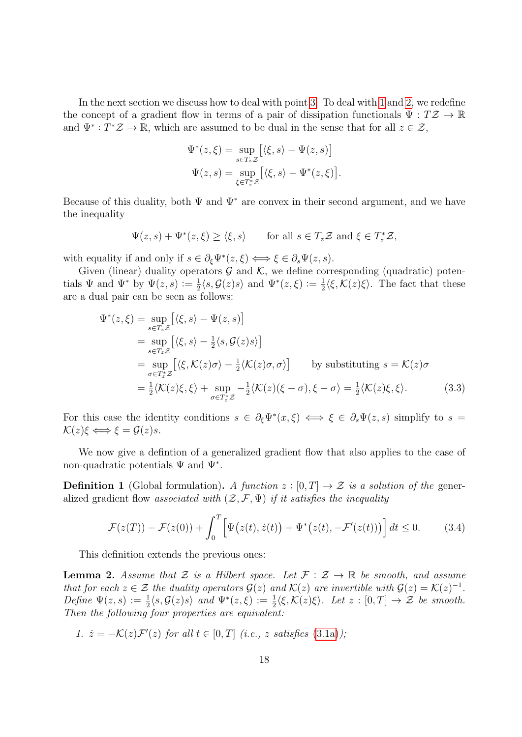In the next section we discuss how to deal with point [3.](#page-17-2) To deal with [1](#page-17-3) and [2,](#page-17-4) we redefine the concept of a gradient flow in terms of a pair of dissipation functionals  $\Psi: T\mathcal{Z} \to \mathbb{R}$ and  $\Psi^*: T^*\mathcal{Z} \to \mathbb{R}$ , which are assumed to be dual in the sense that for all  $z \in \mathcal{Z}$ ,

$$
\Psi^*(z,\xi) = \sup_{s \in T_z \mathcal{Z}} \left[ \langle \xi, s \rangle - \Psi(z,s) \right]
$$

$$
\Psi(z,s) = \sup_{\xi \in T_z^* \mathcal{Z}} \left[ \langle \xi, s \rangle - \Psi^*(z,\xi) \right].
$$

Because of this duality, both  $\Psi$  and  $\Psi^*$  are convex in their second argument, and we have the inequality

<span id="page-18-0"></span>
$$
\Psi(z,s)+\Psi^*(z,\xi)\geq\langle\xi,s\rangle\qquad\text{for all }s\in T_z\mathcal{Z}\text{ and }\xi\in T_z^*\mathcal{Z},
$$

with equality if and only if  $s \in \partial_{\xi} \Psi^*(z, \xi) \Longleftrightarrow \xi \in \partial_s \Psi(z, s)$ .

Given (linear) duality operators  $\mathcal G$  and  $\mathcal K$ , we define corresponding (quadratic) potentials  $\Psi$  and  $\Psi^*$  by  $\Psi(z,s) := \frac{1}{2}$  $\frac{1}{2}\langle s, \mathcal{G}(z)s \rangle$  and  $\Psi^*(z,\xi) \vcentcolon= \frac{1}{2}$  $\frac{1}{2}\langle \xi, \mathcal{K}(z)\xi \rangle$ . The fact that these are a dual pair can be seen as follows:

$$
\Psi^*(z,\xi) = \sup_{s \in T_z \mathcal{Z}} [\langle \xi, s \rangle - \Psi(z,s)]
$$
  
\n
$$
= \sup_{s \in T_z \mathcal{Z}} [\langle \xi, s \rangle - \frac{1}{2} \langle s, \mathcal{G}(z)s \rangle]
$$
  
\n
$$
= \sup_{\sigma \in T_z^* \mathcal{Z}} [\langle \xi, \mathcal{K}(z)\sigma \rangle - \frac{1}{2} \langle \mathcal{K}(z)\sigma, \sigma \rangle] \qquad \text{by substituting } s = \mathcal{K}(z)\sigma
$$
  
\n
$$
= \frac{1}{2} \langle \mathcal{K}(z)\xi, \xi \rangle + \sup_{\sigma \in T_z^* \mathcal{Z}} -\frac{1}{2} \langle \mathcal{K}(z)(\xi - \sigma), \xi - \sigma \rangle = \frac{1}{2} \langle \mathcal{K}(z)\xi, \xi \rangle. \qquad (3.3)
$$

For this case the identity conditions  $s \in \partial_{\xi} \Psi^*(x,\xi) \iff \xi \in \partial_s \Psi(z,s)$  simplify to  $s =$  $\mathcal{K}(z)\xi \Longleftrightarrow \xi = \mathcal{G}(z)s.$ 

We now give a defintion of a generalized gradient flow that also applies to the case of non-quadratic potentials  $\Psi$  and  $\Psi^*$ .

<span id="page-18-2"></span>**Definition 1** (Global formulation). A function  $z : [0, T] \rightarrow \mathcal{Z}$  is a solution of the generalized gradient flow associated with  $(\mathcal{Z}, \mathcal{F}, \Psi)$  if it satisfies the inequality

<span id="page-18-1"></span>
$$
\mathcal{F}(z(T)) - \mathcal{F}(z(0)) + \int_0^T \left[ \Psi(z(t), \dot{z}(t)) + \Psi^*(z(t), -\mathcal{F}'(z(t))) \right] dt \le 0.
$$
 (3.4)

This definition extends the previous ones:

**Lemma 2.** Assume that  $\mathcal{Z}$  is a Hilbert space. Let  $\mathcal{F} : \mathcal{Z} \to \mathbb{R}$  be smooth, and assume that for each  $z \in \mathcal{Z}$  the duality operators  $\mathcal{G}(z)$  and  $\mathcal{K}(z)$  are invertible with  $\mathcal{G}(z) = \mathcal{K}(z)^{-1}$ . Define  $\Psi(z,s) := \frac{1}{2}$  $\frac{1}{2}\langle s, \mathcal{G}(z)s \rangle$  and  $\Psi^*(z,\xi) := \frac{1}{2}$  $\frac{1}{2}\langle \xi, \mathcal{K}(z)\xi \rangle$ . Let  $z : [0, T] \to \mathcal{Z}$  be smooth. Then the following four properties are equivalent:

1.  $\dot{z} = -\mathcal{K}(z)\mathcal{F}'(z)$  for all  $t \in [0, T]$  (i.e., z satisfies [\(3.1a\)](#page-17-5));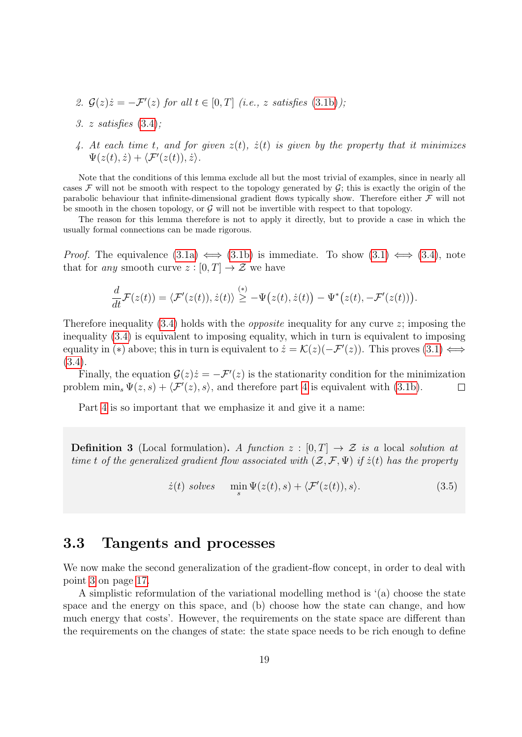- 2.  $\mathcal{G}(z)\dot{z} = -\mathcal{F}'(z)$  for all  $t \in [0, T]$  (i.e., z satisfies [\(3.1b\)](#page-17-1));
- 3. z satisfies [\(3.4\)](#page-18-1);
- <span id="page-19-1"></span>4. At each time t, and for given  $z(t)$ ,  $\dot{z}(t)$  is given by the property that it minimizes  $\Psi(z(t),\dot{z}) + \langle \mathcal{F}'(z(t)),\dot{z}\rangle.$

Note that the conditions of this lemma exclude all but the most trivial of examples, since in nearly all cases  $\mathcal F$  will not be smooth with respect to the topology generated by  $\mathcal G$ ; this is exactly the origin of the parabolic behaviour that infinite-dimensional gradient flows typically show. Therefore either  $\mathcal F$  will not be smooth in the chosen topology, or  $\mathcal G$  will not be invertible with respect to that topology.

The reason for this lemma therefore is not to apply it directly, but to provide a case in which the usually formal connections can be made rigorous.

*Proof.* The equivalence  $(3.1a) \iff (3.1b)$  $(3.1a) \iff (3.1b)$  is immediate. To show  $(3.1) \iff (3.4)$  $(3.1) \iff (3.4)$ , note that for any smooth curve  $z : [0, T] \to \mathcal{Z}$  we have

$$
\frac{d}{dt}\mathcal{F}(z(t)) = \langle \mathcal{F}'(z(t)), \dot{z}(t) \rangle \stackrel{(*)}{\geq} - \Psi(z(t), \dot{z}(t)) - \Psi^*(z(t), -\mathcal{F}'(z(t))).
$$

Therefore inequality  $(3.4)$  holds with the *opposite* inequality for any curve z; imposing the inequality [\(3.4\)](#page-18-1) is equivalent to imposing equality, which in turn is equivalent to imposing equality in (\*) above; this in turn is equivalent to  $\dot{z} = \mathcal{K}(z)(-\mathcal{F}'(z))$ . This proves  $(3.1) \iff$ [\(3.4\)](#page-18-1).

Finally, the equation  $\mathcal{G}(z)\dot{z} = -\mathcal{F}'(z)$  is the stationarity condition for the minimization problem  $\min_s \Psi(z, s) + \langle \mathcal{F}'(z), s \rangle$ , and therefore part [4](#page-19-1) is equivalent with [\(3.1b\)](#page-17-1).  $\Box$ 

Part [4](#page-19-1) is so important that we emphasize it and give it a name:

<span id="page-19-3"></span><span id="page-19-2"></span>**Definition 3** (Local formulation). A function  $z : [0, T] \rightarrow \mathcal{Z}$  is a local solution at time t of the generalized gradient flow associated with  $(\mathcal{Z}, \mathcal{F}, \Psi)$  if  $\dot{z}(t)$  has the property

$$
\dot{z}(t) \; solves \; \min_{s} \Psi(z(t), s) + \langle \mathcal{F}'(z(t)), s \rangle. \tag{3.5}
$$

#### <span id="page-19-0"></span>3.3 Tangents and processes

We now make the second generalization of the gradient-flow concept, in order to deal with point [3](#page-17-2) on page [17.](#page-17-2)

A simplistic reformulation of the variational modelling method is '(a) choose the state space and the energy on this space, and (b) choose how the state can change, and how much energy that costs'. However, the requirements on the state space are different than the requirements on the changes of state: the state space needs to be rich enough to define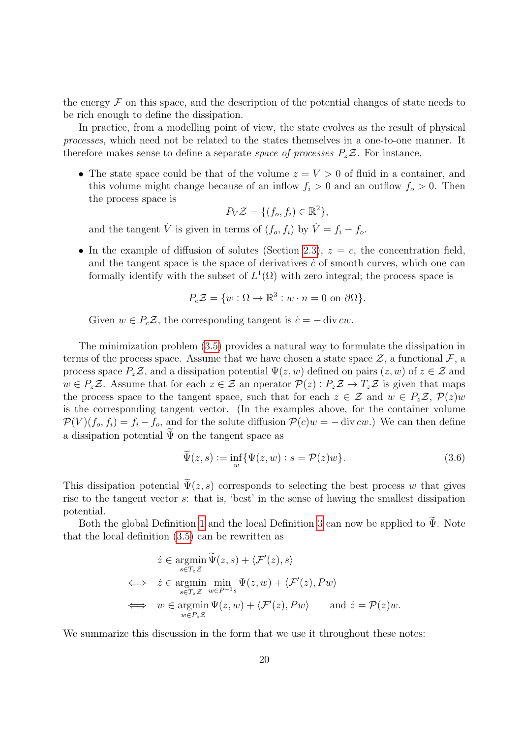the energy  $\mathcal F$  on this space, and the description of the potential changes of state needs to be rich enough to define the dissipation.

In practice, from a modelling point of view, the state evolves as the result of physical processes, which need not be related to the states themselves in a one-to-one manner. It therefore makes sense to define a separate *space of processes*  $P_z\mathcal{Z}$ . For instance,

• The state space could be that of the volume  $z = V > 0$  of fluid in a container, and this volume might change because of an inflow  $f_i > 0$  and an outflow  $f_o > 0$ . Then the process space is

$$
P_V \mathcal{Z} = \{ (f_o, f_i) \in \mathbb{R}^2 \},
$$

and the tangent  $\dot{V}$  is given in terms of  $(f_o, f_i)$  by  $\dot{V} = f_i - f_o$ .

• In the example of diffusion of solutes (Section [2.3\)](#page-12-0),  $z = c$ , the concentration field, and the tangent space is the space of derivatives  $\dot{c}$  of smooth curves, which one can formally identify with the subset of  $L^1(\Omega)$  with zero integral; the process space is

$$
P_c \mathcal{Z} = \{ w : \Omega \to \mathbb{R}^3 : w \cdot n = 0 \text{ on } \partial \Omega \}.
$$

Given  $w \in P_c \mathcal{Z}$ , the corresponding tangent is  $\dot{c} = - \text{div } cw$ .

The minimization problem [\(3.5\)](#page-19-2) provides a natural way to formulate the dissipation in terms of the process space. Assume that we have chosen a state space  $\mathcal{Z}$ , a functional  $\mathcal{F}$ , a process space  $P_z\mathcal{Z}$ , and a dissipation potential  $\Psi(z, w)$  defined on pairs  $(z, w)$  of  $z \in \mathcal{Z}$  and  $w \in P_z\mathcal{Z}$ . Assume that for each  $z \in \mathcal{Z}$  an operator  $\mathcal{P}(z) : P_z\mathcal{Z} \to T_z\mathcal{Z}$  is given that maps the process space to the tangent space, such that for each  $z \in \mathcal{Z}$  and  $w \in P_z\mathcal{Z}, \mathcal{P}(z)w$ is the corresponding tangent vector. (In the examples above, for the container volume  $\mathcal{P}(V)(f_o, f_i) = f_i - f_o$ , and for the solute diffusion  $\mathcal{P}(c)w = -\text{ div } cw$ .) We can then define a dissipation potential  $\tilde{\Psi}$  on the tangent space as

<span id="page-20-0"></span>
$$
\widetilde{\Psi}(z,s) := \inf_{w} \{ \Psi(z,w) : s = \mathcal{P}(z)w \}. \tag{3.6}
$$

This dissipation potential  $\widetilde{\Psi}(z, s)$  corresponds to selecting the best process w that gives rise to the tangent vector s: that is, 'best' in the sense of having the smallest dissipation potential.

Both the global Definition [1](#page-18-2) and the local Definition [3](#page-19-3) can now be applied to  $\widetilde{\Psi}$ . Note that the local definition [\(3.5\)](#page-19-2) can be rewritten as

$$
\dot{z} \in \underset{s \in T_z Z}{\text{argmin}} \widetilde{\Psi}(z, s) + \langle \mathcal{F}'(z), s \rangle
$$
\n
$$
\iff \dot{z} \in \underset{s \in T_z Z}{\text{argmin}} \underset{w \in P^{-1} s}{\text{min}} \Psi(z, w) + \langle \mathcal{F}'(z), P w \rangle
$$
\n
$$
\iff w \in \underset{w \in P_z Z}{\text{argmin}} \Psi(z, w) + \langle \mathcal{F}'(z), P w \rangle \quad \text{and } \dot{z} = \mathcal{P}(z) w.
$$

We summarize this discussion in the form that we use it throughout these notes: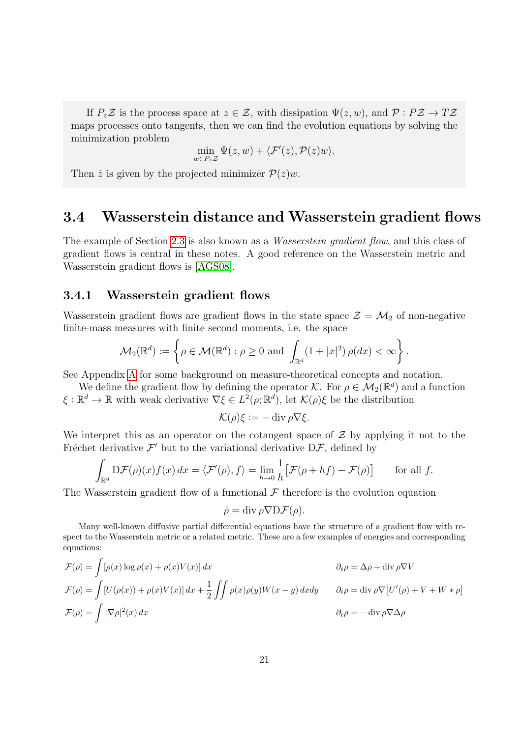If  $P_z\mathcal{Z}$  is the process space at  $z \in \mathcal{Z}$ , with dissipation  $\Psi(z, w)$ , and  $\mathcal{P} : P\mathcal{Z} \to T\mathcal{Z}$ maps processes onto tangents, then we can find the evolution equations by solving the minimization problem

$$
\min_{w \in P_z \mathcal{Z}} \Psi(z, w) + \langle \mathcal{F}'(z), \mathcal{P}(z)w \rangle.
$$

Then  $\dot{z}$  is given by the projected minimizer  $\mathcal{P}(z)w$ .

#### <span id="page-21-0"></span>3.4 Wasserstein distance and Wasserstein gradient flows

The example of Section [2.3](#page-12-0) is also known as a *Wasserstein gradient flow*, and this class of gradient flows is central in these notes. A good reference on the Wasserstein metric and Wasserstein gradient flows is [\[AGS08\]](#page-61-0).

#### <span id="page-21-1"></span>3.4.1 Wasserstein gradient flows

Wasserstein gradient flows are gradient flows in the state space  $\mathcal{Z} = \mathcal{M}_2$  of non-negative finite-mass measures with finite second moments, i.e. the space

$$
\mathcal{M}_2(\mathbb{R}^d) := \left\{ \rho \in \mathcal{M}(\mathbb{R}^d) : \rho \ge 0 \text{ and } \int_{\mathbb{R}^d} (1+|x|^2) \, \rho(dx) < \infty \right\}.
$$

See Appendix [A](#page-60-0) for some background on measure-theoretical concepts and notation.

We define the gradient flow by defining the operator K. For  $\rho \in \mathcal{M}_2(\mathbb{R}^d)$  and a function  $\xi : \mathbb{R}^d \to \mathbb{R}$  with weak derivative  $\nabla \xi \in L^2(\rho; \mathbb{R}^d)$ , let  $\mathcal{K}(\rho)\xi$  be the distribution

$$
\mathcal{K}(\rho)\xi := -\operatorname{div}\rho\nabla\xi.
$$

We interpret this as an operator on the cotangent space of  $\mathcal Z$  by applying it not to the Fréchet derivative  $\mathcal{F}'$  but to the variational derivative  $D\mathcal{F}$ , defined by

$$
\int_{\mathbb{R}^d} \mathcal{D}\mathcal{F}(\rho)(x)f(x) dx = \langle \mathcal{F}'(\rho), f \rangle = \lim_{h \to 0} \frac{1}{h} \big[ \mathcal{F}(\rho + hf) - \mathcal{F}(\rho) \big] \qquad \text{for all } f.
$$

The Wasserstein gradient flow of a functional  $\mathcal F$  therefore is the evolution equation

$$
\dot{\rho} = \operatorname{div} \rho \nabla \mathrm{D} \mathcal{F}(\rho).
$$

Many well-known diffusive partial differential equations have the structure of a gradient flow with respect to the Wasserstein metric or a related metric. These are a few examples of energies and corresponding equations:

$$
\mathcal{F}(\rho) = \int [\rho(x) \log \rho(x) + \rho(x) V(x)] dx
$$
  
\n
$$
\mathcal{F}(\rho) = \int [U(\rho(x)) + \rho(x) V(x)] dx + \frac{1}{2} \iint \rho(x) \rho(y) W(x - y) dx dy
$$
  
\n
$$
\partial_t \rho = \Delta \rho + \text{div } \rho \nabla V
$$
  
\n
$$
\partial_t \rho = \text{div } \rho \nabla [U'(\rho) + V + W * \rho]
$$
  
\n
$$
\mathcal{F}(\rho) = \int |\nabla \rho|^2(x) dx
$$
  
\n
$$
\partial_t \rho = -\text{div } \rho \nabla \Delta \rho
$$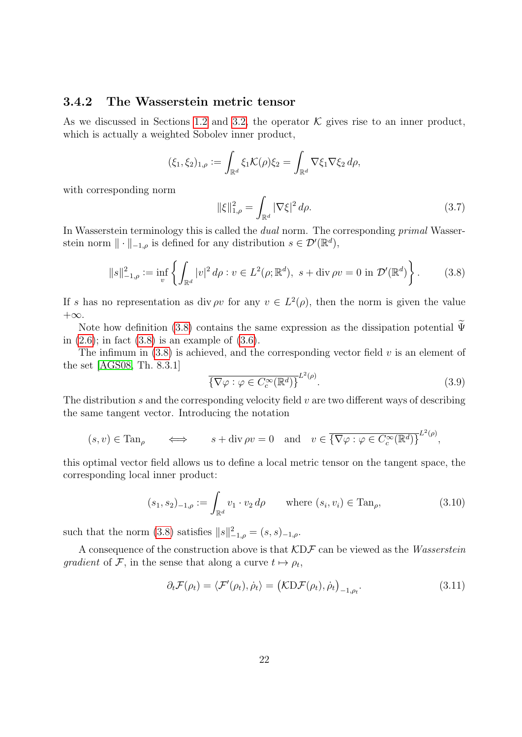#### <span id="page-22-0"></span>3.4.2 The Wasserstein metric tensor

As we discussed in Sections [1.2](#page-5-0) and [3.2,](#page-17-0) the operator  $K$  gives rise to an inner product, which is actually a weighted Sobolev inner product,

$$
(\xi_1, \xi_2)_{1,\rho} := \int_{\mathbb{R}^d} \xi_1 \mathcal{K}(\rho) \xi_2 = \int_{\mathbb{R}^d} \nabla \xi_1 \nabla \xi_2 d\rho,
$$

with corresponding norm

<span id="page-22-1"></span>
$$
\|\xi\|_{1,\rho}^2 = \int_{\mathbb{R}^d} |\nabla \xi|^2 \, d\rho. \tag{3.7}
$$

In Wasserstein terminology this is called the dual norm. The corresponding primal Wasserstein norm  $\|\cdot\|_{-1,\rho}$  is defined for any distribution  $s \in \mathcal{D}'(\mathbb{R}^d)$ ,

$$
||s||_{-1,\rho}^2 := \inf_{v} \left\{ \int_{\mathbb{R}^d} |v|^2 \, d\rho : v \in L^2(\rho; \mathbb{R}^d), \ s + \text{div}\,\rho v = 0 \text{ in } \mathcal{D}'(\mathbb{R}^d) \right\}. \tag{3.8}
$$

If s has no representation as div  $\rho v$  for any  $v \in L^2(\rho)$ , then the norm is given the value  $+\infty$ .

Note how definition [\(3.8\)](#page-22-1) contains the same expression as the dissipation potential  $\Psi$ in  $(2.6)$ ; in fact  $(3.8)$  is an example of  $(3.6)$ .

The infimum in  $(3.8)$  is achieved, and the corresponding vector field v is an element of the set [\[AGS08,](#page-61-0) Th. 8.3.1]

$$
\overline{\{\nabla\varphi : \varphi \in C_c^{\infty}(\mathbb{R}^d)\}}^{L^2(\rho)}.
$$
\n(3.9)

The distribution s and the corresponding velocity field  $v$  are two different ways of describing the same tangent vector. Introducing the notation

$$
(s, v) \in \text{Tan}_{\rho} \iff s + \text{div}_{\rho} v = 0 \text{ and } v \in \overline{\{\nabla \varphi : \varphi \in C_c^{\infty}(\mathbb{R}^d)\}}^{L^2(\rho)},
$$

this optimal vector field allows us to define a local metric tensor on the tangent space, the corresponding local inner product:

$$
(s_1, s_2)_{-1,\rho} := \int_{\mathbb{R}^d} v_1 \cdot v_2 \, d\rho \qquad \text{where } (s_i, v_i) \in \text{Tan}_{\rho}, \tag{3.10}
$$

such that the norm [\(3.8\)](#page-22-1) satisfies  $||s||_{-1,\rho}^2 = (s, s)_{-1,\rho}$ .

A consequence of the construction above is that  $\mathcal{K}D\mathcal{F}$  can be viewed as the Wasserstein gradient of F, in the sense that along a curve  $t \mapsto \rho_t$ ,

<span id="page-22-2"></span>
$$
\partial_t \mathcal{F}(\rho_t) = \langle \mathcal{F}'(\rho_t), \dot{\rho}_t \rangle = \big(\mathcal{K} \mathcal{D} \mathcal{F}(\rho_t), \dot{\rho}_t \big)_{-1, \rho_t}.
$$
\n(3.11)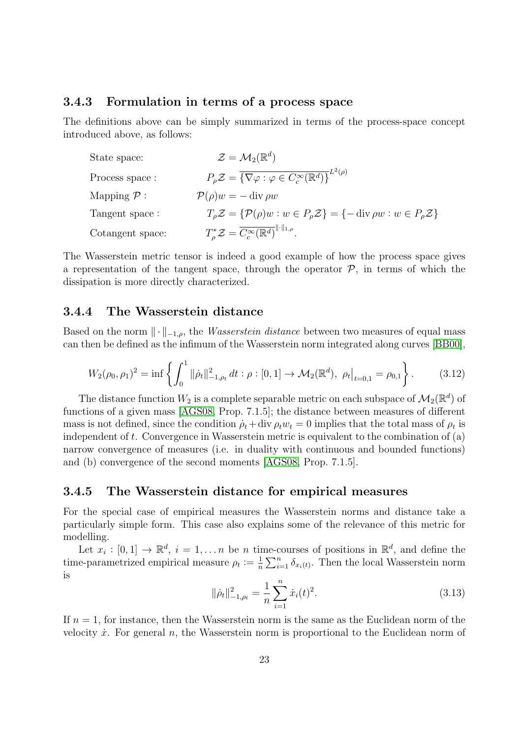#### <span id="page-23-1"></span>3.4.3 Formulation in terms of a process space

The definitions above can be simply summarized in terms of the process-space concept introduced above, as follows:

State space:

\n
$$
\mathcal{Z} = \mathcal{M}_{2}(\mathbb{R}^{d})
$$
\nProcess space:

\n
$$
P_{\rho}\mathcal{Z} = \overline{\{\nabla\varphi : \varphi \in C_{c}^{\infty}(\mathbb{R}^{d})\}}^{L^{2}(\rho)}
$$
\nMapping  $\mathcal{P}$ :

\n
$$
\mathcal{P}(\rho)w = -\text{div }\rho w
$$
\nTangent space:

\n
$$
T_{\rho}\mathcal{Z} = \{\mathcal{P}(\rho)w : w \in P_{\rho}\mathcal{Z}\} = \{-\text{div }\rho w : w \in P_{\rho}\mathcal{Z}\}
$$
\nCotangent space:

\n
$$
T_{\rho}^{*}\mathcal{Z} = \overline{C_{c}^{\infty}(\mathbb{R}^{d})}^{\|\cdot\|_{1,\rho}}.
$$

The Wasserstein metric tensor is indeed a good example of how the process space gives a representation of the tangent space, through the operator  $P$ , in terms of which the dissipation is more directly characterized.

#### <span id="page-23-0"></span>3.4.4 The Wasserstein distance

<span id="page-23-4"></span>Based on the norm  $\|\cdot\|_{-1,\rho}$ , the *Wasserstein distance* between two measures of equal mass can then be defined as the infimum of the Wasserstein norm integrated along curves [\[BB00\]](#page-61-1),

$$
W_2(\rho_0, \rho_1)^2 = \inf \left\{ \int_0^1 \|\dot{\rho}_t\|_{-1, \rho_t}^2 dt : \rho : [0, 1] \to \mathcal{M}_2(\mathbb{R}^d), \ \rho_t \big|_{t=0, 1} = \rho_{0, 1} \right\}.
$$
 (3.12)

The distance function  $W_2$  is a complete separable metric on each subspace of  $\mathcal{M}_2(\mathbb{R}^d)$  of functions of a given mass [\[AGS08,](#page-61-0) Prop. 7.1.5]; the distance between measures of different mass is not defined, since the condition  $\dot{\rho}_t + \text{div} \rho_t w_t = 0$  implies that the total mass of  $\rho_t$  is independent of t. Convergence in Wasserstein metric is equivalent to the combination of (a) narrow convergence of measures (i.e. in duality with continuous and bounded functions) and (b) convergence of the second moments [\[AGS08,](#page-61-0) Prop. 7.1.5].

#### <span id="page-23-2"></span>3.4.5 The Wasserstein distance for empirical measures

For the special case of empirical measures the Wasserstein norms and distance take a particularly simple form. This case also explains some of the relevance of this metric for modelling.

<span id="page-23-3"></span>Let  $x_i : [0,1] \to \mathbb{R}^d$ ,  $i = 1,... n$  be n time-courses of positions in  $\mathbb{R}^d$ , and define the time-parametrized empirical measure  $\rho_t := \frac{1}{n}$  $\frac{1}{n} \sum_{i=1}^{n} \delta_{x_i(t)}$ . Then the local Wasserstein norm is

$$
\|\dot{\rho}_t\|_{-1,\rho_t}^2 = \frac{1}{n} \sum_{i=1}^n \dot{x}_i(t)^2.
$$
\n(3.13)

If  $n = 1$ , for instance, then the Wasserstein norm is the same as the Euclidean norm of the velocity  $\dot{x}$ . For general n, the Wasserstein norm is proportional to the Euclidean norm of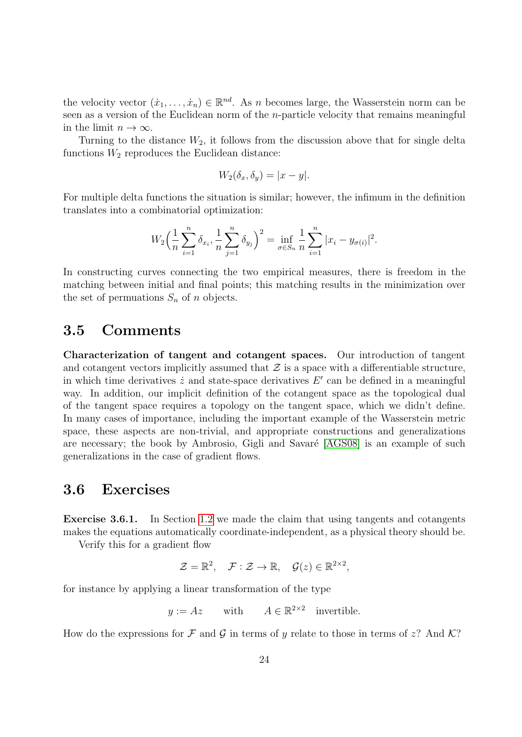the velocity vector  $(\dot{x}_1, \ldots, \dot{x}_n) \in \mathbb{R}^{nd}$ . As *n* becomes large, the Wasserstein norm can be seen as a version of the Euclidean norm of the n-particle velocity that remains meaningful in the limit  $n \to \infty$ .

Turning to the distance  $W_2$ , it follows from the discussion above that for single delta functions  $W_2$  reproduces the Euclidean distance:

$$
W_2(\delta_x, \delta_y) = |x - y|.
$$

For multiple delta functions the situation is similar; however, the infimum in the definition translates into a combinatorial optimization:

$$
W_2\left(\frac{1}{n}\sum_{i=1}^n \delta_{x_i}, \frac{1}{n}\sum_{j=1}^n \delta_{y_j}\right)^2 = \inf_{\sigma \in S_n} \frac{1}{n} \sum_{i=1}^n |x_i - y_{\sigma(i)}|^2.
$$

In constructing curves connecting the two empirical measures, there is freedom in the matching between initial and final points; this matching results in the minimization over the set of permuations  $S_n$  of n objects.

#### <span id="page-24-0"></span>3.5 Comments

Characterization of tangent and cotangent spaces. Our introduction of tangent and cotangent vectors implicitly assumed that  $\mathcal Z$  is a space with a differentiable structure, in which time derivatives  $\dot{z}$  and state-space derivatives  $E'$  can be defined in a meaningful way. In addition, our implicit definition of the cotangent space as the topological dual of the tangent space requires a topology on the tangent space, which we didn't define. In many cases of importance, including the important example of the Wasserstein metric space, these aspects are non-trivial, and appropriate constructions and generalizations are necessary; the book by Ambrosio, Gigli and Savaré [\[AGS08\]](#page-61-0) is an example of such generalizations in the case of gradient flows.

#### <span id="page-24-1"></span>3.6 Exercises

Exercise 3.6.1. In Section [1.2](#page-5-0) we made the claim that using tangents and cotangents makes the equations automatically coordinate-independent, as a physical theory should be.

Verify this for a gradient flow

$$
\mathcal{Z} = \mathbb{R}^2, \quad \mathcal{F} : \mathcal{Z} \to \mathbb{R}, \quad \mathcal{G}(z) \in \mathbb{R}^{2 \times 2},
$$

for instance by applying a linear transformation of the type

 $y := Az$  with  $A \in \mathbb{R}^{2 \times 2}$  invertible.

How do the expressions for F and G in terms of y relate to those in terms of z? And K?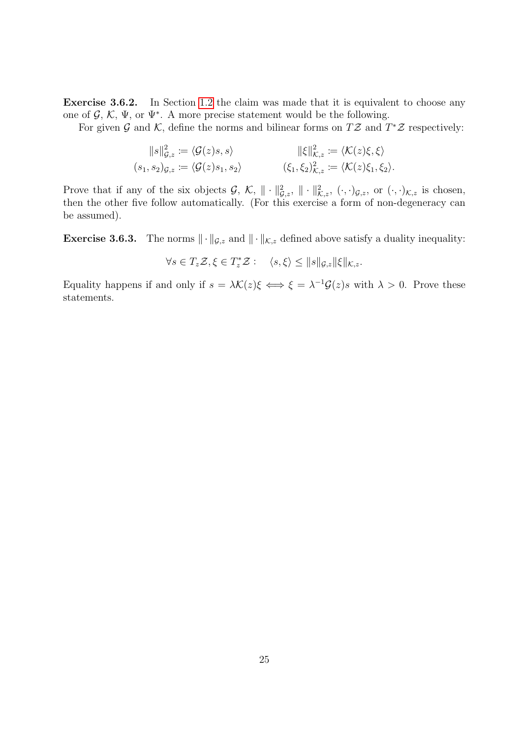Exercise 3.6.2. In Section [1.2](#page-5-0) the claim was made that it is equivalent to choose any one of  $\mathcal{G}, \mathcal{K}, \Psi$ , or  $\Psi^*$ . A more precise statement would be the following.

For given G and K, define the norms and bilinear forms on  $T\mathcal{Z}$  and  $T^*\mathcal{Z}$  respectively:

$$
||s||_{\mathcal{G},z}^2 := \langle \mathcal{G}(z)s, s \rangle
$$
  
\n
$$
(s_1, s_2)_{\mathcal{G},z} := \langle \mathcal{G}(z)s_1, s_2 \rangle
$$
  
\n
$$
||\xi||_{\mathcal{K},z}^2 := \langle \mathcal{K}(z)\xi, \xi \rangle
$$
  
\n
$$
(\xi_1, \xi_2)_{\mathcal{K},z}^2 := \langle \mathcal{K}(z)\xi_1, \xi_2 \rangle.
$$

Prove that if any of the six objects  $\mathcal{G}, \mathcal{K}, \| \cdot \|_{\mathcal{G},z}^2, \| \cdot \|_{\mathcal{K},z}^2, (\cdot,\cdot)_{\mathcal{G},z}$ , or  $(\cdot,\cdot)_{\mathcal{K},z}$  is chosen, then the other five follow automatically. (For this exercise a form of non-degeneracy can be assumed).

**Exercise 3.6.3.** The norms  $\|\cdot\|_{\mathcal{G},z}$  and  $\|\cdot\|_{\mathcal{K},z}$  defined above satisfy a duality inequality:

$$
\forall s \in T_z \mathcal{Z}, \xi \in T_z^* \mathcal{Z}: \quad \langle s, \xi \rangle \leq ||s||_{\mathcal{G}, z} ||\xi||_{\mathcal{K}, z}.
$$

Equality happens if and only if  $s = \lambda \mathcal{K}(z) \xi \iff \xi = \lambda^{-1} \mathcal{G}(z) s$  with  $\lambda > 0$ . Prove these statements.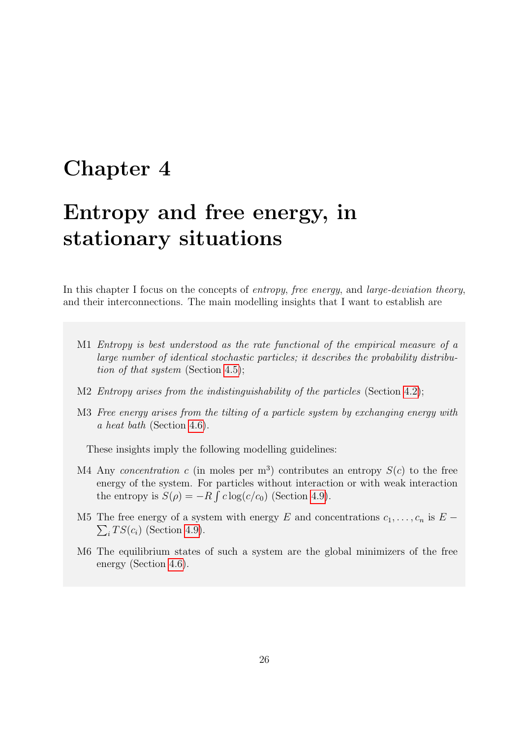# <span id="page-26-0"></span>Chapter 4

# Entropy and free energy, in stationary situations

In this chapter I focus on the concepts of entropy, free energy, and large-deviation theory, and their interconnections. The main modelling insights that I want to establish are

- M1 Entropy is best understood as the rate functional of the empirical measure of a large number of identical stochastic particles; it describes the probability distribution of that system (Section [4.5\)](#page-35-0);
- M2 Entropy arises from the indistinguishability of the particles (Section [4.2\)](#page-28-0);
- M3 Free energy arises from the tilting of a particle system by exchanging energy with a heat bath (Section [4.6\)](#page-36-0).

These insights imply the following modelling guidelines:

- M4 Any concentration c (in moles per m<sup>3</sup>) contributes an entropy  $S(c)$  to the free energy of the system. For particles without interaction or with weak interaction the entropy is  $S(\rho) = -R \int c \log(c/c_0)$  (Section [4.9\)](#page-40-1).
- M5 The free energy of a system with energy E and concentrations  $c_1, \ldots, c_n$  is  $E \sum_i TS(c_i)$  (Section [4.9\)](#page-40-1).
- M6 The equilibrium states of such a system are the global minimizers of the free energy (Section [4.6\)](#page-36-0).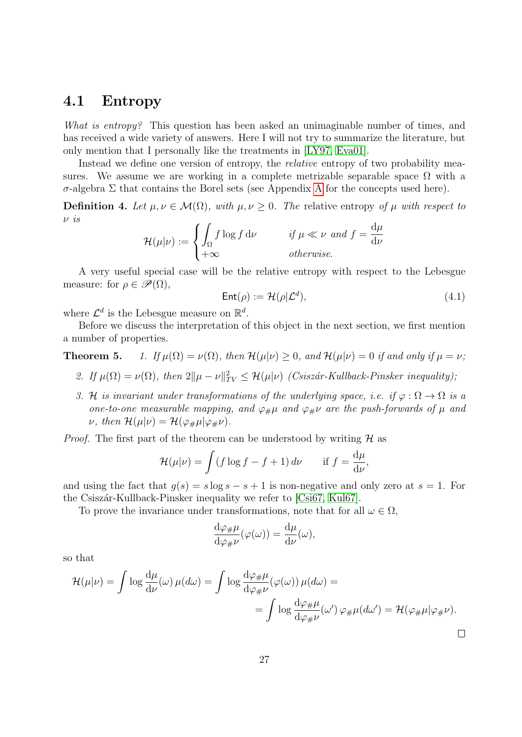#### <span id="page-27-2"></span>4.1 Entropy

What is entropy? This question has been asked an unimaginable number of times, and has received a wide variety of answers. Here I will not try to summarize the literature, but only mention that I personally like the treatments in [\[LY97,](#page-62-3) [Eva01\]](#page-62-4).

Instead we define one version of entropy, the *relative* entropy of two probability measures. We assume we are working in a complete metrizable separable space  $\Omega$  with a σ-algebra Σ that contains the Borel sets (see Appendix [A](#page-60-0) for the concepts used here).

<span id="page-27-1"></span>**Definition 4.** Let  $\mu, \nu \in \mathcal{M}(\Omega)$ , with  $\mu, \nu \geq 0$ . The relative entropy of  $\mu$  with respect to ν is

$$
\mathcal{H}(\mu|\nu) := \begin{cases} \int_{\Omega} f \log f \, \mathrm{d}\nu & \text{if } \mu \ll \nu \text{ and } f = \frac{\mathrm{d}\mu}{\mathrm{d}\nu} \\ +\infty & \text{otherwise.} \end{cases}
$$

A very useful special case will be the relative entropy with respect to the Lebesgue measure: for  $\rho \in \mathscr{P}(\Omega)$ ,

<span id="page-27-0"></span>
$$
Ent(\rho) := \mathcal{H}(\rho | \mathcal{L}^d), \tag{4.1}
$$

where  $\mathcal{L}^d$  is the Lebesgue measure on  $\mathbb{R}^d$ .

Before we discuss the interpretation of this object in the next section, we first mention a number of properties.

**Theorem 5.** 1. If  $\mu(\Omega) = \nu(\Omega)$ , then  $\mathcal{H}(\mu|\nu) \geq 0$ , and  $\mathcal{H}(\mu|\nu) = 0$  if and only if  $\mu = \nu$ ;

- 2. If  $\mu(\Omega) = \nu(\Omega)$ , then  $2\|\mu \nu\|_{TV}^2 \leq \mathcal{H}(\mu|\nu)$  (Csiszár-Kullback-Pinsker inequality);
- <span id="page-27-3"></span>3. H is invariant under transformations of the underlying space, i.e. if  $\varphi : \Omega \to \Omega$  is a one-to-one measurable mapping, and  $\varphi_{\#}\mu$  and  $\varphi_{\#}\nu$  are the push-forwards of  $\mu$  and  $\nu$ , then  $\mathcal{H}(\mu|\nu) = \mathcal{H}(\varphi_{\#}\mu|\varphi_{\#}\nu)$ .

*Proof.* The first part of the theorem can be understood by writing  $H$  as

$$
\mathcal{H}(\mu|\nu) = \int (f \log f - f + 1) \, d\nu \quad \text{if } f = \frac{d\mu}{d\nu},
$$

and using the fact that  $g(s) = s \log s - s + 1$  is non-negative and only zero at  $s = 1$ . For the Csiszár-Kullback-Pinsker inequality we refer to [\[Csi67,](#page-61-2) [Kul67\]](#page-62-5).

To prove the invariance under transformations, note that for all  $\omega \in \Omega$ ,

$$
\frac{\mathrm{d}\varphi_{\#}\mu}{\mathrm{d}\varphi_{\#}\nu}(\varphi(\omega)) = \frac{\mathrm{d}\mu}{\mathrm{d}\nu}(\omega),
$$

so that

$$
\mathcal{H}(\mu|\nu) = \int \log \frac{d\mu}{d\nu}(\omega) \,\mu(d\omega) = \int \log \frac{d\varphi_{\#}\mu}{d\varphi_{\#}\nu}(\varphi(\omega)) \,\mu(d\omega) =
$$

$$
= \int \log \frac{d\varphi_{\#}\mu}{d\varphi_{\#}\nu}(\omega') \,\varphi_{\#}\mu(d\omega') = \mathcal{H}(\varphi_{\#}\mu|\varphi_{\#}\nu).
$$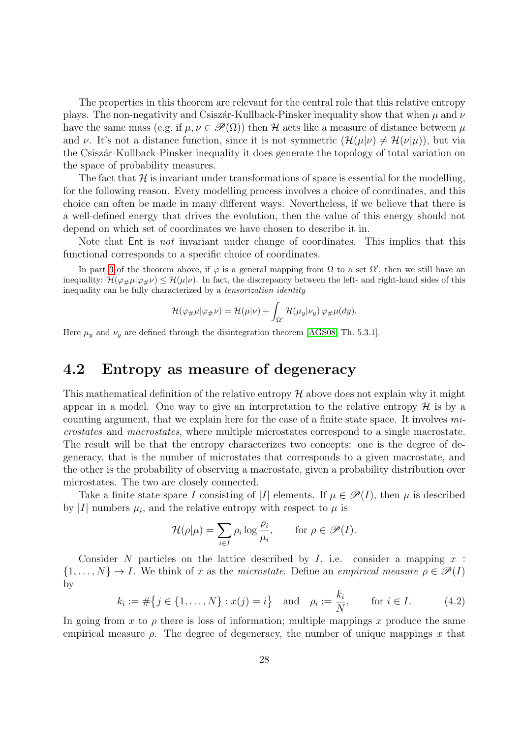The properties in this theorem are relevant for the central role that this relative entropy plays. The non-negativity and Csiszár-Kullback-Pinsker inequality show that when  $\mu$  and  $\nu$ have the same mass (e.g. if  $\mu, \nu \in \mathscr{P}(\Omega)$ ) then H acts like a measure of distance between  $\mu$ and v. It's not a distance function, since it is not symmetric  $(\mathcal{H}(\mu|\nu) \neq \mathcal{H}(\nu|\mu))$ , but via the Csisz´ar-Kullback-Pinsker inequality it does generate the topology of total variation on the space of probability measures.

The fact that  $\mathcal H$  is invariant under transformations of space is essential for the modelling, for the following reason. Every modelling process involves a choice of coordinates, and this choice can often be made in many different ways. Nevertheless, if we believe that there is a well-defined energy that drives the evolution, then the value of this energy should not depend on which set of coordinates we have chosen to describe it in.

Note that Ent is not invariant under change of coordinates. This implies that this functional corresponds to a specific choice of coordinates.

In part [3](#page-27-3) of the theorem above, if  $\varphi$  is a general mapping from  $\Omega$  to a set  $\Omega'$ , then we still have an inequality:  $\mathcal{H}(\varphi_{\#}\mu|\varphi_{\#}\nu) \leq \mathcal{H}(\mu|\nu)$ . In fact, the discrepancy between the left- and right-hand sides of this inequality can be fully characterized by a tensorization identity

$$
\mathcal{H}(\varphi_{\#}\mu|\varphi_{\#}\nu) = \mathcal{H}(\mu|\nu) + \int_{\Omega'} \mathcal{H}(\mu_y|\nu_y) \varphi_{\#}\mu(dy).
$$

Here  $\mu_y$  and  $\nu_y$  are defined through the disintegration theorem [\[AGS08,](#page-61-0) Th. 5.3.1].

#### <span id="page-28-0"></span>4.2 Entropy as measure of degeneracy

This mathematical definition of the relative entropy  $\mathcal H$  above does not explain why it might appear in a model. One way to give an interpretation to the relative entropy  $\mathcal H$  is by a counting argument, that we explain here for the case of a finite state space. It involves microstates and macrostates, where multiple microstates correspond to a single macrostate. The result will be that the entropy characterizes two concepts: one is the degree of degeneracy, that is the number of microstates that corresponds to a given macrostate, and the other is the probability of observing a macrostate, given a probability distribution over microstates. The two are closely connected.

Take a finite state space I consisting of |I| elements. If  $\mu \in \mathcal{P}(I)$ , then  $\mu$  is described by |I| numbers  $\mu_i$ , and the relative entropy with respect to  $\mu$  is

$$
\mathcal{H}(\rho|\mu) = \sum_{i \in I} \rho_i \log \frac{\rho_i}{\mu_i}, \quad \text{for } \rho \in \mathscr{P}(I).
$$

Consider N particles on the lattice described by  $I$ , i.e. consider a mapping  $x$ :  $\{1,\ldots,N\}\to I$ . We think of x as the microstate. Define an empirical measure  $\rho\in\mathscr{P}(I)$ by

$$
k_i := \#\{j \in \{1, ..., N\} : x(j) = i\} \text{ and } \rho_i := \frac{k_i}{N}, \text{ for } i \in I.
$$
 (4.2)

In going from x to  $\rho$  there is loss of information; multiple mappings x produce the same empirical measure  $\rho$ . The degree of degeneracy, the number of unique mappings x that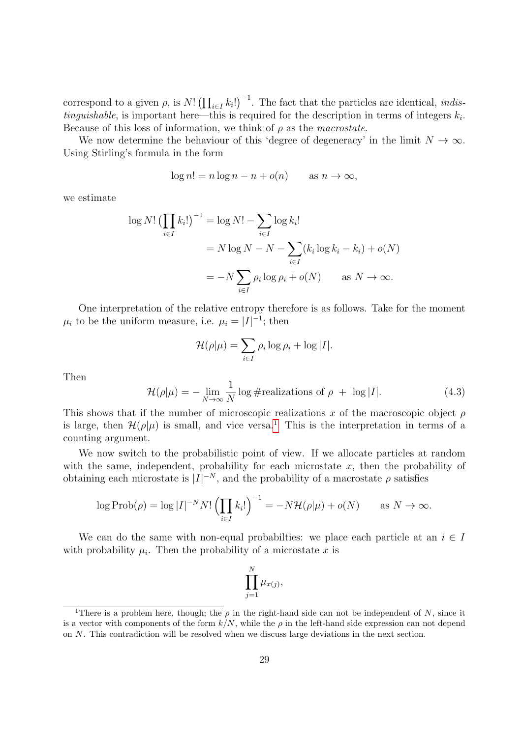correspond to a given  $\rho$ , is  $N! \left( \prod_{i \in I} k_i! \right)^{-1}$ . The fact that the particles are identical, *indistinguishable*, is important here—this is required for the description in terms of integers  $k_i$ . Because of this loss of information, we think of  $\rho$  as the macrostate.

We now determine the behaviour of this 'degree of degeneracy' in the limit  $N \to \infty$ . Using Stirling's formula in the form

$$
\log n! = n \log n - n + o(n) \qquad \text{as } n \to \infty,
$$

we estimate

$$
\log N! \left( \prod_{i \in I} k_i! \right)^{-1} = \log N! - \sum_{i \in I} \log k_i!
$$
  
=  $N \log N - N - \sum_{i \in I} (k_i \log k_i - k_i) + o(N)$   
=  $-N \sum_{i \in I} \rho_i \log \rho_i + o(N)$  as  $N \to \infty$ .

One interpretation of the relative entropy therefore is as follows. Take for the moment  $\mu_i$  to be the uniform measure, i.e.  $\mu_i = |I|^{-1}$ ; then

$$
\mathcal{H}(\rho|\mu) = \sum_{i \in I} \rho_i \log \rho_i + \log |I|.
$$

<span id="page-29-1"></span>Then

$$
\mathcal{H}(\rho|\mu) = -\lim_{N \to \infty} \frac{1}{N} \log \# \text{realizations of } \rho + \log |I|.
$$
 (4.3)

This shows that if the number of microscopic realizations x of the macroscopic object  $\rho$ is large, then  $\mathcal{H}(\rho|\mu)$  is small, and vice versa.<sup>[1](#page-29-0)</sup> This is the interpretation in terms of a counting argument.

We now switch to the probabilistic point of view. If we allocate particles at random with the same, independent, probability for each microstate  $x$ , then the probability of obtaining each microstate is  $|I|^{-N}$ , and the probability of a macrostate  $\rho$  satisfies

$$
\log \operatorname{Prob}(\rho) = \log |I|^{-N} N! \left(\prod_{i \in I} k_i!\right)^{-1} = -N \mathcal{H}(\rho|\mu) + o(N) \quad \text{as } N \to \infty.
$$

We can do the same with non-equal probabilities: we place each particle at an  $i \in I$ with probability  $\mu_i$ . Then the probability of a microstate x is

$$
\prod_{j=1}^N \mu_{x(j)},
$$

<span id="page-29-0"></span><sup>&</sup>lt;sup>1</sup>There is a problem here, though; the  $\rho$  in the right-hand side can not be independent of N, since it is a vector with components of the form  $k/N$ , while the  $\rho$  in the left-hand side expression can not depend on N. This contradiction will be resolved when we discuss large deviations in the next section.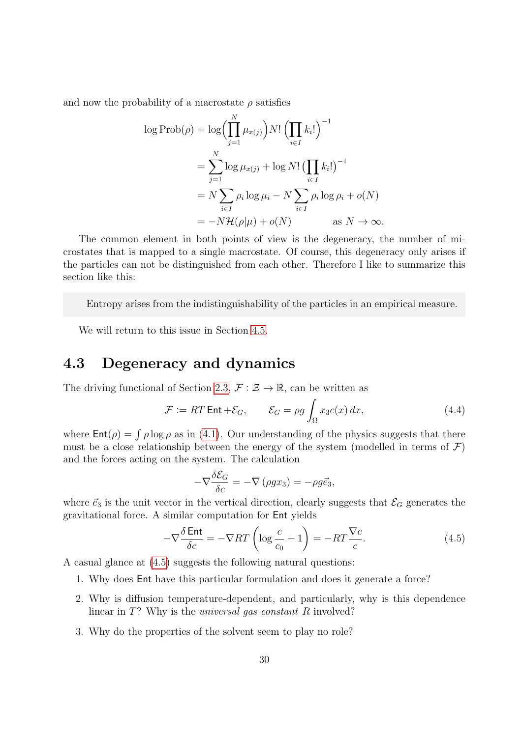and now the probability of a macrostate  $\rho$  satisfies

$$
\log \text{Prob}(\rho) = \log \Biggl( \prod_{j=1}^{N} \mu_{x(j)} \Biggr) N! \left( \prod_{i \in I} k_i! \right)^{-1}
$$
  
= 
$$
\sum_{j=1}^{N} \log \mu_{x(j)} + \log N! \left( \prod_{i \in I} k_i! \right)^{-1}
$$
  
= 
$$
N \sum_{i \in I} \rho_i \log \mu_i - N \sum_{i \in I} \rho_i \log \rho_i + o(N)
$$
  
= 
$$
-N \mathcal{H}(\rho | \mu) + o(N) \qquad \text{as } N \to \infty.
$$

The common element in both points of view is the degeneracy, the number of microstates that is mapped to a single macrostate. Of course, this degeneracy only arises if the particles can not be distinguished from each other. Therefore I like to summarize this section like this:

Entropy arises from the indistinguishability of the particles in an empirical measure.

We will return to this issue in Section [4.5.](#page-35-0)

### <span id="page-30-0"></span>4.3 Degeneracy and dynamics

The driving functional of Section [2.3,](#page-12-0)  $\mathcal{F} : \mathcal{Z} \to \mathbb{R}$ , can be written as

$$
\mathcal{F} := RT \operatorname{Ent} + \mathcal{E}_G, \qquad \mathcal{E}_G = \rho g \int_{\Omega} x_3 c(x) \, dx,\tag{4.4}
$$

where  $Ent(\rho) = \int \rho \log \rho$  as in [\(4.1\)](#page-27-0). Our understanding of the physics suggests that there must be a close relationship between the energy of the system (modelled in terms of  $\mathcal{F}$ ) and the forces acting on the system. The calculation

<span id="page-30-1"></span>
$$
-\nabla \frac{\delta \mathcal{E}_G}{\delta c} = -\nabla (\rho gx_3) = -\rho g \vec{e}_3,
$$

where  $\vec{e}_3$  is the unit vector in the vertical direction, clearly suggests that  $\mathcal{E}_G$  generates the gravitational force. A similar computation for Ent yields

$$
-\nabla \frac{\delta \operatorname{Ent}}{\delta c} = -\nabla RT \left( \log \frac{c}{c_0} + 1 \right) = -RT \frac{\nabla c}{c}.
$$
 (4.5)

A casual glance at [\(4.5\)](#page-30-1) suggests the following natural questions:

- 1. Why does Ent have this particular formulation and does it generate a force?
- 2. Why is diffusion temperature-dependent, and particularly, why is this dependence linear in T? Why is the *universal gas constant R* involved?
- 3. Why do the properties of the solvent seem to play no role?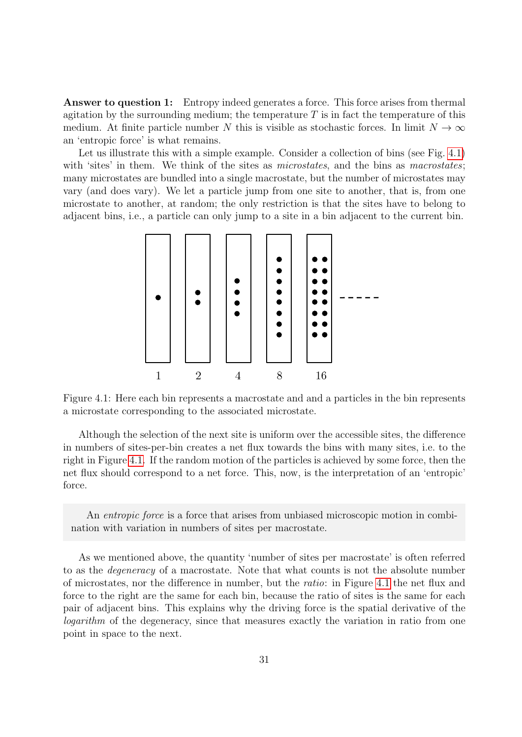Answer to question 1: Entropy indeed generates a force. This force arises from thermal agitation by the surrounding medium; the temperature  $T$  is in fact the temperature of this medium. At finite particle number N this is visible as stochastic forces. In limit  $N \to \infty$ an 'entropic force' is what remains.

Let us illustrate this with a simple example. Consider a collection of bins (see Fig. [4.1\)](#page-31-0) with 'sites' in them. We think of the sites as *microstates*, and the bins as *macrostates*; many microstates are bundled into a single macrostate, but the number of microstates may vary (and does vary). We let a particle jump from one site to another, that is, from one microstate to another, at random; the only restriction is that the sites have to belong to adjacent bins, i.e., a particle can only jump to a site in a bin adjacent to the current bin.

<span id="page-31-0"></span>

Figure 4.1: Here each bin represents a macrostate and and a particles in the bin represents a microstate corresponding to the associated microstate.

Although the selection of the next site is uniform over the accessible sites, the difference in numbers of sites-per-bin creates a net flux towards the bins with many sites, i.e. to the right in Figure [4.1.](#page-31-0) If the random motion of the particles is achieved by some force, then the net flux should correspond to a net force. This, now, is the interpretation of an 'entropic' force.

An *entropic force* is a force that arises from unbiased microscopic motion in combination with variation in numbers of sites per macrostate.

As we mentioned above, the quantity 'number of sites per macrostate' is often referred to as the degeneracy of a macrostate. Note that what counts is not the absolute number of microstates, nor the difference in number, but the ratio: in Figure [4.1](#page-31-0) the net flux and force to the right are the same for each bin, because the ratio of sites is the same for each pair of adjacent bins. This explains why the driving force is the spatial derivative of the logarithm of the degeneracy, since that measures exactly the variation in ratio from one point in space to the next.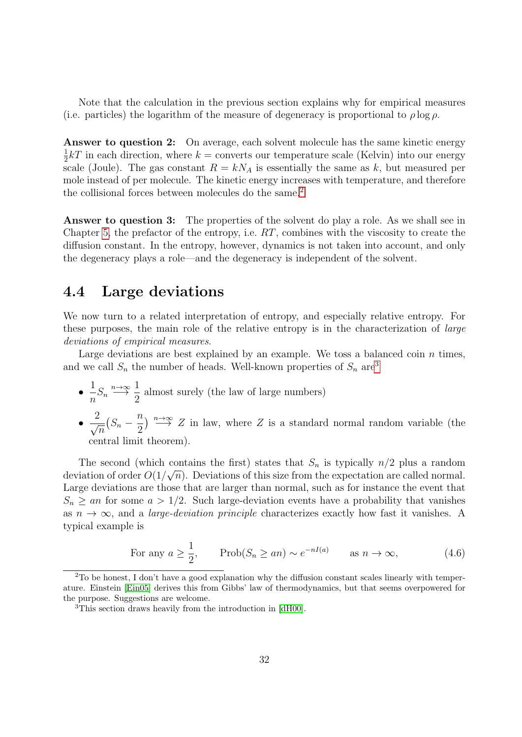Note that the calculation in the previous section explains why for empirical measures (i.e. particles) the logarithm of the measure of degeneracy is proportional to  $\rho \log \rho$ .

Answer to question 2: On average, each solvent molecule has the same kinetic energy 1  $\frac{1}{2}kT$  in each direction, where  $k =$  converts our temperature scale (Kelvin) into our energy scale (Joule). The gas constant  $R = kN_A$  is essentially the same as k, but measured per mole instead of per molecule. The kinetic energy increases with temperature, and therefore the collisional forces between molecules do the same.<sup>[2](#page-32-1)</sup>

Answer to question 3: The properties of the solvent do play a role. As we shall see in Chapter [5,](#page-42-0) the prefactor of the entropy, i.e.  $RT$ , combines with the viscosity to create the diffusion constant. In the entropy, however, dynamics is not taken into account, and only the degeneracy plays a role—and the degeneracy is independent of the solvent.

#### <span id="page-32-0"></span>4.4 Large deviations

We now turn to a related interpretation of entropy, and especially relative entropy. For these purposes, the main role of the relative entropy is in the characterization of large deviations of empirical measures.

Large deviations are best explained by an example. We toss a balanced coin  $n$  times, and we call  $S_n$  the number of heads. Well-known properties of  $S_n$  are<sup>[3](#page-32-2)</sup>

- $\bullet$   $\frac{1}{1}$  $\frac{1}{n}S_n \stackrel{n\to\infty}{\longrightarrow} \frac{1}{2}$ 2 almost surely (the law of large numbers)
- $\bullet \frac{2}{\sqrt{2}}$  $\overline{n}$  $\left(S_n - \frac{n}{2}\right)$ 2  $\lim_{n\to\infty} Z$  in law, where Z is a standard normal random variable (the central limit theorem).

The second (which contains the first) states that  $S_n$  is typically  $n/2$  plus a random deviation of order  $O(1/\sqrt{n})$ . Deviations of this size from the expectation are called normal. Large deviations are those that are larger than normal, such as for instance the event that  $S_n \geq an$  for some  $a > 1/2$ . Such large-deviation events have a probability that vanishes as  $n \to \infty$ , and a *large-deviation principle* characterizes exactly how fast it vanishes. A typical example is

<span id="page-32-3"></span>For any 
$$
a \ge \frac{1}{2}
$$
,  $\text{Prob}(S_n \ge an) \sim e^{-nI(a)}$  as  $n \to \infty$ , (4.6)

<span id="page-32-1"></span><sup>2</sup>To be honest, I don't have a good explanation why the diffusion constant scales linearly with temperature. Einstein [\[Ein05\]](#page-62-6) derives this from Gibbs' law of thermodynamics, but that seems overpowered for the purpose. Suggestions are welcome.

<span id="page-32-2"></span><sup>3</sup>This section draws heavily from the introduction in [\[dH00\]](#page-61-3).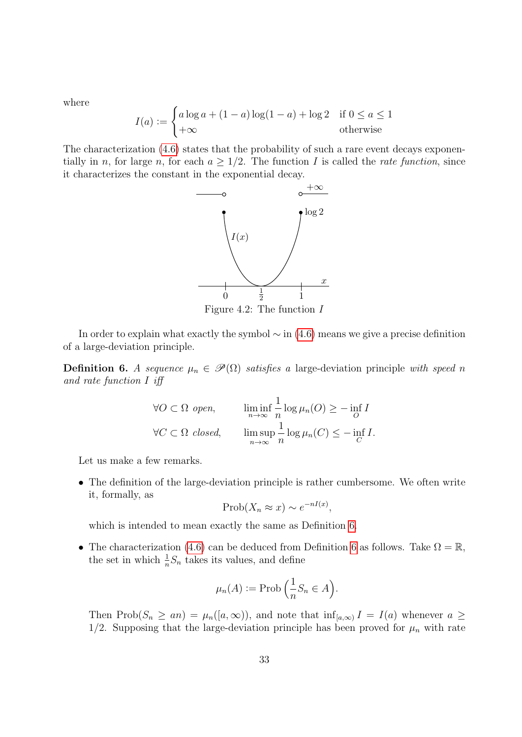where

$$
I(a) := \begin{cases} a\log a + (1-a)\log(1-a) + \log 2 & \text{if } 0 \le a \le 1 \\ +\infty & \text{otherwise} \end{cases}
$$

The characterization [\(4.6\)](#page-32-3) states that the probability of such a rare event decays exponentially in n, for large n, for each  $a \geq 1/2$ . The function I is called the *rate function*, since it characterizes the constant in the exponential decay.



Figure 4.2: The function I

In order to explain what exactly the symbol ∼ in [\(4.6\)](#page-32-3) means we give a precise definition of a large-deviation principle.

<span id="page-33-0"></span>**Definition 6.** A sequence  $\mu_n \in \mathcal{P}(\Omega)$  satisfies a large-deviation principle with speed n and rate function I iff

> $\forall O \subset \Omega$  open,  $\liminf_{n \to \infty}$ 1  $\frac{1}{n}\log \mu_n(O) \geq -\inf_{O} I$  $\forall C \subset \Omega$  closed, lim sup n→∞ 1  $\frac{1}{n}\log \mu_n(C) \leq -\inf_C I.$

Let us make a few remarks.

• The definition of the large-deviation principle is rather cumbersome. We often write it, formally, as

$$
\text{Prob}(X_n \approx x) \sim e^{-nI(x)},
$$

which is intended to mean exactly the same as Definition [6.](#page-33-0)

• The characterization [\(4.6\)](#page-32-3) can be deduced from Definition [6](#page-33-0) as follows. Take  $\Omega = \mathbb{R}$ , the set in which  $\frac{1}{n}S_n$  takes its values, and define

$$
\mu_n(A) := \text{Prob}\left(\frac{1}{n}S_n \in A\right).
$$

Then Prob $(S_n \geq an) = \mu_n([a, \infty))$ , and note that  $\inf_{[a, \infty)} I = I(a)$  whenever  $a \geq$ 1/2. Supposing that the large-deviation principle has been proved for  $\mu_n$  with rate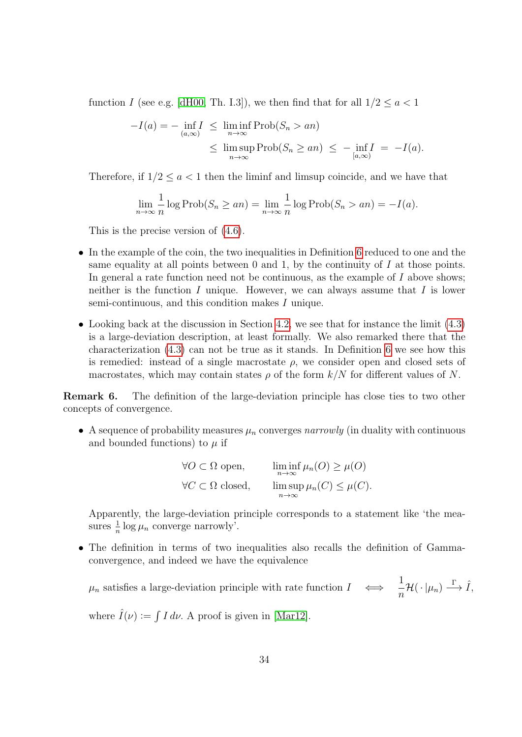function I (see e.g. [\[dH00,](#page-61-3) Th. I.3]), we then find that for all  $1/2 \le a < 1$ 

$$
-I(a) = -\inf_{(a,\infty)} I \leq \liminf_{n \to \infty} \text{Prob}(S_n > an)
$$
  

$$
\leq \limsup_{n \to \infty} \text{Prob}(S_n \geq an) \leq -\inf_{[a,\infty)} I = -I(a).
$$

Therefore, if  $1/2 \le a < 1$  then the liminf and limsup coincide, and we have that

$$
\lim_{n \to \infty} \frac{1}{n} \log \text{Prob}(S_n \ge an) = \lim_{n \to \infty} \frac{1}{n} \log \text{Prob}(S_n > an) = -I(a).
$$

This is the precise version of [\(4.6\)](#page-32-3).

- In the example of the coin, the two inequalities in Definition [6](#page-33-0) reduced to one and the same equality at all points between  $0$  and  $1$ , by the continuity of  $I$  at those points. In general a rate function need not be continuous, as the example of  $I$  above shows; neither is the function I unique. However, we can always assume that I is lower semi-continuous, and this condition makes I unique.
- Looking back at the discussion in Section [4.2,](#page-28-0) we see that for instance the limit [\(4.3\)](#page-29-1) is a large-deviation description, at least formally. We also remarked there that the characterization [\(4.3\)](#page-29-1) can not be true as it stands. In Definition [6](#page-33-0) we see how this is remedied: instead of a single macrostate  $\rho$ , we consider open and closed sets of macrostates, which may contain states  $\rho$  of the form  $k/N$  for different values of N.

Remark 6. The definition of the large-deviation principle has close ties to two other concepts of convergence.

• A sequence of probability measures  $\mu_n$  converges *narrowly* (in duality with continuous and bounded functions) to  $\mu$  if

$$
\forall O \subset \Omega \text{ open}, \qquad \liminf_{n \to \infty} \mu_n(O) \ge \mu(O)
$$

$$
\forall C \subset \Omega \text{ closed}, \qquad \limsup_{n \to \infty} \mu_n(C) \le \mu(C).
$$

Apparently, the large-deviation principle corresponds to a statement like 'the measures  $\frac{1}{n} \log \mu_n$  converge narrowly'.

• The definition in terms of two inequalities also recalls the definition of Gammaconvergence, and indeed we have the equivalence

 $\mu_n$  satisfies a large-deviation principle with rate function  $I \iff \frac{1}{n}$  $\frac{1}{n}\mathcal{H}(\cdot | \mu_n) \stackrel{\Gamma}{\longrightarrow} \hat{I},$ 

where  $\hat{I}(\nu) := \int I d\nu$ . A proof is given in [\[Mar12\]](#page-62-7).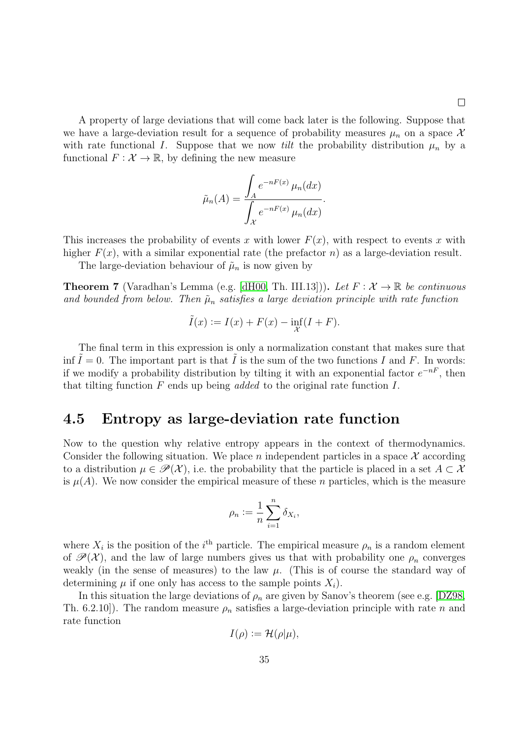A property of large deviations that will come back later is the following. Suppose that we have a large-deviation result for a sequence of probability measures  $\mu_n$  on a space X with rate functional I. Suppose that we now tilt the probability distribution  $\mu_n$  by a functional  $F: \mathcal{X} \to \mathbb{R}$ , by defining the new measure

$$
\tilde{\mu}_n(A) = \frac{\int_A e^{-nF(x)} \mu_n(dx)}{\int_{\mathcal{X}} e^{-nF(x)} \mu_n(dx)}.
$$

This increases the probability of events x with lower  $F(x)$ , with respect to events x with higher  $F(x)$ , with a similar exponential rate (the prefactor n) as a large-deviation result.

The large-deviation behaviour of  $\tilde{\mu}_n$  is now given by

**Theorem 7** (Varadhan's Lemma (e.g. [\[dH00,](#page-61-3) Th. III.13])). Let  $F : \mathcal{X} \to \mathbb{R}$  be continuous and bounded from below. Then  $\tilde{\mu}_n$  satisfies a large deviation principle with rate function

$$
\tilde{I}(x) := I(x) + F(x) - \inf_{\mathcal{X}} (I + F).
$$

The final term in this expression is only a normalization constant that makes sure that inf  $\tilde{I} = 0$ . The important part is that  $\tilde{I}$  is the sum of the two functions I and F. In words: if we modify a probability distribution by tilting it with an exponential factor  $e^{-nF}$ , then that tilting function  $F$  ends up being *added* to the original rate function  $I$ .

#### <span id="page-35-0"></span>4.5 Entropy as large-deviation rate function

Now to the question why relative entropy appears in the context of thermodynamics. Consider the following situation. We place n independent particles in a space  $\mathcal X$  according to a distribution  $\mu \in \mathscr{P}(\mathcal{X})$ , i.e. the probability that the particle is placed in a set  $A \subset \mathcal{X}$ is  $\mu(A)$ . We now consider the empirical measure of these *n* particles, which is the measure

$$
\rho_n := \frac{1}{n} \sum_{i=1}^n \delta_{X_i},
$$

where  $X_i$  is the position of the i<sup>th</sup> particle. The empirical measure  $\rho_n$  is a random element of  $\mathscr{P}(\mathcal{X})$ , and the law of large numbers gives us that with probability one  $\rho_n$  converges weakly (in the sense of measures) to the law  $\mu$ . (This is of course the standard way of determining  $\mu$  if one only has access to the sample points  $X_i$ ).

In this situation the large deviations of  $\rho_n$  are given by Sanov's theorem (see e.g. [\[DZ98,](#page-62-8) Th. 6.2.10]). The random measure  $\rho_n$  satisfies a large-deviation principle with rate n and rate function

$$
I(\rho) := \mathcal{H}(\rho|\mu),
$$

 $\Box$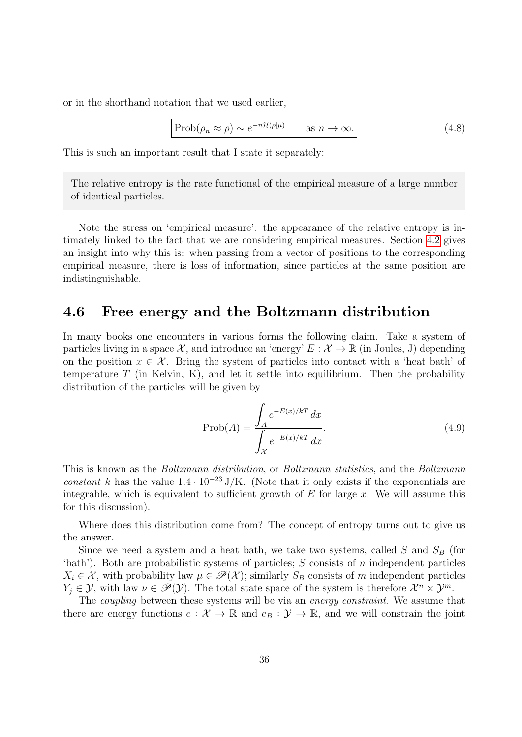or in the shorthand notation that we used earlier,

$$
\text{Prob}(\rho_n \approx \rho) \sim e^{-n\mathcal{H}(\rho|\mu)} \qquad \text{as } n \to \infty.
$$
 (4.8)

This is such an important result that I state it separately:

The relative entropy is the rate functional of the empirical measure of a large number of identical particles.

Note the stress on 'empirical measure': the appearance of the relative entropy is intimately linked to the fact that we are considering empirical measures. Section [4.2](#page-28-0) gives an insight into why this is: when passing from a vector of positions to the corresponding empirical measure, there is loss of information, since particles at the same position are indistinguishable.

#### <span id="page-36-0"></span>4.6 Free energy and the Boltzmann distribution

In many books one encounters in various forms the following claim. Take a system of particles living in a space X, and introduce an 'energy'  $E : \mathcal{X} \to \mathbb{R}$  (in Joules, J) depending on the position  $x \in \mathcal{X}$ . Bring the system of particles into contact with a 'heat bath' of temperature  $T$  (in Kelvin, K), and let it settle into equilibrium. Then the probability distribution of the particles will be given by

<span id="page-36-1"></span>
$$
\text{Prob}(A) = \frac{\int_{A} e^{-E(x)/kT} dx}{\int_{\mathcal{X}} e^{-E(x)/kT} dx}.
$$
\n(4.9)

This is known as the Boltzmann distribution, or Boltzmann statistics, and the Boltzmann constant k has the value  $1.4 \cdot 10^{-23}$  J/K. (Note that it only exists if the exponentials are integrable, which is equivalent to sufficient growth of  $E$  for large  $x$ . We will assume this for this discussion).

Where does this distribution come from? The concept of entropy turns out to give us the answer.

Since we need a system and a heat bath, we take two systems, called  $S$  and  $S_B$  (for  $\Phi$ ). Both are probabilistic systems of particles; S consists of n independent particles  $X_i \in \mathcal{X}$ , with probability law  $\mu \in \mathscr{P}(\mathcal{X})$ ; similarly  $S_B$  consists of m independent particles  $Y_j \in \mathcal{Y}$ , with law  $\nu \in \mathscr{P}(\mathcal{Y})$ . The total state space of the system is therefore  $\mathcal{X}^n \times \mathcal{Y}^m$ .

The coupling between these systems will be via an energy constraint. We assume that there are energy functions  $e: \mathcal{X} \to \mathbb{R}$  and  $e_B: \mathcal{Y} \to \mathbb{R}$ , and we will constrain the joint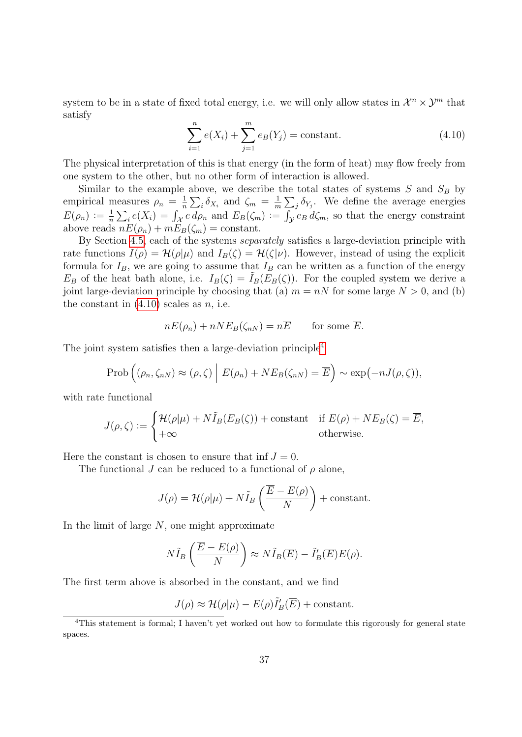<span id="page-37-0"></span>system to be in a state of fixed total energy, i.e. we will only allow states in  $\mathcal{X}^n \times \mathcal{Y}^m$  that satisfy

$$
\sum_{i=1}^{n} e(X_i) + \sum_{j=1}^{m} e_B(Y_j) = \text{constant.}
$$
 (4.10)

The physical interpretation of this is that energy (in the form of heat) may flow freely from one system to the other, but no other form of interaction is allowed.

Similar to the example above, we describe the total states of systems  $S$  and  $S_B$  by empirical measures  $\rho_n = \frac{1}{n}$  $\frac{1}{n} \sum_i \delta_{X_i}$  and  $\zeta_m = \frac{1}{m}$  $\frac{1}{m} \sum_j \delta_{Y_j}$ . We define the average energies  $E(\rho_n) := \frac{1}{n}$  $\frac{1}{n}\sum_i e(X_i) = \int_{\mathcal{X}} e \, d\rho_n$  and  $E_B(\zeta_m) := \int_{\mathcal{Y}} e_B \, d\zeta_m$ , so that the energy constraint above reads  $nE(\rho_n) + mE_B(\zeta_m) = \text{constant}.$ 

By Section [4.5,](#page-35-0) each of the systems *separately* satisfies a large-deviation principle with rate functions  $I(\rho) = \mathcal{H}(\rho|\mu)$  and  $I_B(\zeta) = \mathcal{H}(\zeta|\nu)$ . However, instead of using the explicit formula for  $I_B$ , we are going to assume that  $I_B$  can be written as a function of the energy  $E_B$  of the heat bath alone, i.e.  $I_B(\zeta) = I_B(E_B(\zeta))$ . For the coupled system we derive a joint large-deviation principle by choosing that (a)  $m = nN$  for some large  $N > 0$ , and (b) the constant in  $(4.10)$  scales as n, i.e.

$$
nE(\rho_n) + nNE_B(\zeta_{nN}) = n\overline{E} \quad \text{for some } \overline{E}.
$$

The joint system satisfies then a large-deviation principle<sup>[4](#page-37-1)</sup>

$$
\text{Prob}\left((\rho_n,\zeta_{nN})\approx(\rho,\zeta)\,\Big|\,E(\rho_n)+NE_B(\zeta_{nN})=\overline{E}\right)\sim\exp\bigl(-nJ(\rho,\zeta)\bigr),
$$

with rate functional

$$
J(\rho,\zeta) := \begin{cases} \mathcal{H}(\rho|\mu) + N\tilde{I}_B(E_B(\zeta)) + \text{constant} & \text{if } E(\rho) + NE_B(\zeta) = \overline{E}, \\ +\infty & \text{otherwise.} \end{cases}
$$

Here the constant is chosen to ensure that inf  $J = 0$ .

The functional J can be reduced to a functional of  $\rho$  alone,

$$
J(\rho) = \mathcal{H}(\rho|\mu) + N\tilde{I}_B\left(\frac{\overline{E} - E(\rho)}{N}\right) + \text{constant}.
$$

In the limit of large  $N$ , one might approximate

$$
N\tilde{I}_B\left(\frac{\overline{E}-E(\rho)}{N}\right) \approx N\tilde{I}_B(\overline{E}) - \tilde{I}'_B(\overline{E})E(\rho).
$$

The first term above is absorbed in the constant, and we find

$$
J(\rho) \approx \mathcal{H}(\rho|\mu) - E(\rho)\tilde{I}'_B(\overline{E}) + \text{constant}.
$$

<span id="page-37-1"></span><sup>&</sup>lt;sup>4</sup>This statement is formal; I haven't yet worked out how to formulate this rigorously for general state spaces.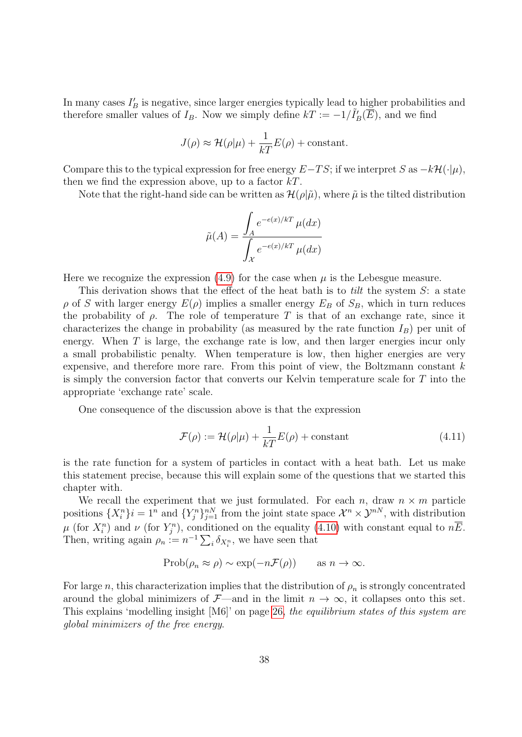In many cases  $I'_B$  is negative, since larger energies typically lead to higher probabilities and therefore smaller values of  $I_B$ . Now we simply define  $kT := -1/\tilde{I}_B'(\overline{E})$ , and we find

$$
J(\rho) \approx \mathcal{H}(\rho|\mu) + \frac{1}{kT}E(\rho) + \text{constant}.
$$

Compare this to the typical expression for free energy  $E-TS$ ; if we interpret S as  $-k\mathcal{H}(\cdot|\mu)$ , then we find the expression above, up to a factor  $kT$ .

Note that the right-hand side can be written as  $\mathcal{H}(\rho|\tilde{\mu})$ , where  $\tilde{\mu}$  is the tilted distribution

$$
\tilde{\mu}(A) = \frac{\int_A e^{-e(x)/kT} \mu(dx)}{\int_{\mathcal{X}} e^{-e(x)/kT} \mu(dx)}
$$

Here we recognize the expression  $(4.9)$  for the case when  $\mu$  is the Lebesgue measure.

This derivation shows that the effect of the heat bath is to *tilt* the system  $S$ : a state  $\rho$  of S with larger energy  $E(\rho)$  implies a smaller energy  $E_B$  of  $S_B$ , which in turn reduces the probability of  $\rho$ . The role of temperature T is that of an exchange rate, since it characterizes the change in probability (as measured by the rate function  $I_B$ ) per unit of energy. When  $T$  is large, the exchange rate is low, and then larger energies incur only a small probabilistic penalty. When temperature is low, then higher energies are very expensive, and therefore more rare. From this point of view, the Boltzmann constant  $k$ is simply the conversion factor that converts our Kelvin temperature scale for  $T$  into the appropriate 'exchange rate' scale.

One consequence of the discussion above is that the expression

$$
\mathcal{F}(\rho) := \mathcal{H}(\rho|\mu) + \frac{1}{kT}E(\rho) + \text{constant}
$$
\n(4.11)

is the rate function for a system of particles in contact with a heat bath. Let us make this statement precise, because this will explain some of the questions that we started this chapter with.

We recall the experiment that we just formulated. For each n, draw  $n \times m$  particle positions  $\{X_i^n\}$  = 1<sup>n</sup> and  $\{Y_j^n\}_{j=1}^{nN}$  from the joint state space  $\mathcal{X}^n \times \mathcal{Y}^{nN}$ , with distribution  $\mu$  (for  $X_i^n$ ) and  $\nu$  (for  $Y_j^n$ ), conditioned on the equality [\(4.10\)](#page-37-0) with constant equal to  $n\overline{E}$ . Then, writing again  $\rho_n := n^{-1} \sum_i \delta_{X_i^n}$ , we have seen that

$$
\mathrm{Prob}(\rho_n \approx \rho) \sim \exp(-n\mathcal{F}(\rho)) \quad \text{as } n \to \infty.
$$

For large n, this characterization implies that the distribution of  $\rho_n$  is strongly concentrated around the global minimizers of  $\mathcal{F}-$ and in the limit  $n \to \infty$ , it collapses onto this set. This explains 'modelling insight  $[M6]$ ' on page [26,](#page-26-0) the equilibrium states of this system are global minimizers of the free energy.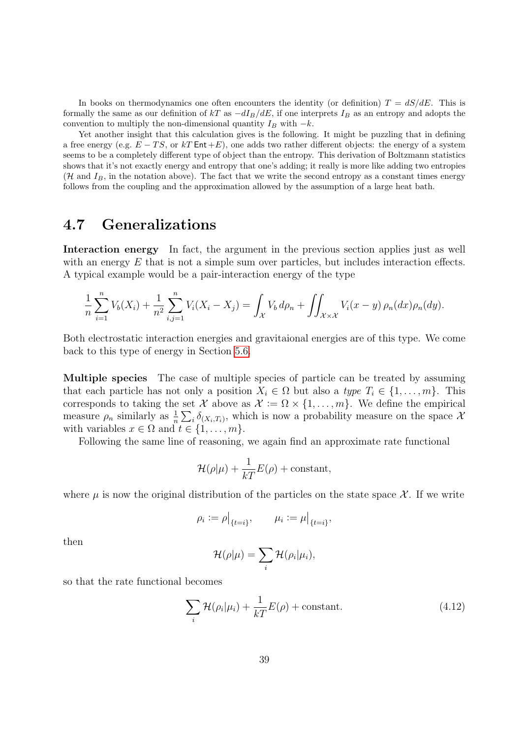In books on thermodynamics one often encounters the identity (or definition)  $T = dS/dE$ . This is formally the same as our definition of kT as  $-dI_B/dE$ , if one interprets  $I_B$  as an entropy and adopts the convention to multiply the non-dimensional quantity  $I_B$  with  $-k$ .

Yet another insight that this calculation gives is the following. It might be puzzling that in defining a free energy (e.g.  $E - TS$ , or  $kT \text{Ent} + E$ ), one adds two rather different objects: the energy of a system seems to be a completely different type of object than the entropy. This derivation of Boltzmann statistics shows that it's not exactly energy and entropy that one's adding; it really is more like adding two entropies ( $\mathcal H$  and  $I_B$ , in the notation above). The fact that we write the second entropy as a constant times energy follows from the coupling and the approximation allowed by the assumption of a large heat bath.

#### <span id="page-39-0"></span>4.7 Generalizations

Interaction energy In fact, the argument in the previous section applies just as well with an energy  $E$  that is not a simple sum over particles, but includes interaction effects. A typical example would be a pair-interaction energy of the type

$$
\frac{1}{n}\sum_{i=1}^n V_b(X_i) + \frac{1}{n^2}\sum_{i,j=1}^n V_i(X_i - X_j) = \int_{\mathcal{X}} V_b d\rho_n + \iint_{\mathcal{X}\times\mathcal{X}} V_i(x - y) \rho_n(dx)\rho_n(dy).
$$

Both electrostatic interaction energies and gravitaional energies are of this type. We come back to this type of energy in Section [5.6.](#page-47-0)

Multiple species The case of multiple species of particle can be treated by assuming that each particle has not only a position  $X_i \in \Omega$  but also a type  $T_i \in \{1, \ldots, m\}$ . This corresponds to taking the set X above as  $\mathcal{X} := \Omega \times \{1, \ldots, m\}$ . We define the empirical measure  $\rho_n$  similarly as  $\frac{1}{n} \sum_i \delta_{(X_i,T_i)}$ , which is now a probability measure on the space  $\lambda$ with variables  $x \in \Omega$  and  $t \in \{1, \ldots, m\}$ .

Following the same line of reasoning, we again find an approximate rate functional

$$
\mathcal{H}(\rho|\mu) + \frac{1}{kT}E(\rho) + \text{constant},
$$

where  $\mu$  is now the original distribution of the particles on the state space  $\mathcal{X}$ . If we write

$$
\rho_i := \rho \big|_{\{t = i\}}, \qquad \mu_i := \mu \big|_{\{t = i\}},
$$

then

<span id="page-39-1"></span>
$$
\mathcal{H}(\rho|\mu) = \sum_i \mathcal{H}(\rho_i|\mu_i),
$$

so that the rate functional becomes

$$
\sum_{i} \mathcal{H}(\rho_i | \mu_i) + \frac{1}{kT} E(\rho) + \text{constant.} \tag{4.12}
$$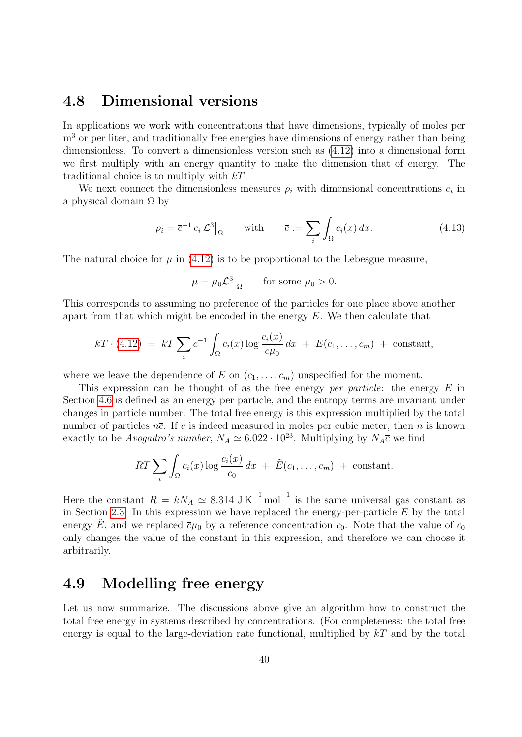#### <span id="page-40-0"></span>4.8 Dimensional versions

In applications we work with concentrations that have dimensions, typically of moles per m<sup>3</sup> or per liter, and traditionally free energies have dimensions of energy rather than being dimensionless. To convert a dimensionless version such as [\(4.12\)](#page-39-1) into a dimensional form we first multiply with an energy quantity to make the dimension that of energy. The traditional choice is to multiply with kT.

We next connect the dimensionless measures  $\rho_i$  with dimensional concentrations  $c_i$  in a physical domain  $\Omega$  by

$$
\rho_i = \overline{c}^{-1} c_i \mathcal{L}^3 \big|_{\Omega} \quad \text{with} \quad \overline{c} := \sum_i \int_{\Omega} c_i(x) \, dx. \tag{4.13}
$$

The natural choice for  $\mu$  in [\(4.12\)](#page-39-1) is to be proportional to the Lebesgue measure,

$$
\mu = \mu_0 \mathcal{L}^3 \big|_{\Omega} \quad \text{for some } \mu_0 > 0.
$$

This corresponds to assuming no preference of the particles for one place above another apart from that which might be encoded in the energy  $E$ . We then calculate that

$$
kT \cdot (4.12) = kT \sum_{i} \overline{c}^{-1} \int_{\Omega} c_i(x) \log \frac{c_i(x)}{\overline{c}\mu_0} dx + E(c_1, \ldots, c_m) + \text{constant},
$$

where we leave the dependence of E on  $(c_1, \ldots, c_m)$  unspecified for the moment.

This expression can be thought of as the free energy *per particle*: the energy  $E$  in Section [4.6](#page-36-0) is defined as an energy per particle, and the entropy terms are invariant under changes in particle number. The total free energy is this expression multiplied by the total number of particles  $n\bar{c}$ . If c is indeed measured in moles per cubic meter, then n is known exactly to be *Avogadro's number*,  $N_A \simeq 6.022 \cdot 10^{23}$ . Multiplying by  $N_A \bar{c}$  we find

$$
RT\sum_{i}\int_{\Omega}c_{i}(x)\log\frac{c_{i}(x)}{c_{0}}dx + \tilde{E}(c_{1},\ldots,c_{m}) + \text{constant}.
$$

Here the constant  $R = kN_A \simeq 8.314 \text{ J K}^{-1} \text{mol}^{-1}$  is the same universal gas constant as in Section [2.3.](#page-12-0) In this expression we have replaced the energy-per-particle  $E$  by the total energy E, and we replaced  $\bar{c}\mu_0$  by a reference concentration  $c_0$ . Note that the value of  $c_0$ only changes the value of the constant in this expression, and therefore we can choose it arbitrarily.

#### <span id="page-40-1"></span>4.9 Modelling free energy

Let us now summarize. The discussions above give an algorithm how to construct the total free energy in systems described by concentrations. (For completeness: the total free energy is equal to the large-deviation rate functional, multiplied by  $kT$  and by the total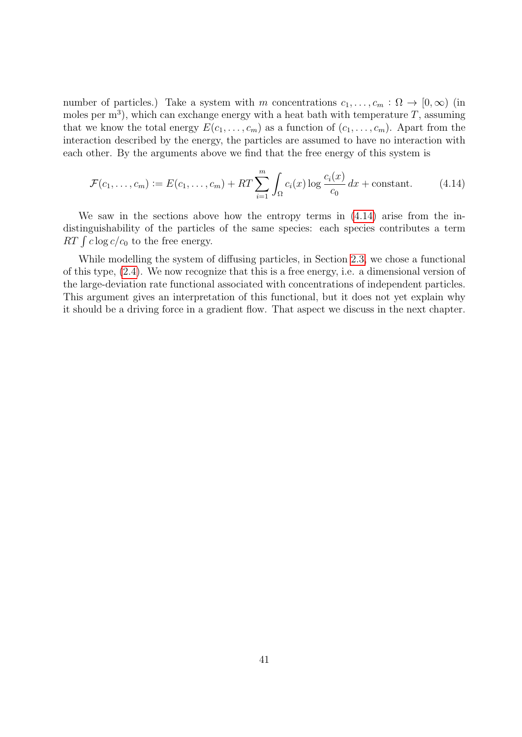number of particles.) Take a system with m concentrations  $c_1, \ldots, c_m : \Omega \to [0, \infty)$  (in moles per  $m^3$ ), which can exchange energy with a heat bath with temperature T, assuming that we know the total energy  $E(c_1, \ldots, c_m)$  as a function of  $(c_1, \ldots, c_m)$ . Apart from the interaction described by the energy, the particles are assumed to have no interaction with each other. By the arguments above we find that the free energy of this system is

<span id="page-41-0"></span>
$$
\mathcal{F}(c_1,\ldots,c_m) := E(c_1,\ldots,c_m) + RT \sum_{i=1}^m \int_{\Omega} c_i(x) \log \frac{c_i(x)}{c_0} dx + \text{constant.} \tag{4.14}
$$

We saw in the sections above how the entropy terms in [\(4.14\)](#page-41-0) arise from the indistinguishability of the particles of the same species: each species contributes a term RT  $\int c \log c/c_0$  to the free energy.

While modelling the system of diffusing particles, in Section [2.3,](#page-12-0) we chose a functional of this type, [\(2.4\)](#page-12-1). We now recognize that this is a free energy, i.e. a dimensional version of the large-deviation rate functional associated with concentrations of independent particles. This argument gives an interpretation of this functional, but it does not yet explain why it should be a driving force in a gradient flow. That aspect we discuss in the next chapter.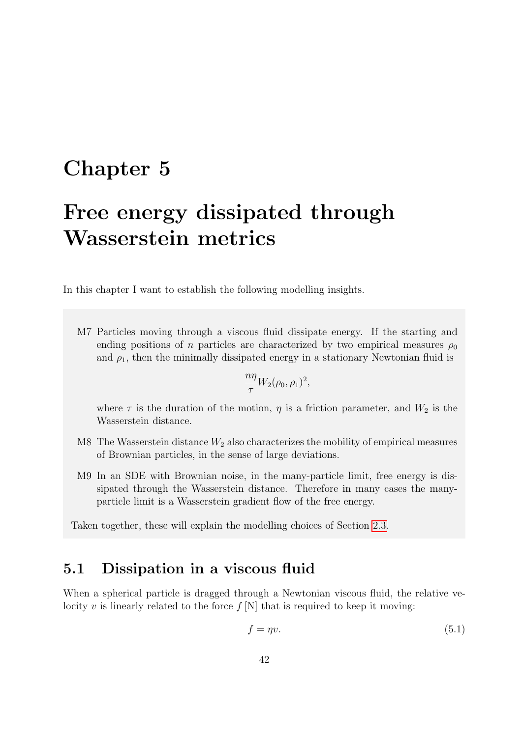# <span id="page-42-0"></span>Chapter 5

# Free energy dissipated through Wasserstein metrics

In this chapter I want to establish the following modelling insights.

M7 Particles moving through a viscous fluid dissipate energy. If the starting and ending positions of n particles are characterized by two empirical measures  $\rho_0$ and  $\rho_1$ , then the minimally dissipated energy in a stationary Newtonian fluid is

$$
\frac{n\eta}{\tau}W_2(\rho_0,\rho_1)^2,
$$

where  $\tau$  is the duration of the motion,  $\eta$  is a friction parameter, and  $W_2$  is the Wasserstein distance.

- M8 The Wasserstein distance  $W_2$  also characterizes the mobility of empirical measures of Brownian particles, in the sense of large deviations.
- M9 In an SDE with Brownian noise, in the many-particle limit, free energy is dissipated through the Wasserstein distance. Therefore in many cases the manyparticle limit is a Wasserstein gradient flow of the free energy.

Taken together, these will explain the modelling choices of Section [2.3.](#page-12-0)

#### <span id="page-42-1"></span>5.1 Dissipation in a viscous fluid

When a spherical particle is dragged through a Newtonian viscous fluid, the relative velocity v is linearly related to the force  $f[N]$  that is required to keep it moving:

<span id="page-42-2"></span>
$$
f = \eta v. \tag{5.1}
$$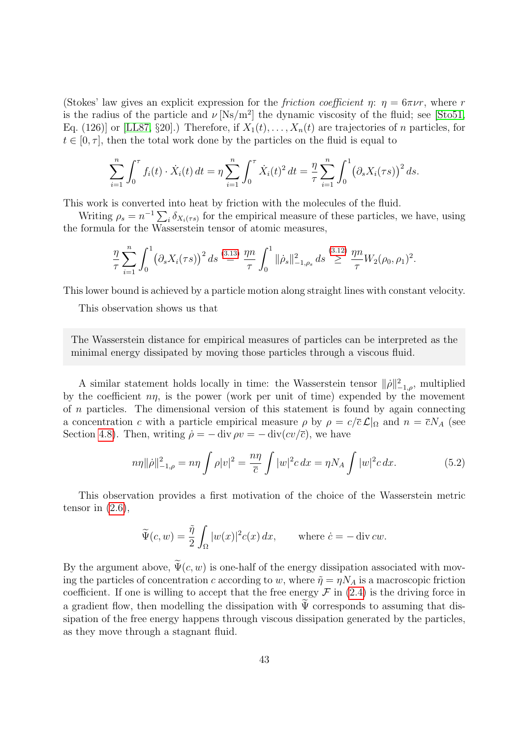(Stokes' law gives an explicit expression for the *friction coefficient*  $\eta$ :  $\eta = 6\pi\nu r$ , where r is the radius of the particle and  $\nu$  [Ns/m<sup>2</sup>] the dynamic viscosity of the fluid; see [\[Sto51,](#page-63-1) Eq. (126)] or [\[LL87,](#page-62-1) §20].) Therefore, if  $X_1(t), \ldots, X_n(t)$  are trajectories of n particles, for  $t \in [0, \tau]$ , then the total work done by the particles on the fluid is equal to

$$
\sum_{i=1}^{n} \int_0^{\tau} f_i(t) \cdot \dot{X}_i(t) dt = \eta \sum_{i=1}^{n} \int_0^{\tau} \dot{X}_i(t)^2 dt = \frac{\eta}{\tau} \sum_{i=1}^{n} \int_0^1 (\partial_s X_i(\tau s))^2 ds.
$$

This work is converted into heat by friction with the molecules of the fluid.

Writing  $\rho_s = n^{-1} \sum_i \delta_{X_i(\tau_s)}$  for the empirical measure of these particles, we have, using the formula for the Wasserstein tensor of atomic measures,

$$
\frac{\eta}{\tau} \sum_{i=1}^n \int_0^1 \left( \partial_s X_i(\tau s) \right)^2 ds \stackrel{(3.13)}{=} \frac{\eta n}{\tau} \int_0^1 \|\dot{\rho}_s\|_{-1,\rho_s}^2 ds \stackrel{(3.12)}{\geq} \frac{\eta n}{\tau} W_2(\rho_0, \rho_1)^2.
$$

This lower bound is achieved by a particle motion along straight lines with constant velocity.

This observation shows us that

The Wasserstein distance for empirical measures of particles can be interpreted as the minimal energy dissipated by moving those particles through a viscous fluid.

A similar statement holds locally in time: the Wasserstein tensor  $\|\dot{\rho}\|_{-1,\rho}^2$ , multiplied by the coefficient  $n\eta$ , is the power (work per unit of time) expended by the movement of  $n$  particles. The dimensional version of this statement is found by again connecting a concentration c with a particle empirical measure  $\rho$  by  $\rho = c/\bar{c}\mathcal{L}|_{\Omega}$  and  $n = \bar{c}N_A$  (see Section [4.8\)](#page-40-0). Then, writing  $\dot{\rho} = - \text{div} \rho v = - \text{div}(cv/\overline{c})$ , we have

$$
n\eta \|\dot{\rho}\|_{-1,\rho}^2 = n\eta \int \rho |v|^2 = \frac{n\eta}{\bar{c}} \int |w|^2 c \, dx = \eta N_A \int |w|^2 c \, dx. \tag{5.2}
$$

This observation provides a first motivation of the choice of the Wasserstein metric tensor in  $(2.6)$ ,

$$
\widetilde{\Psi}(c, w) = \frac{\widetilde{\eta}}{2} \int_{\Omega} |w(x)|^2 c(x) dx, \quad \text{where } \dot{c} = -\operatorname{div} cw.
$$

By the argument above,  $\tilde{\Psi}(c, w)$  is one-half of the energy dissipation associated with moving the particles of concentration c according to w, where  $\tilde{\eta} = \eta N_A$  is a macroscopic friction coefficient. If one is willing to accept that the free energy  $\mathcal F$  in [\(2.4\)](#page-12-1) is the driving force in a gradient flow, then modelling the dissipation with  $\Psi$  corresponds to assuming that dissipation of the free energy happens through viscous dissipation generated by the particles, as they move through a stagnant fluid.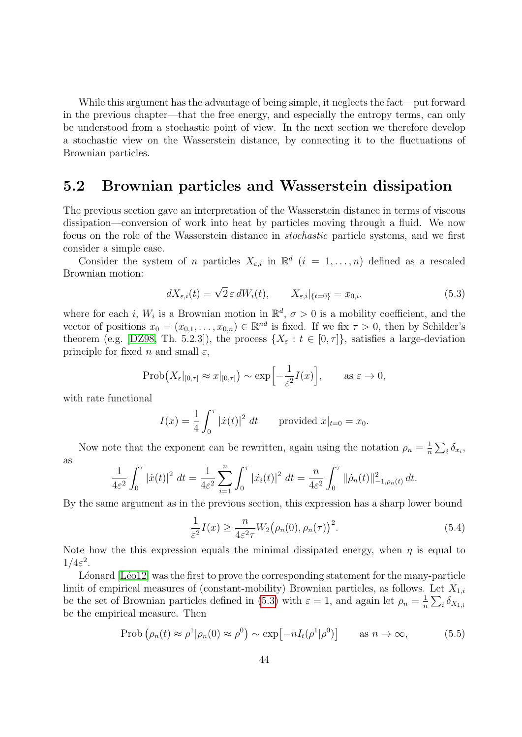While this argument has the advantage of being simple, it neglects the fact—put forward in the previous chapter—that the free energy, and especially the entropy terms, can only be understood from a stochastic point of view. In the next section we therefore develop a stochastic view on the Wasserstein distance, by connecting it to the fluctuations of Brownian particles.

#### <span id="page-44-0"></span>5.2 Brownian particles and Wasserstein dissipation

The previous section gave an interpretation of the Wasserstein distance in terms of viscous dissipation—conversion of work into heat by particles moving through a fluid. We now focus on the role of the Wasserstein distance in stochastic particle systems, and we first consider a simple case.

Consider the system of *n* particles  $X_{\varepsilon,i}$  in  $\mathbb{R}^d$   $(i = 1, \ldots, n)$  defined as a rescaled Brownian motion:

<span id="page-44-1"></span>
$$
dX_{\varepsilon,i}(t) = \sqrt{2} \,\varepsilon \, dW_i(t), \qquad X_{\varepsilon,i}|_{\{t=0\}} = x_{0,i}.\tag{5.3}
$$

where for each i,  $W_i$  is a Brownian motion in  $\mathbb{R}^d$ ,  $\sigma > 0$  is a mobility coefficient, and the vector of positions  $x_0 = (x_{0,1}, \ldots, x_{0,n}) \in \mathbb{R}^{nd}$  is fixed. If we fix  $\tau > 0$ , then by Schilder's theorem (e.g. [\[DZ98,](#page-62-8) Th. 5.2.3]), the process  $\{X_{\varepsilon}: t \in [0, \tau]\}$ , satisfies a large-deviation principle for fixed n and small  $\varepsilon$ ,

$$
\mathrm{Prob}\big(X_{\varepsilon}|_{[0,\tau]} \approx x|_{[0,\tau]}\big) \sim \exp\Big[-\frac{1}{\varepsilon^2}I(x)\Big], \qquad \text{as } \varepsilon \to 0,
$$

with rate functional

$$
I(x) = \frac{1}{4} \int_0^{\tau} |\dot{x}(t)|^2 dt \quad \text{provided } x|_{t=0} = x_0.
$$

Now note that the exponent can be rewritten, again using the notation  $\rho_n = \frac{1}{n}$  $\frac{1}{n} \sum_i \delta_{x_i},$ as

$$
\frac{1}{4\varepsilon^2} \int_0^\tau |\dot{x}(t)|^2 \, dt = \frac{1}{4\varepsilon^2} \sum_{i=1}^n \int_0^\tau |\dot{x}_i(t)|^2 \, dt = \frac{n}{4\varepsilon^2} \int_0^\tau \|\dot{p}_n(t)\|_{-1,\rho_n(t)}^2 \, dt.
$$

By the same argument as in the previous section, this expression has a sharp lower bound

<span id="page-44-2"></span>
$$
\frac{1}{\varepsilon^2}I(x) \ge \frac{n}{4\varepsilon^2 \tau} W_2(\rho_n(0), \rho_n(\tau))^2. \tag{5.4}
$$

Note how the this expression equals the minimal dissipated energy, when  $\eta$  is equal to  $1/4\varepsilon^2$ .

Léonard [Léo12] was the first to prove the corresponding statement for the many-particle limit of empirical measures of (constant-mobility) Brownian particles, as follows. Let  $X_{1,i}$ be the set of Brownian particles defined in [\(5.3\)](#page-44-1) with  $\varepsilon = 1$ , and again let  $\rho_n = \frac{1}{n}$  $\frac{1}{n}\sum_i \delta_{X_{1,i}}$ be the empirical measure. Then

$$
\text{Prob}\left(\rho_n(t) \approx \rho^1 | \rho_n(0) \approx \rho^0\right) \sim \exp\left[-nI_t(\rho^1 | \rho^0)\right] \qquad \text{as } n \to \infty,
$$
 (5.5)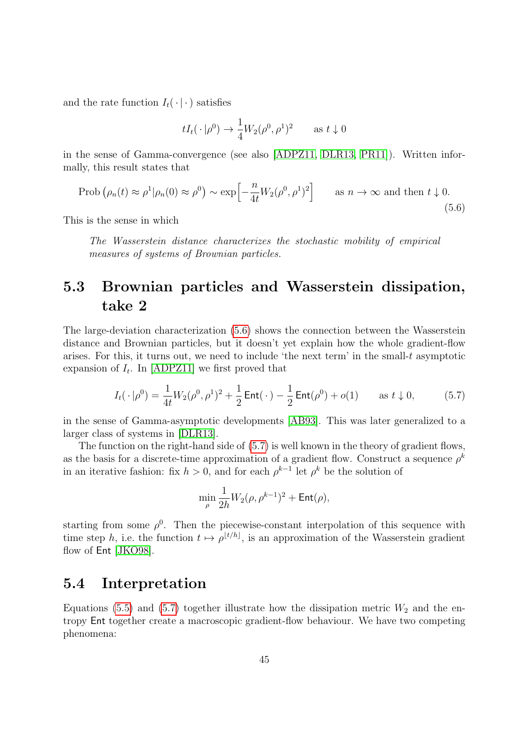and the rate function  $I_t(\cdot | \cdot)$  satisfies

<span id="page-45-2"></span>
$$
tI_t(\,\cdot\,|\rho^0)\to \frac{1}{4}W_2(\rho^0,\rho^1)^2\qquad\text{as }t\downarrow 0
$$

in the sense of Gamma-convergence (see also [\[ADPZ11,](#page-61-4) [DLR13,](#page-61-5) [PR11\]](#page-63-2)). Written informally, this result states that

$$
\text{Prob}\left(\rho_n(t) \approx \rho^1 | \rho_n(0) \approx \rho^0\right) \sim \exp\left[-\frac{n}{4t} W_2(\rho^0, \rho^1)^2\right] \qquad \text{as } n \to \infty \text{ and then } t \downarrow 0. \tag{5.6}
$$

This is the sense in which

The Wasserstein distance characterizes the stochastic mobility of empirical measures of systems of Brownian particles.

### <span id="page-45-0"></span>5.3 Brownian particles and Wasserstein dissipation, take 2

The large-deviation characterization [\(5.6\)](#page-45-2) shows the connection between the Wasserstein distance and Brownian particles, but it doesn't yet explain how the whole gradient-flow arises. For this, it turns out, we need to include 'the next term' in the small-t asymptotic expansion of  $I_t$ . In [\[ADPZ11\]](#page-61-4) we first proved that

$$
I_t(\cdot|\rho^0) = \frac{1}{4t}W_2(\rho^0, \rho^1)^2 + \frac{1}{2}\text{Ent}(\cdot) - \frac{1}{2}\text{Ent}(\rho^0) + o(1) \quad \text{as } t \downarrow 0,
$$
 (5.7)

in the sense of Gamma-asymptotic developments [\[AB93\]](#page-61-6). This was later generalized to a larger class of systems in [\[DLR13\]](#page-61-5).

The function on the right-hand side of [\(5.7\)](#page-45-3) is well known in the theory of gradient flows, as the basis for a discrete-time approximation of a gradient flow. Construct a sequence  $\rho^k$ in an iterative fashion: fix  $h > 0$ , and for each  $\rho^{k-1}$  let  $\rho^k$  be the solution of

<span id="page-45-3"></span>
$$
\min_{\rho} \frac{1}{2h}W_2(\rho,\rho^{k-1})^2 + \mathsf{Ent}(\rho),
$$

starting from some  $\rho^0$ . Then the piecewise-constant interpolation of this sequence with time step h, i.e. the function  $t \mapsto \rho^{\lfloor t/h \rfloor}$ , is an approximation of the Wasserstein gradient flow of Ent [\[JKO98\]](#page-62-10).

#### <span id="page-45-1"></span>5.4 Interpretation

Equations [\(5.5\)](#page-44-2) and [\(5.7\)](#page-45-3) together illustrate how the dissipation metric  $W_2$  and the entropy Ent together create a macroscopic gradient-flow behaviour. We have two competing phenomena: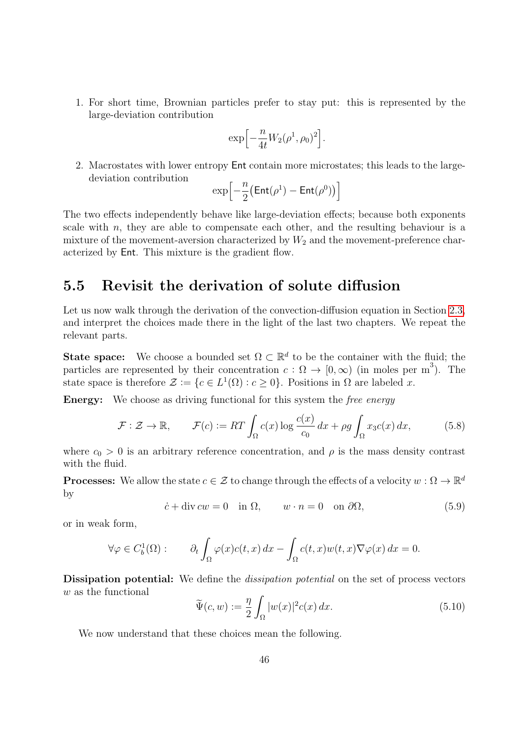1. For short time, Brownian particles prefer to stay put: this is represented by the large-deviation contribution

$$
\exp\left[-\frac{n}{4t}W_2(\rho^1,\rho_0)^2\right].
$$

2. Macrostates with lower entropy Ent contain more microstates; this leads to the largedeviation contribution

$$
\exp\left[-\frac{n}{2}\big(\mathsf{Ent}(\rho^1)-\mathsf{Ent}(\rho^0)\big)\right]
$$

The two effects independently behave like large-deviation effects; because both exponents scale with n, they are able to compensate each other, and the resulting behaviour is a mixture of the movement-aversion characterized by  $W_2$  and the movement-preference characterized by Ent. This mixture is the gradient flow.

### <span id="page-46-0"></span>5.5 Revisit the derivation of solute diffusion

Let us now walk through the derivation of the convection-diffusion equation in Section [2.3,](#page-12-0) and interpret the choices made there in the light of the last two chapters. We repeat the relevant parts.

**State space:** We choose a bounded set  $\Omega \subset \mathbb{R}^d$  to be the container with the fluid; the particles are represented by their concentration  $c: \Omega \to [0, \infty)$  (in moles per m<sup>3</sup>). The state space is therefore  $\mathcal{Z} := \{c \in L^1(\Omega) : c \geq 0\}$ . Positions in  $\Omega$  are labeled x.

Energy: We choose as driving functional for this system the *free energy* 

$$
\mathcal{F}: \mathcal{Z} \to \mathbb{R}, \qquad \mathcal{F}(c) := RT \int_{\Omega} c(x) \log \frac{c(x)}{c_0} dx + \rho g \int_{\Omega} x_3 c(x) dx, \tag{5.8}
$$

where  $c_0 > 0$  is an arbitrary reference concentration, and  $\rho$  is the mass density contrast with the fluid.

**Processes:** We allow the state  $c \in \mathcal{Z}$  to change through the effects of a velocity  $w : \Omega \to \mathbb{R}^d$ by

<span id="page-46-1"></span>
$$
\dot{c} + \text{div } cw = 0 \quad \text{in } \Omega, \qquad w \cdot n = 0 \quad \text{on } \partial\Omega,\tag{5.9}
$$

or in weak form,

$$
\forall \varphi \in C_b^1(\Omega) : \qquad \partial_t \int_{\Omega} \varphi(x) c(t, x) \, dx - \int_{\Omega} c(t, x) w(t, x) \nabla \varphi(x) \, dx = 0.
$$

Dissipation potential: We define the *dissipation potential* on the set of process vectors w as the functional

$$
\widetilde{\Psi}(c, w) := \frac{\eta}{2} \int_{\Omega} |w(x)|^2 c(x) dx.
$$
\n(5.10)

We now understand that these choices mean the following.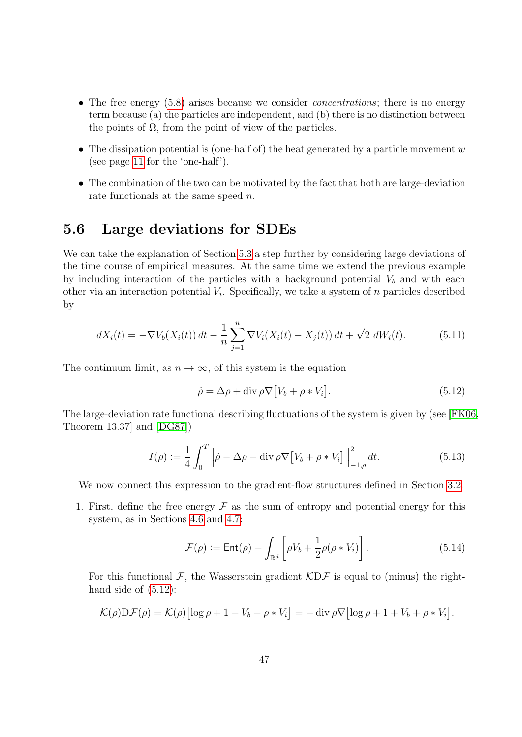- The free energy  $(5.8)$  arises because we consider *concentrations*; there is no energy term because (a) the particles are independent, and (b) there is no distinction between the points of  $\Omega$ , from the point of view of the particles.
- The dissipation potential is (one-half of) the heat generated by a particle movement  $w$ (see page [11](#page-11-1) for the 'one-half').
- The combination of the two can be motivated by the fact that both are large-deviation rate functionals at the same speed  $n$ .

#### <span id="page-47-0"></span>5.6 Large deviations for SDEs

We can take the explanation of Section [5.3](#page-45-0) a step further by considering large deviations of the time course of empirical measures. At the same time we extend the previous example by including interaction of the particles with a background potential  $V<sub>b</sub>$  and with each other via an interaction potential  $V_i$ . Specifically, we take a system of n particles described by

$$
dX_i(t) = -\nabla V_b(X_i(t)) dt - \frac{1}{n} \sum_{j=1}^n \nabla V_i(X_i(t) - X_j(t)) dt + \sqrt{2} dW_i(t).
$$
 (5.11)

The continuum limit, as  $n \to \infty$ , of this system is the equation

<span id="page-47-2"></span><span id="page-47-1"></span>
$$
\dot{\rho} = \Delta \rho + \text{div}\,\rho \nabla \big[ V_b + \rho * V_i \big]. \tag{5.12}
$$

The large-deviation rate functional describing fluctuations of the system is given by (see [\[FK06,](#page-62-11) Theorem 13.37] and [\[DG87\]](#page-61-7))

$$
I(\rho) := \frac{1}{4} \int_0^T \left\| \dot{\rho} - \Delta \rho - \text{div} \, \rho \nabla \left[ V_b + \rho \ast V_i \right] \right\|_{-1,\rho}^2 dt. \tag{5.13}
$$

We now connect this expression to the gradient-flow structures defined in Section [3.2.](#page-17-0)

1. First, define the free energy  $\mathcal F$  as the sum of entropy and potential energy for this system, as in Sections [4.6](#page-36-0) and [4.7:](#page-39-0)

<span id="page-47-3"></span>
$$
\mathcal{F}(\rho) := \mathsf{Ent}(\rho) + \int_{\mathbb{R}^d} \left[ \rho V_b + \frac{1}{2} \rho (\rho * V_i) \right]. \tag{5.14}
$$

For this functional  $\mathcal F$ , the Wasserstein gradient  $\mathcal K\mathrm D\mathcal F$  is equal to (minus) the righthand side of  $(5.12)$ :

$$
\mathcal{K}(\rho)\mathcal{D}\mathcal{F}(\rho) = \mathcal{K}(\rho) [\log \rho + 1 + V_b + \rho * V_i] = -\operatorname{div} \rho \nabla [\log \rho + 1 + V_b + \rho * V_i].
$$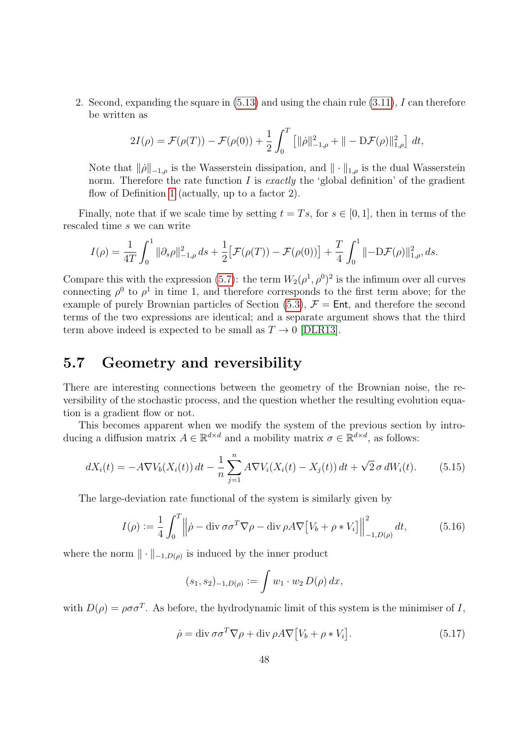2. Second, expanding the square in  $(5.13)$  and using the chain rule  $(3.11)$ , I can therefore be written as

$$
2I(\rho) = \mathcal{F}(\rho(T)) - \mathcal{F}(\rho(0)) + \frac{1}{2} \int_0^T \left[ ||\dot{\rho}||_{-1,\rho}^2 + || - D\mathcal{F}(\rho)||_{1,\rho}^2 \right] dt,
$$

Note that  $\|\dot{\rho}\|_{-1,\rho}$  is the Wasserstein dissipation, and  $\|\cdot\|_{1,\rho}$  is the dual Wasserstein norm. Therefore the rate function  $I$  is *exactly* the 'global definition' of the gradient flow of Definition [1](#page-18-2) (actually, up to a factor 2).

Finally, note that if we scale time by setting  $t = Ts$ , for  $s \in [0, 1]$ , then in terms of the rescaled time s we can write

$$
I(\rho) = \frac{1}{4T} \int_0^1 \|\partial_s \rho\|_{-1,\rho}^2 ds + \frac{1}{2} \left[ \mathcal{F}(\rho(T)) - \mathcal{F}(\rho(0)) \right] + \frac{T}{4} \int_0^1 \|\n-\mathcal{D}\mathcal{F}(\rho)\|_{1,\rho}^2 ds.
$$

Compare this with the expression [\(5.7\)](#page-45-3): the term  $W_2(\rho^1, \rho^0)^2$  is the infimum over all curves connecting  $\rho^0$  to  $\rho^1$  in time 1, and therefore corresponds to the first term above; for the example of purely Brownian particles of Section [\(5.3\)](#page-45-0),  $\mathcal{F} = \mathsf{Ent}$ , and therefore the second terms of the two expressions are identical; and a separate argument shows that the third term above indeed is expected to be small as  $T \to 0$  [\[DLR13\]](#page-61-5).

### <span id="page-48-0"></span>5.7 Geometry and reversibility

There are interesting connections between the geometry of the Brownian noise, the reversibility of the stochastic process, and the question whether the resulting evolution equation is a gradient flow or not.

This becomes apparent when we modify the system of the previous section by introducing a diffusion matrix  $A \in \mathbb{R}^{d \times d}$  and a mobility matrix  $\sigma \in \mathbb{R}^{d \times d}$ , as follows:

$$
dX_i(t) = -A\nabla V_b(X_i(t)) dt - \frac{1}{n} \sum_{j=1}^n A\nabla V_i(X_i(t) - X_j(t)) dt + \sqrt{2} \sigma dW_i(t).
$$
 (5.15)

The large-deviation rate functional of the system is similarly given by

$$
I(\rho) := \frac{1}{4} \int_0^T \left\| \dot{\rho} - \text{div} \,\sigma \sigma^T \nabla \rho - \text{div} \,\rho A \nabla \left[ V_b + \rho * V_i \right] \right\|_{-1, D(\rho)}^2 dt, \tag{5.16}
$$

where the norm  $\|\cdot\|_{-1,D(\rho)}$  is induced by the inner product

<span id="page-48-3"></span><span id="page-48-1"></span>
$$
(s_1, s_2)_{-1,D(\rho)} := \int w_1 \cdot w_2 D(\rho) \, dx,
$$

<span id="page-48-2"></span>with  $D(\rho) = \rho \sigma \sigma^T$ . As before, the hydrodynamic limit of this system is the minimiser of I,

$$
\dot{\rho} = \text{div}\,\sigma\sigma^T \nabla \rho + \text{div}\,\rho A \nabla \big[ V_b + \rho * V_i \big]. \tag{5.17}
$$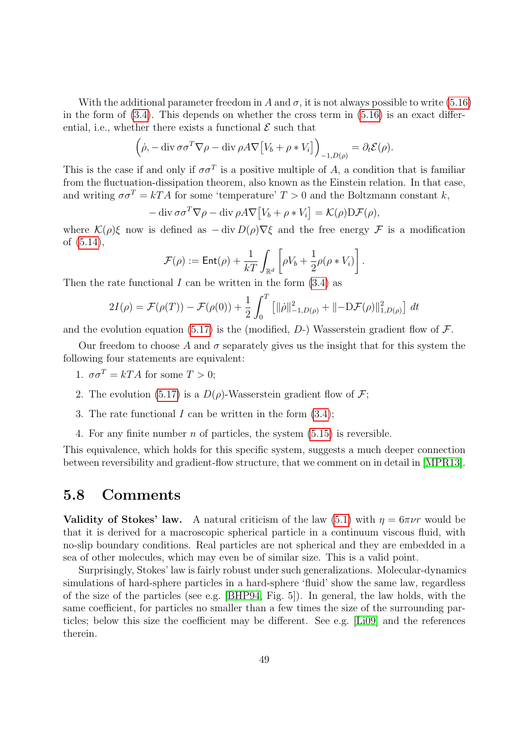With the additional parameter freedom in A and  $\sigma$ , it is not always possible to write [\(5.16\)](#page-48-1) in the form of  $(3.4)$ . This depends on whether the cross term in  $(5.16)$  is an exact differential, i.e., whether there exists a functional  $\mathcal E$  such that

$$
(\dot{\rho}, -\operatorname{div} \sigma \sigma^T \nabla \rho - \operatorname{div} \rho A \nabla [V_b + \rho * V_i])_{-1, D(\rho)} = \partial_t \mathcal{E}(\rho).
$$

This is the case if and only if  $\sigma\sigma^T$  is a positive multiple of A, a condition that is familiar from the fluctuation-dissipation theorem, also known as the Einstein relation. In that case, and writing  $\sigma \sigma^T = kTA$  for some 'temperature'  $T > 0$  and the Boltzmann constant k,

$$
-\operatorname{div} \sigma \sigma^T \nabla \rho - \operatorname{div} \rho A \nabla [V_b + \rho * V_i] = \mathcal{K}(\rho) \mathcal{D} \mathcal{F}(\rho),
$$

where  $\mathcal{K}(\rho)\xi$  now is defined as  $-\text{div } D(\rho)\nabla \xi$  and the free energy  $\mathcal F$  is a modification of [\(5.14\)](#page-47-3),

$$
\mathcal{F}(\rho) := \mathsf{Ent}(\rho) + \frac{1}{kT} \int_{\mathbb{R}^d} \left[ \rho V_b + \frac{1}{2} \rho (\rho * V_i) \right].
$$

Then the rate functional  $I$  can be written in the form  $(3.4)$  as

$$
2I(\rho) = \mathcal{F}(\rho(T)) - \mathcal{F}(\rho(0)) + \frac{1}{2} \int_0^T \left[ ||\dot{\rho}||_{-1,D(\rho)}^2 + || - D\mathcal{F}(\rho)||_{1,D(\rho)}^2 \right] dt
$$

and the evolution equation [\(5.17\)](#page-48-2) is the (modified,  $D$ -) Wasserstein gradient flow of  $\mathcal{F}$ .

Our freedom to choose A and  $\sigma$  separately gives us the insight that for this system the following four statements are equivalent:

- 1.  $\sigma \sigma^T = kTA$  for some  $T > 0$ ;
- 2. The evolution [\(5.17\)](#page-48-2) is a  $D(\rho)$ -Wasserstein gradient flow of  $\mathcal{F}$ ;
- 3. The rate functional I can be written in the form  $(3.4)$ ;
- 4. For any finite number  $n$  of particles, the system  $(5.15)$  is reversible.

This equivalence, which holds for this specific system, suggests a much deeper connection between reversibility and gradient-flow structure, that we comment on in detail in [\[MPR13\]](#page-62-12).

#### <span id="page-49-0"></span>5.8 Comments

**Validity of Stokes' law.** A natural criticism of the law [\(5.1\)](#page-42-2) with  $\eta = 6\pi\nu r$  would be that it is derived for a macroscopic spherical particle in a continuum viscous fluid, with no-slip boundary conditions. Real particles are not spherical and they are embedded in a sea of other molecules, which may even be of similar size. This is a valid point.

Surprisingly, Stokes' law is fairly robust under such generalizations. Molecular-dynamics simulations of hard-sphere particles in a hard-sphere 'fluid' show the same law, regardless of the size of the particles (see e.g. [\[BHP94,](#page-61-8) Fig. 5]). In general, the law holds, with the same coefficient, for particles no smaller than a few times the size of the surrounding particles; below this size the coefficient may be different. See e.g. [\[Li09\]](#page-62-13) and the references therein.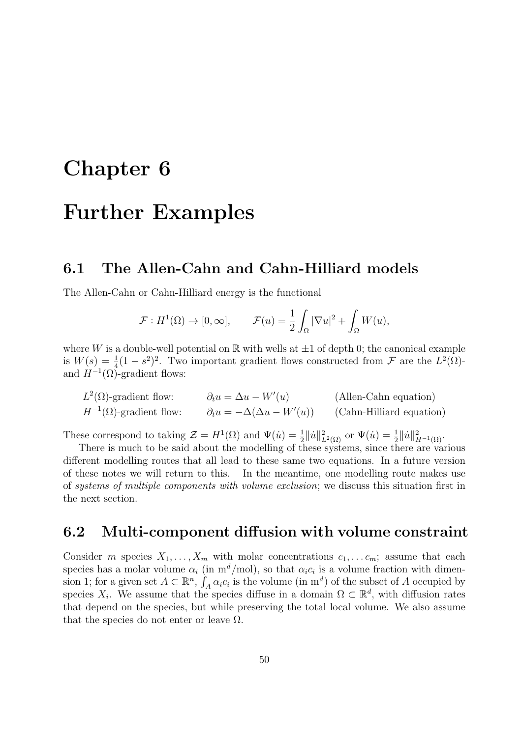# <span id="page-50-0"></span>Chapter 6

## Further Examples

#### <span id="page-50-1"></span>6.1 The Allen-Cahn and Cahn-Hilliard models

The Allen-Cahn or Cahn-Hilliard energy is the functional

$$
\mathcal{F}: H^{1}(\Omega) \to [0, \infty], \qquad \mathcal{F}(u) = \frac{1}{2} \int_{\Omega} |\nabla u|^{2} + \int_{\Omega} W(u),
$$

where W is a double-well potential on  $\mathbb R$  with wells at  $\pm 1$  of depth 0; the canonical example is  $W(s) = \frac{1}{4}(1-s^2)^2$ . Two important gradient flows constructed from F are the  $L^2(\Omega)$ and  $H^{-1}(\Omega)$ -gradient flows:

$$
L^{2}(\Omega)
$$
-gradient flow:  $\partial_{t} u = \Delta u - W'(u)$  (Allen-Cahn equation)  

$$
H^{-1}(\Omega)
$$
-gradient flow:  $\partial_{t} u = -\Delta(\Delta u - W'(u))$  (Cahn-Hilliard equation)

These correspond to taking  $\mathcal{Z} = H^1(\Omega)$  and  $\Psi(\dot{u}) = \frac{1}{2} ||\dot{u}||^2_{L^2(\Omega)}$  or  $\Psi(\dot{u}) = \frac{1}{2} ||\dot{u}||^2_{H^{-1}(\Omega)}$ .

There is much to be said about the modelling of these systems, since there are various different modelling routes that all lead to these same two equations. In a future version of these notes we will return to this. In the meantime, one modelling route makes use of systems of multiple components with volume exclusion; we discuss this situation first in the next section.

#### <span id="page-50-2"></span>6.2 Multi-component diffusion with volume constraint

Consider m species  $X_1, \ldots, X_m$  with molar concentrations  $c_1, \ldots c_m$ ; assume that each species has a molar volume  $\alpha_i$  (in  $m^d/mol$ ), so that  $\alpha_i c_i$  is a volume fraction with dimension 1; for a given set  $A \subset \mathbb{R}^n$ ,  $\hat{f}_A \alpha_i c_i$  is the volume (in m<sup>d</sup>) of the subset of A occupied by species  $X_i$ . We assume that the species diffuse in a domain  $\Omega \subset \mathbb{R}^d$ , with diffusion rates that depend on the species, but while preserving the total local volume. We also assume that the species do not enter or leave  $\Omega$ .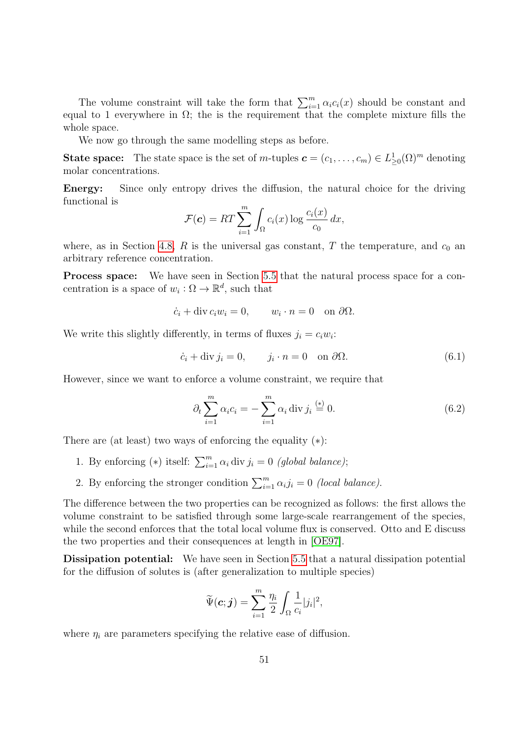The volume constraint will take the form that  $\sum_{i=1}^{m} \alpha_i c_i(x)$  should be constant and equal to 1 everywhere in  $\Omega$ ; the is the requirement that the complete mixture fills the whole space.

We now go through the same modelling steps as before.

**State space:** The state space is the set of m-tuples  $\mathbf{c} = (c_1, \ldots, c_m) \in L^1_{\geq 0}(\Omega)^m$  denoting molar concentrations.

Energy: Since only entropy drives the diffusion, the natural choice for the driving functional is

$$
\mathcal{F}(\boldsymbol{c}) = RT \sum_{i=1}^{m} \int_{\Omega} c_i(x) \log \frac{c_i(x)}{c_0} dx,
$$

where, as in Section [4.8,](#page-40-0)  $R$  is the universal gas constant,  $T$  the temperature, and  $c_0$  and arbitrary reference concentration.

**Process space:** We have seen in Section [5.5](#page-46-0) that the natural process space for a concentration is a space of  $w_i : \Omega \to \mathbb{R}^d$ , such that

$$
\dot{c}_i + \operatorname{div} c_i w_i = 0, \qquad w_i \cdot n = 0 \quad \text{on } \partial \Omega.
$$

We write this slightly differently, in terms of fluxes  $j_i = c_i w_i$ :

<span id="page-51-0"></span>
$$
\dot{c}_i + \text{div } j_i = 0, \qquad j_i \cdot n = 0 \quad \text{on } \partial \Omega. \tag{6.1}
$$

However, since we want to enforce a volume constraint, we require that

<span id="page-51-1"></span>
$$
\partial_t \sum_{i=1}^m \alpha_i c_i = -\sum_{i=1}^m \alpha_i \operatorname{div} j_i \stackrel{(*)}{=} 0.
$$
 (6.2)

There are (at least) two ways of enforcing the equality  $(*)$ :

- 1. By enforcing (\*) itself:  $\sum_{i=1}^{m} \alpha_i \text{div } j_i = 0$  (global balance);
- 2. By enforcing the stronger condition  $\sum_{i=1}^{m} \alpha_i j_i = 0$  (local balance).

The difference between the two properties can be recognized as follows: the first allows the volume constraint to be satisfied through some large-scale rearrangement of the species, while the second enforces that the total local volume flux is conserved. Otto and E discuss the two properties and their consequences at length in [\[OE97\]](#page-62-14).

Dissipation potential: We have seen in Section [5.5](#page-46-0) that a natural dissipation potential for the diffusion of solutes is (after generalization to multiple species)

$$
\widetilde{\Psi}(\boldsymbol{c};\boldsymbol{j})=\sum_{i=1}^{m}\frac{\eta_{i}}{2}\int_{\Omega}\frac{1}{c_{i}}|j_{i}|^{2},
$$

where  $\eta_i$  are parameters specifying the relative ease of diffusion.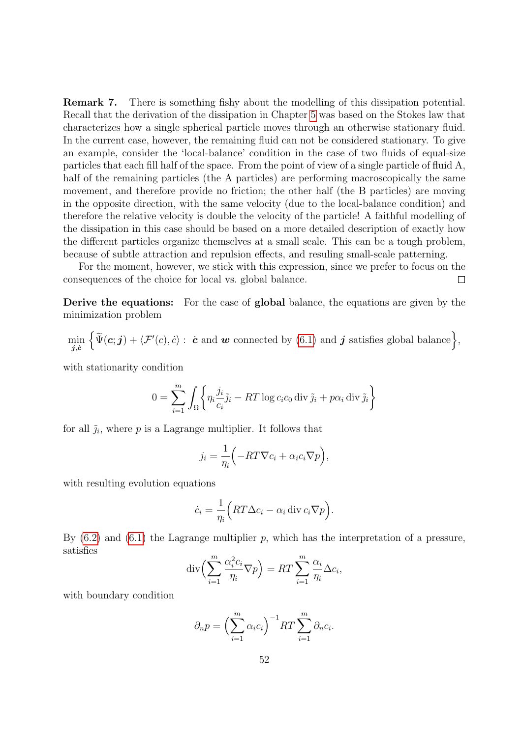Remark 7. There is something fishy about the modelling of this dissipation potential. Recall that the derivation of the dissipation in Chapter [5](#page-42-0) was based on the Stokes law that characterizes how a single spherical particle moves through an otherwise stationary fluid. In the current case, however, the remaining fluid can not be considered stationary. To give an example, consider the 'local-balance' condition in the case of two fluids of equal-size particles that each fill half of the space. From the point of view of a single particle of fluid A, half of the remaining particles (the A particles) are performing macroscopically the same movement, and therefore provide no friction; the other half (the B particles) are moving in the opposite direction, with the same velocity (due to the local-balance condition) and therefore the relative velocity is double the velocity of the particle! A faithful modelling of the dissipation in this case should be based on a more detailed description of exactly how the different particles organize themselves at a small scale. This can be a tough problem, because of subtle attraction and repulsion effects, and resuling small-scale patterning.

For the moment, however, we stick with this expression, since we prefer to focus on the consequences of the choice for local vs. global balance.  $\Box$ 

Derive the equations: For the case of global balance, the equations are given by the minimization problem

$$
\min_{\boldsymbol{j},\boldsymbol{c}} \left\{ \widetilde{\Psi}(\boldsymbol{c};\boldsymbol{j}) + \langle \mathcal{F}'(c),\dot{c} \rangle : \ \boldsymbol{c} \text{ and } \boldsymbol{w} \text{ connected by (6.1) and } \boldsymbol{j} \text{ satisfies global balance} \right\},\
$$

with stationarity condition

$$
0 = \sum_{i=1}^{m} \int_{\Omega} \left\{ \eta_i \frac{j_i}{c_i} \tilde{\jmath}_i - RT \log c_i c_0 \operatorname{div} \tilde{\jmath}_i + p \alpha_i \operatorname{div} \tilde{\jmath}_i \right\}
$$

for all  $\tilde{j}_i$ , where p is a Lagrange multiplier. It follows that

$$
j_i = \frac{1}{\eta_i} \Big( -RT \nabla c_i + \alpha_i c_i \nabla p \Big),
$$

with resulting evolution equations

$$
\dot{c}_i = \frac{1}{\eta_i} \Big( RT\Delta c_i - \alpha_i \operatorname{div} c_i \nabla p \Big).
$$

By  $(6.2)$  and  $(6.1)$  the Lagrange multiplier p, which has the interpretation of a pressure, satisfies

$$
\operatorname{div}\Bigl(\sum_{i=1}^m \frac{\alpha_i^2 c_i}{\eta_i} \nabla p\Bigr) = RT \sum_{i=1}^m \frac{\alpha_i}{\eta_i} \Delta c_i,
$$

with boundary condition

$$
\partial_n p = \left(\sum_{i=1}^m \alpha_i c_i\right)^{-1} RT \sum_{i=1}^m \partial_n c_i.
$$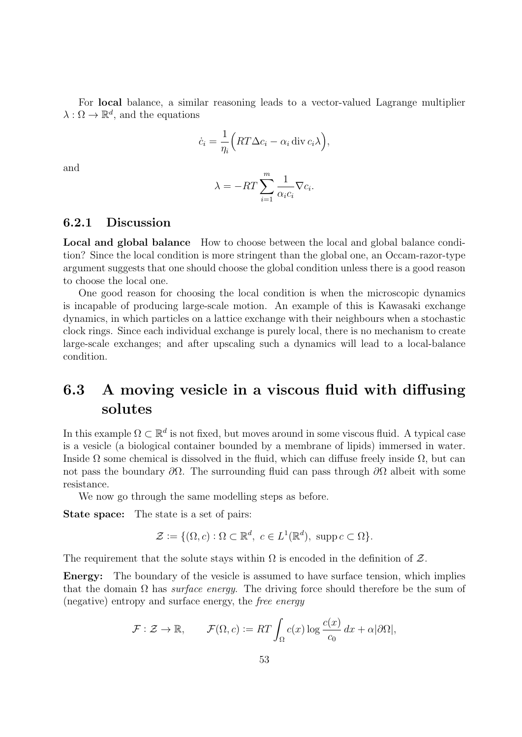For local balance, a similar reasoning leads to a vector-valued Lagrange multiplier  $\lambda : \Omega \to \mathbb{R}^d$ , and the equations

$$
\dot{c}_i = \frac{1}{\eta_i} \Big( RT\Delta c_i - \alpha_i \operatorname{div} c_i \lambda \Big),
$$

and

$$
\lambda = -RT \sum_{i=1}^{m} \frac{1}{\alpha_i c_i} \nabla c_i.
$$

#### <span id="page-53-0"></span>6.2.1 Discussion

Local and global balance How to choose between the local and global balance condition? Since the local condition is more stringent than the global one, an Occam-razor-type argument suggests that one should choose the global condition unless there is a good reason to choose the local one.

One good reason for choosing the local condition is when the microscopic dynamics is incapable of producing large-scale motion. An example of this is Kawasaki exchange dynamics, in which particles on a lattice exchange with their neighbours when a stochastic clock rings. Since each individual exchange is purely local, there is no mechanism to create large-scale exchanges; and after upscaling such a dynamics will lead to a local-balance condition.

### <span id="page-53-1"></span>6.3 A moving vesicle in a viscous fluid with diffusing solutes

In this example  $\Omega \subset \mathbb{R}^d$  is not fixed, but moves around in some viscous fluid. A typical case is a vesicle (a biological container bounded by a membrane of lipids) immersed in water. Inside  $\Omega$  some chemical is dissolved in the fluid, which can diffuse freely inside  $\Omega$ , but can not pass the boundary  $\partial\Omega$ . The surrounding fluid can pass through  $\partial\Omega$  albeit with some resistance.

We now go through the same modelling steps as before.

State space: The state is a set of pairs:

$$
\mathcal{Z} := \{ (\Omega, c) : \Omega \subset \mathbb{R}^d, \ c \in L^1(\mathbb{R}^d), \ \operatorname{supp} c \subset \Omega \}.
$$

The requirement that the solute stays within  $\Omega$  is encoded in the definition of  $\mathcal{Z}$ .

Energy: The boundary of the vesicle is assumed to have surface tension, which implies that the domain  $\Omega$  has *surface energy*. The driving force should therefore be the sum of (negative) entropy and surface energy, the free energy

$$
\mathcal{F}: \mathcal{Z} \to \mathbb{R}, \qquad \mathcal{F}(\Omega, c) := RT \int_{\Omega} c(x) \log \frac{c(x)}{c_0} dx + \alpha |\partial \Omega|,
$$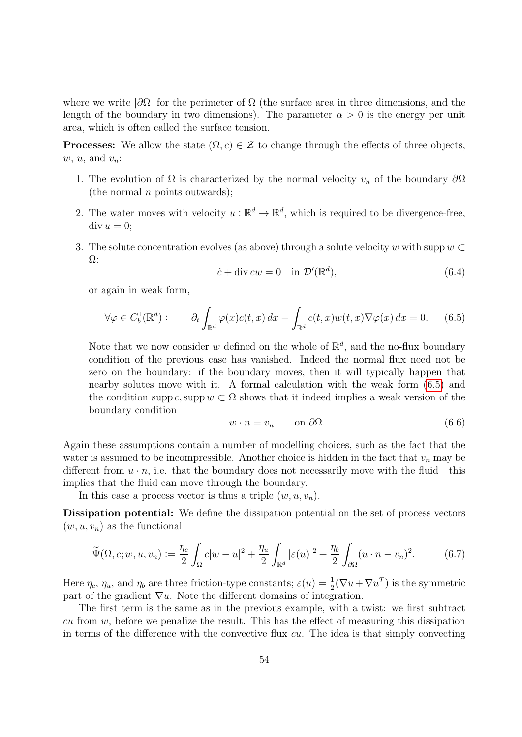where we write  $|\partial\Omega|$  for the perimeter of  $\Omega$  (the surface area in three dimensions, and the length of the boundary in two dimensions). The parameter  $\alpha > 0$  is the energy per unit area, which is often called the surface tension.

**Processes:** We allow the state  $(\Omega, c) \in \mathcal{Z}$  to change through the effects of three objects,  $w, u, \text{ and } v_n$ :

- 1. The evolution of  $\Omega$  is characterized by the normal velocity  $v_n$  of the boundary  $\partial\Omega$ (the normal  $n$  points outwards);
- 2. The water moves with velocity  $u : \mathbb{R}^d \to \mathbb{R}^d$ , which is required to be divergence-free,  $\text{div } u = 0$ ;
- <span id="page-54-1"></span>3. The solute concentration evolves (as above) through a solute velocity w with supp  $w \subset$ Ω:

<span id="page-54-0"></span>
$$
\dot{c} + \text{div}\,cw = 0 \quad \text{in } \mathcal{D}'(\mathbb{R}^d),\tag{6.4}
$$

or again in weak form,

$$
\forall \varphi \in C_b^1(\mathbb{R}^d): \qquad \partial_t \int_{\mathbb{R}^d} \varphi(x) c(t, x) \, dx - \int_{\mathbb{R}^d} c(t, x) w(t, x) \nabla \varphi(x) \, dx = 0. \tag{6.5}
$$

Note that we now consider w defined on the whole of  $\mathbb{R}^d$ , and the no-flux boundary condition of the previous case has vanished. Indeed the normal flux need not be zero on the boundary: if the boundary moves, then it will typically happen that nearby solutes move with it. A formal calculation with the weak form [\(6.5\)](#page-54-0) and the condition supp c, supp  $w \subset \Omega$  shows that it indeed implies a weak version of the boundary condition

<span id="page-54-2"></span>
$$
w \cdot n = v_n \qquad \text{on } \partial \Omega. \tag{6.6}
$$

Again these assumptions contain a number of modelling choices, such as the fact that the water is assumed to be incompressible. Another choice is hidden in the fact that  $v_n$  may be different from  $u \cdot n$ , i.e. that the boundary does not necessarily move with the fluid—this implies that the fluid can move through the boundary.

In this case a process vector is thus a triple  $(w, u, v_n)$ .

Dissipation potential: We define the dissipation potential on the set of process vectors  $(w, u, v_n)$  as the functional

<span id="page-54-3"></span>
$$
\widetilde{\Psi}(\Omega, c; w, u, v_n) := \frac{\eta_c}{2} \int_{\Omega} c|w - u|^2 + \frac{\eta_u}{2} \int_{\mathbb{R}^d} |\varepsilon(u)|^2 + \frac{\eta_b}{2} \int_{\partial\Omega} (u \cdot n - v_n)^2. \tag{6.7}
$$

Here  $\eta_c$ ,  $\eta_u$ , and  $\eta_b$  are three friction-type constants;  $\varepsilon(u) = \frac{1}{2}(\nabla u + \nabla u^T)$  is the symmetric part of the gradient  $\nabla u$ . Note the different domains of integration.

The first term is the same as in the previous example, with a twist: we first subtract  $cu$  from  $w$ , before we penalize the result. This has the effect of measuring this dissipation in terms of the difference with the convective flux  $cu$ . The idea is that simply convecting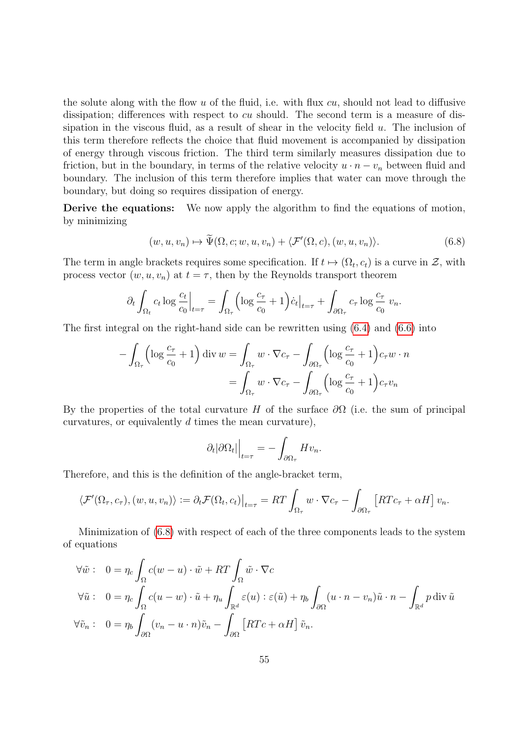the solute along with the flow u of the fluid, i.e. with flux  $cu$ , should not lead to diffusive dissipation; differences with respect to cu should. The second term is a measure of dissipation in the viscous fluid, as a result of shear in the velocity field  $u$ . The inclusion of this term therefore reflects the choice that fluid movement is accompanied by dissipation of energy through viscous friction. The third term similarly measures dissipation due to friction, but in the boundary, in terms of the relative velocity  $u \cdot n - v_n$  between fluid and boundary. The inclusion of this term therefore implies that water can move through the boundary, but doing so requires dissipation of energy.

Derive the equations: We now apply the algorithm to find the equations of motion, by minimizing

<span id="page-55-0"></span>
$$
(w, u, v_n) \mapsto \widetilde{\Psi}(\Omega, c; w, u, v_n) + \langle \mathcal{F}'(\Omega, c), (w, u, v_n) \rangle.
$$
 (6.8)

The term in angle brackets requires some specification. If  $t \mapsto (\Omega_t, c_t)$  is a curve in  $\mathcal{Z}$ , with process vector  $(w, u, v_n)$  at  $t = \tau$ , then by the Reynolds transport theorem

$$
\partial_t \int_{\Omega_t} c_t \log \frac{c_t}{c_0} \Big|_{t=\tau} = \int_{\Omega_\tau} \left( \log \frac{c_\tau}{c_0} + 1 \right) \dot{c}_t \Big|_{t=\tau} + \int_{\partial \Omega_\tau} c_\tau \log \frac{c_\tau}{c_0} \, v_n.
$$

The first integral on the right-hand side can be rewritten using [\(6.4\)](#page-54-1) and [\(6.6\)](#page-54-2) into

$$
-\int_{\Omega_{\tau}} \left( \log \frac{c_{\tau}}{c_0} + 1 \right) \operatorname{div} w = \int_{\Omega_{\tau}} w \cdot \nabla c_{\tau} - \int_{\partial \Omega_{\tau}} \left( \log \frac{c_{\tau}}{c_0} + 1 \right) c_{\tau} w \cdot n
$$

$$
= \int_{\Omega_{\tau}} w \cdot \nabla c_{\tau} - \int_{\partial \Omega_{\tau}} \left( \log \frac{c_{\tau}}{c_0} + 1 \right) c_{\tau} v_n
$$

By the properties of the total curvature H of the surface  $\partial\Omega$  (i.e. the sum of principal curvatures, or equivalently d times the mean curvature),

$$
\partial_t |\partial \Omega_t| \Big|_{t=\tau} = - \int_{\partial \Omega_\tau} H v_n.
$$

Therefore, and this is the definition of the angle-bracket term,

$$
\langle \mathcal{F}'(\Omega_{\tau}, c_{\tau}), (w, u, v_n) \rangle := \partial_t \mathcal{F}(\Omega_t, c_t) \big|_{t=\tau} = RT \int_{\Omega_{\tau}} w \cdot \nabla c_{\tau} - \int_{\partial \Omega_{\tau}} \left[ RT c_{\tau} + \alpha H \right] v_n.
$$

Minimization of [\(6.8\)](#page-55-0) with respect of each of the three components leads to the system of equations

$$
\forall \tilde{w}: \quad 0 = \eta_c \int_{\Omega} c(w - u) \cdot \tilde{w} + RT \int_{\Omega} \tilde{w} \cdot \nabla c
$$
  

$$
\forall \tilde{u}: \quad 0 = \eta_c \int_{\Omega} c(u - w) \cdot \tilde{u} + \eta_u \int_{\mathbb{R}^d} \varepsilon(u) : \varepsilon(\tilde{u}) + \eta_b \int_{\partial \Omega} (u \cdot n - v_n) \tilde{u} \cdot n - \int_{\mathbb{R}^d} p \operatorname{div} \tilde{u}
$$
  

$$
\forall \tilde{v}_n: \quad 0 = \eta_b \int_{\partial \Omega} (v_n - u \cdot n) \tilde{v}_n - \int_{\partial \Omega} \left[ RTc + \alpha H \right] \tilde{v}_n.
$$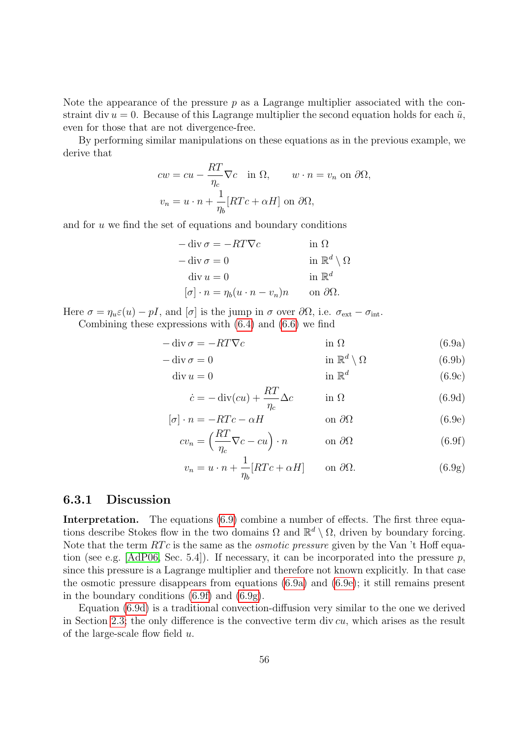Note the appearance of the pressure  $p$  as a Lagrange multiplier associated with the constraint div  $u = 0$ . Because of this Lagrange multiplier the second equation holds for each  $\tilde{u}$ , even for those that are not divergence-free.

By performing similar manipulations on these equations as in the previous example, we derive that

$$
cw = cu - \frac{RT}{\eta_c} \nabla c \quad \text{in } \Omega, \qquad w \cdot n = v_n \text{ on } \partial \Omega,
$$
  

$$
v_n = u \cdot n + \frac{1}{\eta_b} [RTc + \alpha H] \text{ on } \partial \Omega,
$$

and for u we find the set of equations and boundary conditions

$$
-\operatorname{div} \sigma = -RT \nabla c \qquad \text{in } \Omega
$$
  

$$
-\operatorname{div} \sigma = 0 \qquad \text{in } \mathbb{R}^d \setminus \Omega
$$
  

$$
\operatorname{div} u = 0 \qquad \text{in } \mathbb{R}^d
$$
  

$$
[\sigma] \cdot n = \eta_b (u \cdot n - v_n) n \qquad \text{on } \partial \Omega.
$$

Here  $\sigma = \eta_u \varepsilon(u) - pI$ , and  $[\sigma]$  is the jump in  $\sigma$  over  $\partial \Omega$ , i.e.  $\sigma_{\text{ext}} - \sigma_{\text{int}}$ .

Combining these expressions with [\(6.4\)](#page-54-1) and [\(6.6\)](#page-54-2) we find

$$
-\operatorname{div}\sigma = -RT\nabla c \qquad \qquad \text{in } \Omega \tag{6.9a}
$$

$$
-\operatorname{div}\sigma = 0 \qquad \qquad \text{in } \mathbb{R}^d \setminus \Omega \qquad (6.9b)
$$

$$
\operatorname{div} u = 0 \qquad \qquad \text{in } \mathbb{R}^d \qquad \qquad (6.9c)
$$

<span id="page-56-3"></span><span id="page-56-2"></span><span id="page-56-1"></span>
$$
\dot{c} = -\operatorname{div}(cu) + \frac{RT}{\eta_c} \Delta c \qquad \text{in } \Omega \tag{6.9d}
$$

$$
[\sigma] \cdot n = -RTc - \alpha H \qquad \text{on } \partial\Omega \qquad (6.9e)
$$

$$
cv_n = \left(\frac{RT}{\eta_c}\nabla c - cu\right) \cdot n \qquad \text{on } \partial\Omega \tag{6.9f}
$$

$$
v_n = u \cdot n + \frac{1}{\eta_b} [RTc + \alpha H] \qquad \text{on } \partial \Omega. \tag{6.9g}
$$

#### <span id="page-56-0"></span>6.3.1 Discussion

Interpretation. The equations [\(6.9\)](#page-56-1) combine a number of effects. The first three equations describe Stokes flow in the two domains  $\Omega$  and  $\mathbb{R}^d \setminus \Omega$ , driven by boundary forcing. Note that the term  $RTc$  is the same as the *osmotic pressure* given by the Van 't Hoff equation (see e.g.  $[AdP06, Sec. 5.4]$ ). If necessary, it can be incorporated into the pressure p, since this pressure is a Lagrange multiplier and therefore not known explicitly. In that case the osmotic pressure disappears from equations [\(6.9a\)](#page-56-2) and [\(6.9e\)](#page-54-0); it still remains present in the boundary conditions [\(6.9f\)](#page-54-2) and [\(6.9g\)](#page-54-3).

Equation [\(6.9d\)](#page-54-1) is a traditional convection-diffusion very similar to the one we derived in Section [2.3;](#page-12-0) the only difference is the convective term div  $cu$ , which arises as the result of the large-scale flow field  $u$ .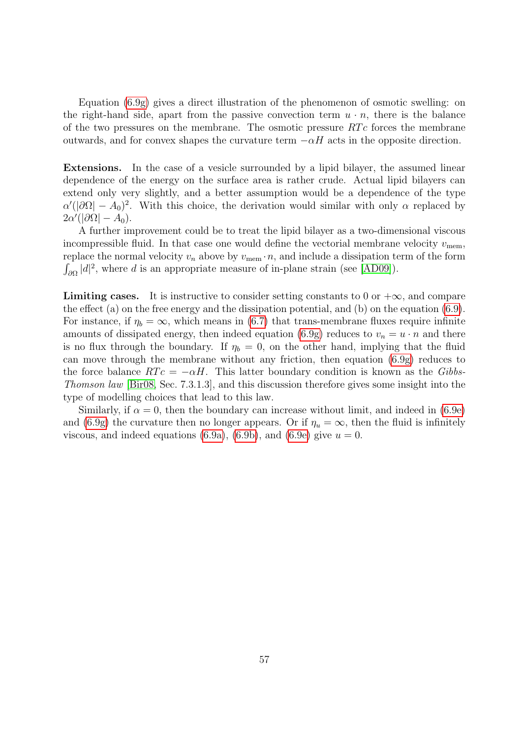Equation [\(6.9g\)](#page-54-3) gives a direct illustration of the phenomenon of osmotic swelling: on the right-hand side, apart from the passive convection term  $u \cdot n$ , there is the balance of the two pressures on the membrane. The osmotic pressure  $RTc$  forces the membrane outwards, and for convex shapes the curvature term  $-\alpha H$  acts in the opposite direction.

Extensions. In the case of a vesicle surrounded by a lipid bilayer, the assumed linear dependence of the energy on the surface area is rather crude. Actual lipid bilayers can extend only very slightly, and a better assumption would be a dependence of the type  $\alpha'(|\partial\Omega| - A_0)^2$ . With this choice, the derivation would similar with only  $\alpha$  replaced by  $2\alpha'(|\partial\Omega|-A_0).$ 

A further improvement could be to treat the lipid bilayer as a two-dimensional viscous incompressible fluid. In that case one would define the vectorial membrane velocity  $v_{\text{mem}}$ , replace the normal velocity  $v_n$  above by  $v_{\text{mem}} \cdot n$ , and include a dissipation term of the form  $\int_{\partial\Omega} |d|^2$ , where d is an appropriate measure of in-plane strain (see [\[AD09\]](#page-61-10)).

**Limiting cases.** It is instructive to consider setting constants to 0 or  $+\infty$ , and compare the effect (a) on the free energy and the dissipation potential, and (b) on the equation [\(6.9\)](#page-56-1). For instance, if  $\eta_b = \infty$ , which means in [\(6.7\)](#page-54-3) that trans-membrane fluxes require infinite amounts of dissipated energy, then indeed equation [\(6.9g\)](#page-54-3) reduces to  $v_n = u \cdot n$  and there is no flux through the boundary. If  $\eta_b = 0$ , on the other hand, implying that the fluid can move through the membrane without any friction, then equation [\(6.9g\)](#page-54-3) reduces to the force balance  $RTc = -\alpha H$ . This latter boundary condition is known as the Gibbs-Thomson law [\[Bir08,](#page-61-11) Sec. 7.3.1.3], and this discussion therefore gives some insight into the type of modelling choices that lead to this law.

Similarly, if  $\alpha = 0$ , then the boundary can increase without limit, and indeed in  $(6.9e)$ and [\(6.9g\)](#page-54-3) the curvature then no longer appears. Or if  $\eta_u = \infty$ , then the fluid is infinitely viscous, and indeed equations [\(6.9a\)](#page-56-2), [\(6.9b\)](#page-56-3), and [\(6.9e\)](#page-54-0) give  $u = 0$ .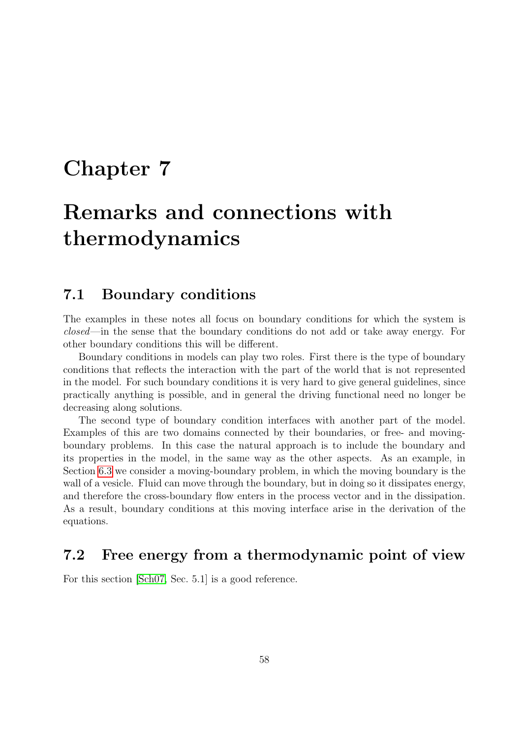# <span id="page-58-0"></span>Chapter 7

# Remarks and connections with thermodynamics

#### <span id="page-58-1"></span>7.1 Boundary conditions

The examples in these notes all focus on boundary conditions for which the system is closed—in the sense that the boundary conditions do not add or take away energy. For other boundary conditions this will be different.

Boundary conditions in models can play two roles. First there is the type of boundary conditions that reflects the interaction with the part of the world that is not represented in the model. For such boundary conditions it is very hard to give general guidelines, since practically anything is possible, and in general the driving functional need no longer be decreasing along solutions.

The second type of boundary condition interfaces with another part of the model. Examples of this are two domains connected by their boundaries, or free- and movingboundary problems. In this case the natural approach is to include the boundary and its properties in the model, in the same way as the other aspects. As an example, in Section [6.3](#page-53-1) we consider a moving-boundary problem, in which the moving boundary is the wall of a vesicle. Fluid can move through the boundary, but in doing so it dissipates energy, and therefore the cross-boundary flow enters in the process vector and in the dissipation. As a result, boundary conditions at this moving interface arise in the derivation of the equations.

### <span id="page-58-2"></span>7.2 Free energy from a thermodynamic point of view

For this section [\[Sch07,](#page-63-3) Sec. 5.1] is a good reference.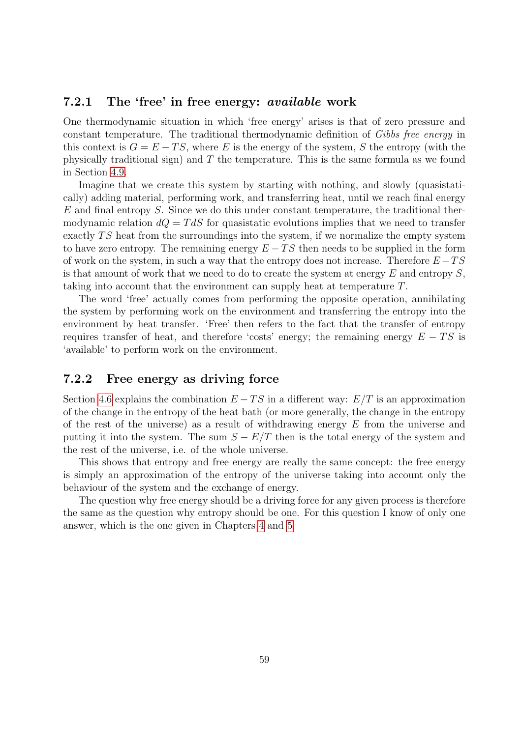#### <span id="page-59-0"></span>7.2.1 The 'free' in free energy: *available* work

One thermodynamic situation in which 'free energy' arises is that of zero pressure and constant temperature. The traditional thermodynamic definition of Gibbs free energy in this context is  $G = E - TS$ , where E is the energy of the system, S the entropy (with the physically traditional sign) and  $T$  the temperature. This is the same formula as we found in Section [4.9.](#page-40-1)

Imagine that we create this system by starting with nothing, and slowly (quasistatically) adding material, performing work, and transferring heat, until we reach final energy  $E$  and final entropy S. Since we do this under constant temperature, the traditional thermodynamic relation  $dQ = T dS$  for quasistatic evolutions implies that we need to transfer exactly  $TS$  heat from the surroundings into the system, if we normalize the empty system to have zero entropy. The remaining energy  $E - TS$  then needs to be supplied in the form of work on the system, in such a way that the entropy does not increase. Therefore  $E - TS$ is that amount of work that we need to do to create the system at energy  $E$  and entropy  $S$ , taking into account that the environment can supply heat at temperature T.

The word 'free' actually comes from performing the opposite operation, annihilating the system by performing work on the environment and transferring the entropy into the environment by heat transfer. 'Free' then refers to the fact that the transfer of entropy requires transfer of heat, and therefore 'costs' energy; the remaining energy  $E - TS$  is 'available' to perform work on the environment.

#### <span id="page-59-1"></span>7.2.2 Free energy as driving force

Section [4.6](#page-36-0) explains the combination  $E - TS$  in a different way:  $E/T$  is an approximation of the change in the entropy of the heat bath (or more generally, the change in the entropy of the rest of the universe) as a result of withdrawing energy  $E$  from the universe and putting it into the system. The sum  $S - E/T$  then is the total energy of the system and the rest of the universe, i.e. of the whole universe.

This shows that entropy and free energy are really the same concept: the free energy is simply an approximation of the entropy of the universe taking into account only the behaviour of the system and the exchange of energy.

The question why free energy should be a driving force for any given process is therefore the same as the question why entropy should be one. For this question I know of only one answer, which is the one given in Chapters [4](#page-26-0) and [5.](#page-42-0)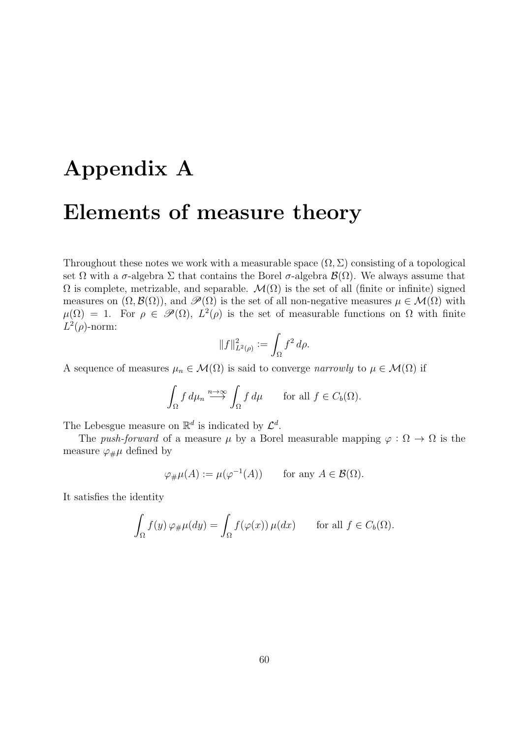# <span id="page-60-0"></span>Appendix A Elements of measure theory

Throughout these notes we work with a measurable space  $(\Omega, \Sigma)$  consisting of a topological set  $\Omega$  with a  $\sigma$ -algebra  $\Sigma$  that contains the Borel  $\sigma$ -algebra  $\mathcal{B}(\Omega)$ . We always assume that  $\Omega$  is complete, metrizable, and separable.  $\mathcal{M}(\Omega)$  is the set of all (finite or infinite) signed measures on  $(\Omega, \mathcal{B}(\Omega))$ , and  $\mathscr{P}(\Omega)$  is the set of all non-negative measures  $\mu \in \mathcal{M}(\Omega)$  with  $\mu(\Omega) = 1$ . For  $\rho \in \mathscr{P}(\Omega)$ ,  $L^2(\rho)$  is the set of measurable functions on  $\Omega$  with finite  $L^2(\rho)$ -norm:

$$
||f||_{L^{2}(\rho)}^{2} := \int_{\Omega} f^{2} d\rho.
$$

A sequence of measures  $\mu_n \in \mathcal{M}(\Omega)$  is said to converge *narrowly* to  $\mu \in \mathcal{M}(\Omega)$  if

$$
\int_{\Omega} f d\mu_n \stackrel{n \to \infty}{\longrightarrow} \int_{\Omega} f d\mu \quad \text{for all } f \in C_b(\Omega).
$$

The Lebesgue measure on  $\mathbb{R}^d$  is indicated by  $\mathcal{L}^d$ .

The push-forward of a measure  $\mu$  by a Borel measurable mapping  $\varphi : \Omega \to \Omega$  is the measure  $\varphi_{\#}\mu$  defined by

$$
\varphi_{\#}\mu(A) := \mu(\varphi^{-1}(A))
$$
 for any  $A \in \mathcal{B}(\Omega)$ .

It satisfies the identity

$$
\int_{\Omega} f(y) \, \varphi_{\#} \mu(dy) = \int_{\Omega} f(\varphi(x)) \, \mu(dx) \qquad \text{for all } f \in C_b(\Omega).
$$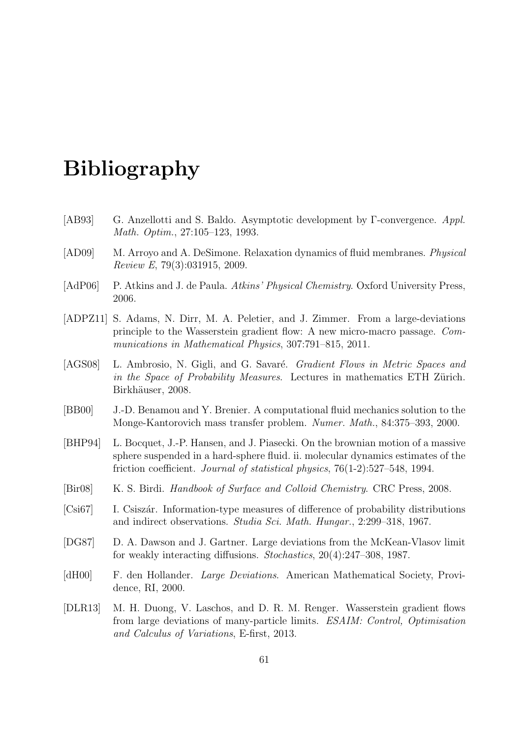# Bibliography

- <span id="page-61-6"></span>[AB93] G. Anzellotti and S. Baldo. Asymptotic development by Γ-convergence. Appl. Math. Optim., 27:105–123, 1993.
- <span id="page-61-10"></span>[AD09] M. Arroyo and A. DeSimone. Relaxation dynamics of fluid membranes. Physical Review E, 79(3):031915, 2009.
- <span id="page-61-9"></span>[AdP06] P. Atkins and J. de Paula. Atkins' Physical Chemistry. Oxford University Press, 2006.
- <span id="page-61-4"></span>[ADPZ11] S. Adams, N. Dirr, M. A. Peletier, and J. Zimmer. From a large-deviations principle to the Wasserstein gradient flow: A new micro-macro passage. Communications in Mathematical Physics, 307:791–815, 2011.
- <span id="page-61-0"></span>[AGS08] L. Ambrosio, N. Gigli, and G. Savaré. *Gradient Flows in Metric Spaces and* in the Space of Probability Measures. Lectures in mathematics ETH Zürich. Birkhäuser, 2008.
- <span id="page-61-1"></span>[BB00] J.-D. Benamou and Y. Brenier. A computational fluid mechanics solution to the Monge-Kantorovich mass transfer problem. Numer. Math., 84:375–393, 2000.
- <span id="page-61-8"></span>[BHP94] L. Bocquet, J.-P. Hansen, and J. Piasecki. On the brownian motion of a massive sphere suspended in a hard-sphere fluid. ii. molecular dynamics estimates of the friction coefficient. Journal of statistical physics, 76(1-2):527–548, 1994.
- <span id="page-61-11"></span>[Bir08] K. S. Birdi. *Handbook of Surface and Colloid Chemistry*. CRC Press, 2008.
- <span id="page-61-2"></span>[Csi67] I. Csiszár. Information-type measures of difference of probability distributions and indirect observations. Studia Sci. Math. Hungar., 2:299–318, 1967.
- <span id="page-61-7"></span>[DG87] D. A. Dawson and J. Gartner. Large deviations from the McKean-Vlasov limit for weakly interacting diffusions. Stochastics, 20(4):247–308, 1987.
- <span id="page-61-3"></span>[dH00] F. den Hollander. *Large Deviations*. American Mathematical Society, Providence, RI, 2000.
- <span id="page-61-5"></span>[DLR13] M. H. Duong, V. Laschos, and D. R. M. Renger. Wasserstein gradient flows from large deviations of many-particle limits. ESAIM: Control, Optimisation and Calculus of Variations, E-first, 2013.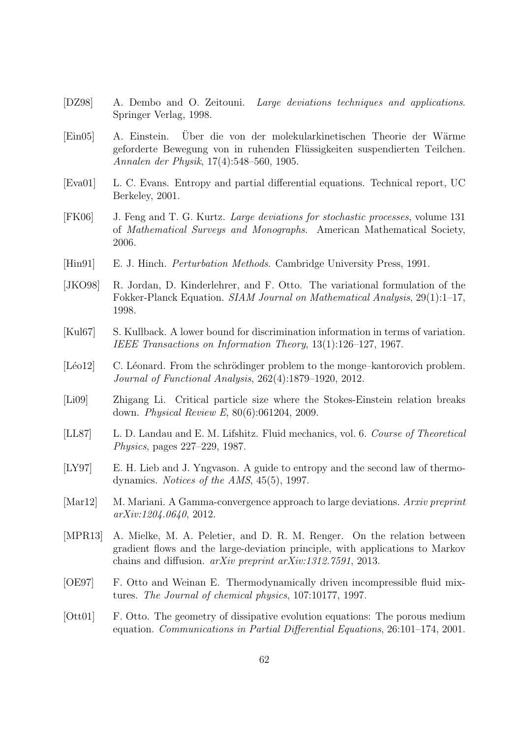- <span id="page-62-8"></span>[DZ98] A. Dembo and O. Zeitouni. Large deviations techniques and applications. Springer Verlag, 1998.
- <span id="page-62-6"></span>[Ein05] A. Einstein. Uber die von der molekularkinetischen Theorie der Wärme geforderte Bewegung von in ruhenden Flüssigkeiten suspendierten Teilchen. Annalen der Physik, 17(4):548–560, 1905.
- <span id="page-62-4"></span>[Eva01] L. C. Evans. Entropy and partial differential equations. Technical report, UC Berkeley, 2001.
- <span id="page-62-11"></span>[FK06] J. Feng and T. G. Kurtz. Large deviations for stochastic processes, volume 131 of Mathematical Surveys and Monographs. American Mathematical Society, 2006.
- <span id="page-62-0"></span>[Hin91] E. J. Hinch. *Perturbation Methods*. Cambridge University Press, 1991.
- <span id="page-62-10"></span>[JKO98] R. Jordan, D. Kinderlehrer, and F. Otto. The variational formulation of the Fokker-Planck Equation. SIAM Journal on Mathematical Analysis, 29(1):1–17, 1998.
- <span id="page-62-5"></span>[Kul67] S. Kullback. A lower bound for discrimination information in terms of variation. IEEE Transactions on Information Theory, 13(1):126–127, 1967.
- <span id="page-62-9"></span>[Léo12] C. Léonard. From the schrödinger problem to the monge–kantorovich problem. Journal of Functional Analysis, 262(4):1879–1920, 2012.
- <span id="page-62-13"></span>[Li09] Zhigang Li. Critical particle size where the Stokes-Einstein relation breaks down. Physical Review E, 80(6):061204, 2009.
- <span id="page-62-1"></span>[LL87] L. D. Landau and E. M. Lifshitz. Fluid mechanics, vol. 6. Course of Theoretical Physics, pages 227–229, 1987.
- <span id="page-62-3"></span>[LY97] E. H. Lieb and J. Yngvason. A guide to entropy and the second law of thermodynamics. Notices of the AMS, 45(5), 1997.
- <span id="page-62-7"></span>[Mar12] M. Mariani. A Gamma-convergence approach to large deviations. Arxiv preprint arXiv:1204.0640, 2012.
- <span id="page-62-12"></span>[MPR13] A. Mielke, M. A. Peletier, and D. R. M. Renger. On the relation between gradient flows and the large-deviation principle, with applications to Markov chains and diffusion. arXiv preprint arXiv:1312.7591, 2013.
- <span id="page-62-14"></span>[OE97] F. Otto and Weinan E. Thermodynamically driven incompressible fluid mixtures. The Journal of chemical physics, 107:10177, 1997.
- <span id="page-62-2"></span>[Ott01] F. Otto. The geometry of dissipative evolution equations: The porous medium equation. Communications in Partial Differential Equations, 26:101–174, 2001.